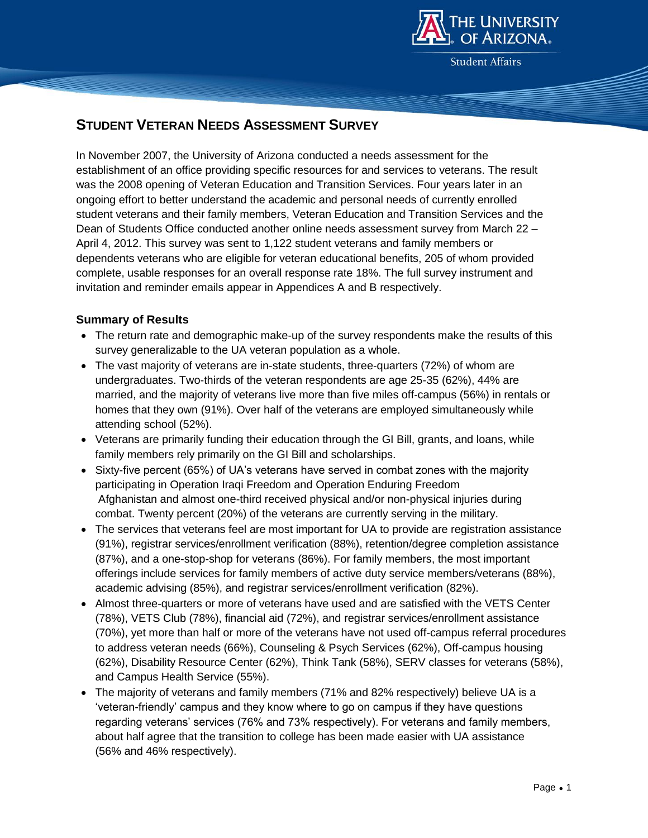

**Student Affairs** 

# **STUDENT VETERAN NEEDS ASSESSMENT SURVEY**

In November 2007, the University of Arizona conducted a needs assessment for the establishment of an office providing specific resources for and services to veterans. The result was the 2008 opening of Veteran Education and Transition Services. Four years later in an ongoing effort to better understand the academic and personal needs of currently enrolled student veterans and their family members, Veteran Education and Transition Services and the Dean of Students Office conducted another online needs assessment survey from March 22 – April 4, 2012. This survey was sent to 1,122 student veterans and family members or dependents veterans who are eligible for veteran educational benefits, 205 of whom provided complete, usable responses for an overall response rate 18%. The full survey instrument and invitation and reminder emails appear in Appendices A and B respectively.

# **Summary of Results**

- The return rate and demographic make-up of the survey respondents make the results of this survey generalizable to the UA veteran population as a whole.
- The vast majority of veterans are in-state students, three-quarters (72%) of whom are undergraduates. Two-thirds of the veteran respondents are age 25-35 (62%), 44% are married, and the majority of veterans live more than five miles off-campus (56%) in rentals or homes that they own (91%). Over half of the veterans are employed simultaneously while attending school (52%).
- Veterans are primarily funding their education through the GI Bill, grants, and loans, while family members rely primarily on the GI Bill and scholarships.
- Sixty-five percent (65%) of UA's veterans have served in combat zones with the majority participating in Operation Iraqi Freedom and Operation Enduring Freedom Afghanistan and almost one-third received physical and/or non-physical injuries during combat. Twenty percent (20%) of the veterans are currently serving in the military.
- The services that veterans feel are most important for UA to provide are registration assistance (91%), registrar services/enrollment verification (88%), retention/degree completion assistance (87%), and a one-stop-shop for veterans (86%). For family members, the most important offerings include services for family members of active duty service members/veterans (88%), academic advising (85%), and registrar services/enrollment verification (82%).
- Almost three-quarters or more of veterans have used and are satisfied with the VETS Center (78%), VETS Club (78%), financial aid (72%), and registrar services/enrollment assistance (70%), yet more than half or more of the veterans have not used off-campus referral procedures to address veteran needs (66%), Counseling & Psych Services (62%), Off-campus housing (62%), Disability Resource Center (62%), Think Tank (58%), SERV classes for veterans (58%), and Campus Health Service (55%).
- The majority of veterans and family members (71% and 82% respectively) believe UA is a 'veteran-friendly' campus and they know where to go on campus if they have questions regarding veterans' services (76% and 73% respectively). For veterans and family members, about half agree that the transition to college has been made easier with UA assistance (56% and 46% respectively).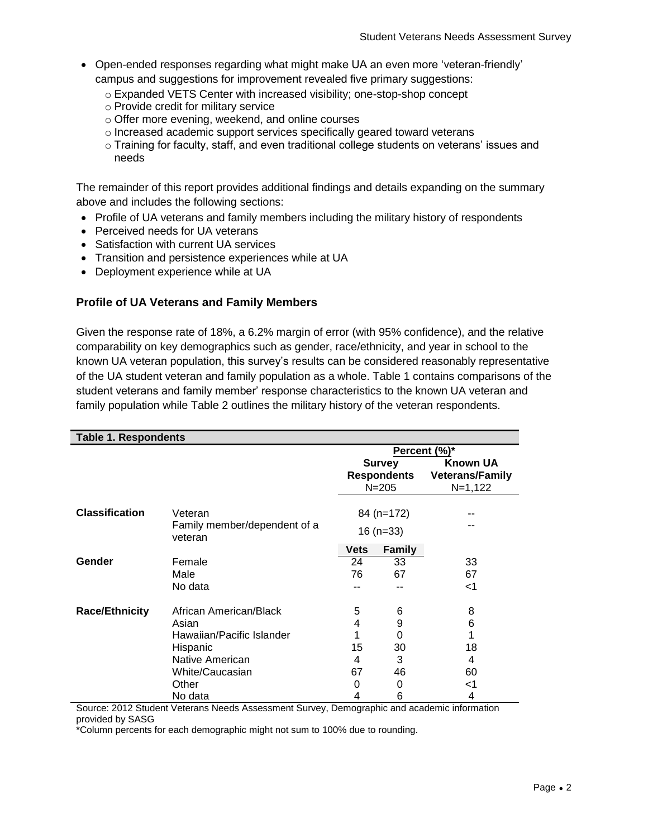- Open-ended responses regarding what might make UA an even more 'veteran-friendly' campus and suggestions for improvement revealed five primary suggestions:
	- o Expanded VETS Center with increased visibility; one-stop-shop concept
	- o Provide credit for military service
	- o Offer more evening, weekend, and online courses
	- o Increased academic support services specifically geared toward veterans
	- o Training for faculty, staff, and even traditional college students on veterans' issues and needs

The remainder of this report provides additional findings and details expanding on the summary above and includes the following sections:

- Profile of UA veterans and family members including the military history of respondents
- Perceived needs for UA veterans
- Satisfaction with current UA services
- Transition and persistence experiences while at UA
- Deployment experience while at UA

# **Profile of UA Veterans and Family Members**

Given the response rate of 18%, a 6.2% margin of error (with 95% confidence), and the relative comparability on key demographics such as gender, race/ethnicity, and year in school to the known UA veteran population, this survey's results can be considered reasonably representative of the UA student veteran and family population as a whole. Table 1 contains comparisons of the student veterans and family member' response characteristics to the known UA veteran and family population while Table 2 outlines the military history of the veteran respondents.

| <b>Table 1. Respondents</b> |                                         |              |                                                  |                                                        |  |
|-----------------------------|-----------------------------------------|--------------|--------------------------------------------------|--------------------------------------------------------|--|
|                             |                                         | Percent (%)* |                                                  |                                                        |  |
|                             |                                         |              | <b>Survey</b><br><b>Respondents</b><br>$N = 205$ | <b>Known UA</b><br><b>Veterans/Family</b><br>$N=1,122$ |  |
| <b>Classification</b>       | Veteran<br>Family member/dependent of a |              | 84 (n=172)                                       |                                                        |  |
|                             | veteran                                 |              | $16(n=33)$                                       |                                                        |  |
|                             |                                         | <b>Vets</b>  | <b>Family</b>                                    |                                                        |  |
| Gender                      | Female                                  | 24           | 33                                               | 33                                                     |  |
|                             | Male                                    | 76           | 67                                               | 67                                                     |  |
|                             | No data                                 |              |                                                  | <1                                                     |  |
| <b>Race/Ethnicity</b>       | African American/Black                  | 5            | 6                                                | 8                                                      |  |
|                             | Asian                                   | 4            | 9                                                | 6                                                      |  |
|                             | Hawaiian/Pacific Islander               |              | 0                                                |                                                        |  |
|                             | Hispanic                                | 15           | 30                                               | 18                                                     |  |
|                             | Native American                         | 4            | 3                                                | 4                                                      |  |
|                             | <b>White/Caucasian</b>                  | 67           | 46                                               | 60                                                     |  |
|                             | Other                                   | 0            | 0                                                | <1                                                     |  |
|                             | No data                                 | 4            | 6                                                | 4                                                      |  |

Source: 2012 Student Veterans Needs Assessment Survey, Demographic and academic information provided by SASG

\*Column percents for each demographic might not sum to 100% due to rounding.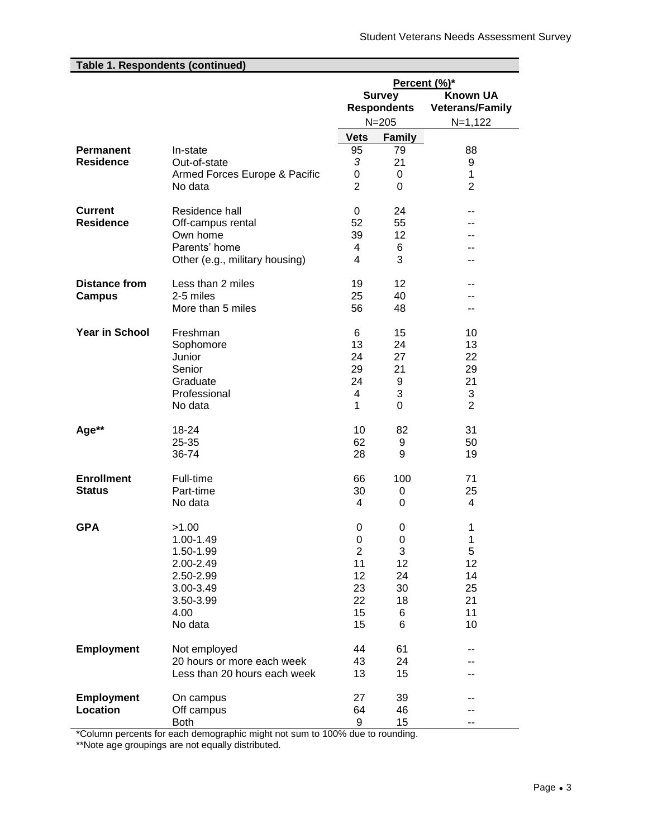| Table 1. Respondents (continued) |                                |                |                    |                        |
|----------------------------------|--------------------------------|----------------|--------------------|------------------------|
|                                  |                                | Percent (%)*   |                    |                        |
|                                  |                                | <b>Survey</b>  |                    | <b>Known UA</b>        |
|                                  |                                |                | <b>Respondents</b> | <b>Veterans/Family</b> |
|                                  |                                |                | $N = 205$          | $N=1,122$              |
|                                  |                                | <b>Vets</b>    | <b>Family</b>      |                        |
| <b>Permanent</b>                 | In-state                       | 95             | 79                 | 88                     |
| <b>Residence</b>                 | Out-of-state                   | 3              | 21                 | 9                      |
|                                  | Armed Forces Europe & Pacific  | 0              | 0                  | 1                      |
|                                  | No data                        | $\overline{2}$ | $\Omega$           | $\overline{2}$         |
| <b>Current</b>                   | Residence hall                 | 0              | 24                 |                        |
| <b>Residence</b>                 | Off-campus rental              | 52             | 55                 |                        |
|                                  | Own home                       | 39             | 12                 |                        |
|                                  | Parents' home                  | 4              | 6                  |                        |
|                                  | Other (e.g., military housing) | 4              | 3                  | --                     |
| <b>Distance from</b>             | Less than 2 miles              | 19             | 12                 |                        |
| <b>Campus</b>                    | 2-5 miles                      | 25             | 40                 |                        |
|                                  | More than 5 miles              | 56             | 48                 |                        |
| <b>Year in School</b>            | Freshman                       | 6              | 15                 | 10                     |
|                                  | Sophomore                      | 13             | 24                 | 13                     |
|                                  | Junior                         | 24             | 27                 | 22                     |
|                                  | Senior                         | 29             | 21                 | 29                     |
|                                  | Graduate<br>Professional       | 24<br>4        | 9<br>3             | 21<br>3                |
|                                  | No data                        | 1              | 0                  | $\overline{2}$         |
| Age**                            | 18-24                          | 10             | 82                 | 31                     |
|                                  | 25-35                          | 62             | 9                  | 50                     |
|                                  | 36-74                          | 28             | 9                  | 19                     |
| <b>Enrollment</b>                | Full-time                      | 66             | 100                | 71                     |
| <b>Status</b>                    | Part-time                      | 30             | 0                  | 25                     |
|                                  | No data                        | 4              | 0                  | 4                      |
| <b>GPA</b>                       | >1.00                          | 0              | 0                  | 1                      |
|                                  | 1.00-1.49                      | 0              | 0                  | 1                      |
|                                  | 1.50-1.99                      | $\overline{2}$ | 3                  | 5                      |
|                                  | 2.00-2.49<br>2.50-2.99         | 11<br>12       | 12<br>24           | 12<br>14               |
|                                  | 3.00-3.49                      | 23             | 30                 | 25                     |
|                                  | 3.50-3.99                      | 22             | 18                 | 21                     |
|                                  | 4.00                           | 15             | 6                  | 11                     |
|                                  | No data                        | 15             | 6                  | 10                     |
| <b>Employment</b>                | Not employed                   | 44             | 61                 |                        |
|                                  | 20 hours or more each week     | 43             | 24                 |                        |
|                                  | Less than 20 hours each week   | 13             | 15                 |                        |
| <b>Employment</b>                | On campus                      | 27             | 39                 |                        |
| <b>Location</b>                  | Off campus                     | 64             | 46                 |                        |
|                                  | Both                           | 9              | 15                 |                        |

\*Column percents for each demographic might not sum to 100% due to rounding.

\*\*Note age groupings are not equally distributed.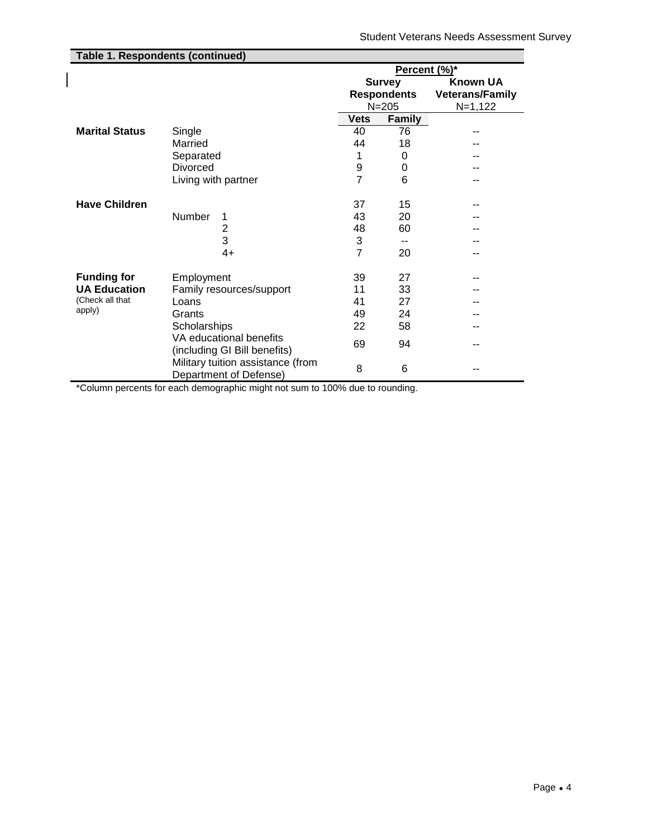| <b>Table 1. Respondents (continued)</b> |                                                             |              |                    |                        |
|-----------------------------------------|-------------------------------------------------------------|--------------|--------------------|------------------------|
|                                         |                                                             | Percent (%)* |                    |                        |
|                                         |                                                             |              | <b>Survey</b>      | <b>Known UA</b>        |
|                                         |                                                             |              | <b>Respondents</b> | <b>Veterans/Family</b> |
|                                         |                                                             |              | $N = 205$          | $N=1,122$              |
|                                         |                                                             | <b>Vets</b>  | Family             |                        |
| <b>Marital Status</b>                   | Single                                                      | 40           | 76                 |                        |
|                                         | Married                                                     | 44           | 18                 | --                     |
|                                         | Separated                                                   | 1            | 0                  |                        |
|                                         | Divorced                                                    | 9            | 0                  | --                     |
|                                         | Living with partner                                         | 7            | 6                  | --                     |
|                                         |                                                             |              |                    |                        |
| <b>Have Children</b>                    |                                                             | 37           | 15                 |                        |
|                                         | Number<br>1                                                 | 43           | 20                 | --                     |
|                                         | 2                                                           | 48           | 60                 | --                     |
|                                         | 3                                                           | 3            | --                 |                        |
|                                         | $4+$                                                        | 7            | 20                 | --                     |
|                                         |                                                             |              |                    |                        |
| <b>Funding for</b>                      | Employment                                                  | 39           | 27                 | --                     |
| <b>UA Education</b>                     | Family resources/support                                    | 11           | 33                 | --                     |
| (Check all that                         | Loans                                                       | 41           | 27                 | --                     |
| apply)                                  | Grants                                                      | 49           | 24                 | --                     |
|                                         | Scholarships                                                | 22           | 58                 | --                     |
|                                         | VA educational benefits<br>(including GI Bill benefits)     | 69           | 94                 | --                     |
|                                         | Military tuition assistance (from<br>Department of Defense) | 8            | 6                  | --                     |

\*Column percents for each demographic might not sum to 100% due to rounding.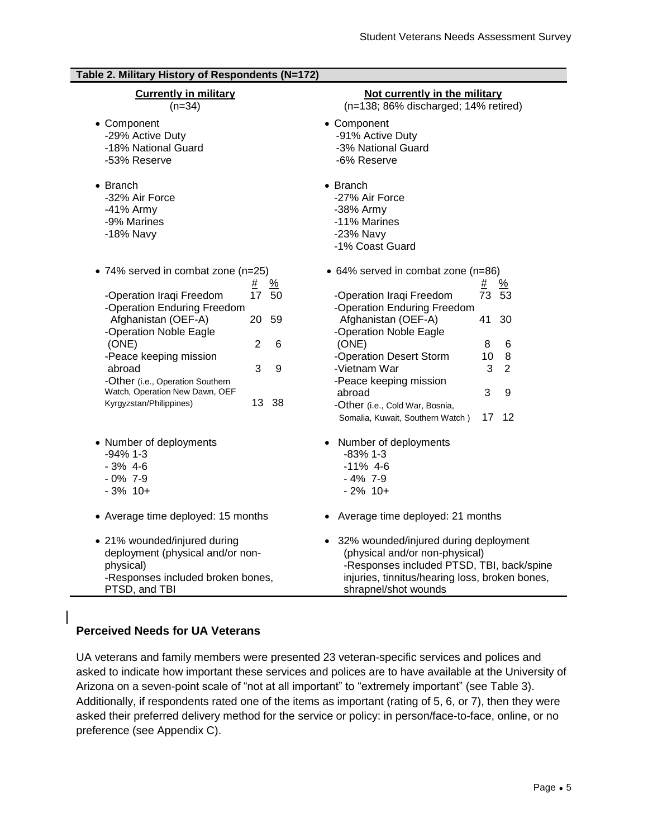| Table 2. Military History of Respondents (N=172)                               |                                                                                                 |
|--------------------------------------------------------------------------------|-------------------------------------------------------------------------------------------------|
| <b>Currently in military</b>                                                   | Not currently in the military                                                                   |
| $(n=34)$                                                                       | (n=138; 86% discharged; 14% retired)                                                            |
| • Component                                                                    | • Component                                                                                     |
| -29% Active Duty                                                               | -91% Active Duty                                                                                |
| -18% National Guard                                                            | -3% National Guard                                                                              |
| -53% Reserve                                                                   | -6% Reserve                                                                                     |
| $\bullet$ Branch<br>-32% Air Force<br>-41% Army<br>-9% Marines<br>-18% Navy    | $\bullet$ Branch<br>-27% Air Force<br>-38% Army<br>-11% Marines<br>-23% Navy<br>-1% Coast Guard |
| • 74% served in combat zone (n=25)                                             | • 64% served in combat zone (n=86)                                                              |
| $\frac{9}{6}$<br><u>#</u><br>17<br>-Operation Iraqi Freedom<br>50              | $\frac{9}{6}$<br><u>#</u><br>-Operation Iraqi Freedom<br>73 53                                  |
| -Operation Enduring Freedom                                                    | -Operation Enduring Freedom                                                                     |
| Afghanistan (OEF-A)                                                            | Afghanistan (OEF-A)                                                                             |
| 20                                                                             | 41                                                                                              |
| 59                                                                             | 30                                                                                              |
| -Operation Noble Eagle                                                         | -Operation Noble Eagle                                                                          |
| $\overline{2}$                                                                 | (ONE)                                                                                           |
| (ONE)                                                                          | 8                                                                                               |
| 6                                                                              | 6                                                                                               |
| -Peace keeping mission<br>abroad<br>3<br>9<br>-Other (i.e., Operation Southern | -Operation Desert Storm<br>8<br>10<br>-Vietnam War<br>3<br>2<br>-Peace keeping mission          |
| Watch, Operation New Dawn, OEF                                                 | 3                                                                                               |
| 13                                                                             | 9                                                                                               |
| -38                                                                            | abroad                                                                                          |
| Kyrgyzstan/Philippines)                                                        | -Other (i.e., Cold War, Bosnia,                                                                 |
|                                                                                | 17<br>12<br>Somalia, Kuwait, Southern Watch)                                                    |
| • Number of deployments                                                        | • Number of deployments                                                                         |
| $-94\%$ 1-3                                                                    | $-83%1-3$                                                                                       |
| $-3% 4-6$                                                                      | $-11\%$ 4-6                                                                                     |
| $-0\%$ 7-9                                                                     | $-4\%$ 7-9                                                                                      |
| $-3\%$ 10+                                                                     | $-2\%$ 10+                                                                                      |
| • Average time deployed: 15 months                                             | • Average time deployed: 21 months                                                              |
| • 21% wounded/injured during                                                   | • 32% wounded/injured during deployment                                                         |
| deployment (physical and/or non-                                               | (physical and/or non-physical)                                                                  |
| physical)                                                                      | -Responses included PTSD, TBI, back/spine                                                       |
| -Responses included broken bones,                                              | injuries, tinnitus/hearing loss, broken bones,                                                  |
| PTSD, and TBI                                                                  | shrapnel/shot wounds                                                                            |

# **Perceived Needs for UA Veterans**

UA veterans and family members were presented 23 veteran-specific services and polices and asked to indicate how important these services and polices are to have available at the University of Arizona on a seven-point scale of "not at all important" to "extremely important" (see Table 3). Additionally, if respondents rated one of the items as important (rating of 5, 6, or 7), then they were asked their preferred delivery method for the service or policy: in person/face-to-face, online, or no preference (see Appendix C).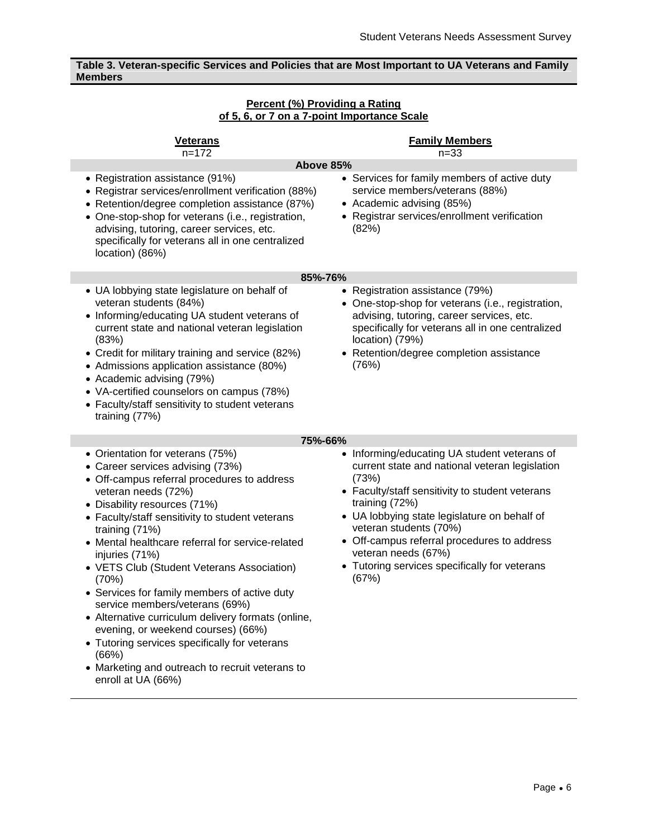# **Table 3. Veteran-specific Services and Policies that are Most Important to UA Veterans and Family Members**

| Percent (%) Providing a Rating              |  |
|---------------------------------------------|--|
| of 5, 6, or 7 on a 7-point Importance Scale |  |

| <u>Veterans</u><br>$n = 172$                                                                                                                                                                                                                                                                                                                                                                                                                                                                                                                                                                                                                                                                  | <b>Family Members</b><br>$n = 33$                                                                                                                                                                                                                                                                                                                                                      |
|-----------------------------------------------------------------------------------------------------------------------------------------------------------------------------------------------------------------------------------------------------------------------------------------------------------------------------------------------------------------------------------------------------------------------------------------------------------------------------------------------------------------------------------------------------------------------------------------------------------------------------------------------------------------------------------------------|----------------------------------------------------------------------------------------------------------------------------------------------------------------------------------------------------------------------------------------------------------------------------------------------------------------------------------------------------------------------------------------|
|                                                                                                                                                                                                                                                                                                                                                                                                                                                                                                                                                                                                                                                                                               | Above 85%                                                                                                                                                                                                                                                                                                                                                                              |
| • Registration assistance (91%)<br>• Registrar services/enrollment verification (88%)<br>• Retention/degree completion assistance (87%)<br>• One-stop-shop for veterans (i.e., registration,<br>advising, tutoring, career services, etc.<br>specifically for veterans all in one centralized<br>location) (86%)                                                                                                                                                                                                                                                                                                                                                                              | • Services for family members of active duty<br>service members/veterans (88%)<br>• Academic advising (85%)<br>• Registrar services/enrollment verification<br>(82%)                                                                                                                                                                                                                   |
|                                                                                                                                                                                                                                                                                                                                                                                                                                                                                                                                                                                                                                                                                               | 85%-76%                                                                                                                                                                                                                                                                                                                                                                                |
| • UA lobbying state legislature on behalf of<br>veteran students (84%)<br>• Informing/educating UA student veterans of<br>current state and national veteran legislation<br>(83%)<br>• Credit for military training and service (82%)<br>• Admissions application assistance (80%)<br>• Academic advising (79%)<br>• VA-certified counselors on campus (78%)<br>• Faculty/staff sensitivity to student veterans<br>training (77%)                                                                                                                                                                                                                                                             | • Registration assistance (79%)<br>• One-stop-shop for veterans (i.e., registration,<br>advising, tutoring, career services, etc.<br>specifically for veterans all in one centralized<br>location) (79%)<br>• Retention/degree completion assistance<br>(76%)                                                                                                                          |
|                                                                                                                                                                                                                                                                                                                                                                                                                                                                                                                                                                                                                                                                                               | 75%-66%                                                                                                                                                                                                                                                                                                                                                                                |
| • Orientation for veterans (75%)<br>• Career services advising (73%)<br>• Off-campus referral procedures to address<br>veteran needs (72%)<br>• Disability resources (71%)<br>• Faculty/staff sensitivity to student veterans<br>training (71%)<br>• Mental healthcare referral for service-related<br>injuries (71%)<br>• VETS Club (Student Veterans Association)<br>(70%)<br>• Services for family members of active duty<br>service members/veterans (69%)<br>• Alternative curriculum delivery formats (online,<br>evening, or weekend courses) (66%)<br>• Tutoring services specifically for veterans<br>(66%)<br>• Marketing and outreach to recruit veterans to<br>enroll at UA (66%) | • Informing/educating UA student veterans of<br>current state and national veteran legislation<br>(73%)<br>• Faculty/staff sensitivity to student veterans<br>training (72%)<br>• UA lobbying state legislature on behalf of<br>veteran students (70%)<br>• Off-campus referral procedures to address<br>veteran needs (67%)<br>• Tutoring services specifically for veterans<br>(67%) |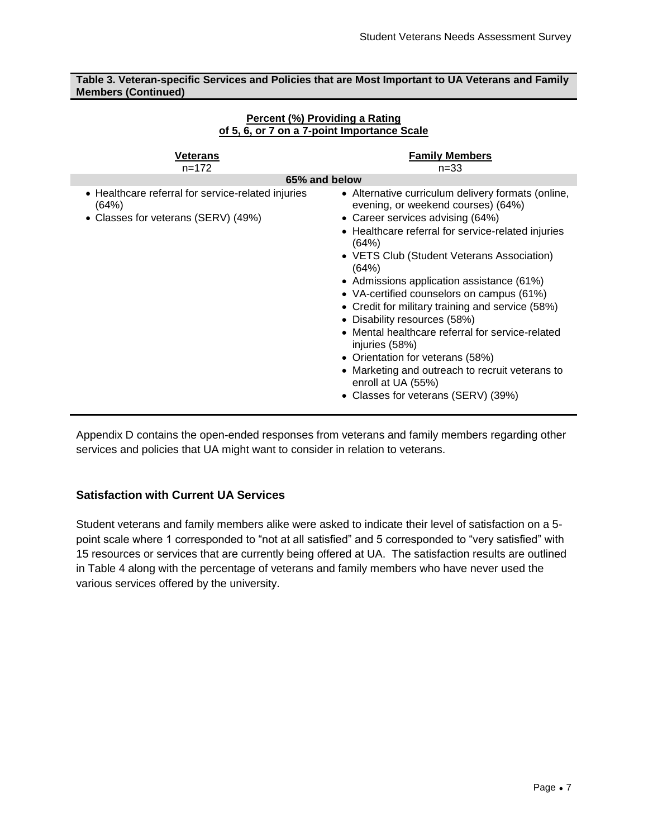**Table 3. Veteran-specific Services and Policies that are Most Important to UA Veterans and Family Members (Continued)**

| Veterans<br>$n = 172$                                                                              | <b>Family Members</b><br>$n = 33$                                                                                                                                                                                                                                                                                                                                                                                                                                                                                                                                                                                                                    |
|----------------------------------------------------------------------------------------------------|------------------------------------------------------------------------------------------------------------------------------------------------------------------------------------------------------------------------------------------------------------------------------------------------------------------------------------------------------------------------------------------------------------------------------------------------------------------------------------------------------------------------------------------------------------------------------------------------------------------------------------------------------|
| 65% and below                                                                                      |                                                                                                                                                                                                                                                                                                                                                                                                                                                                                                                                                                                                                                                      |
| • Healthcare referral for service-related injuries<br>(64%)<br>• Classes for veterans (SERV) (49%) | • Alternative curriculum delivery formats (online,<br>evening, or weekend courses) (64%)<br>• Career services advising (64%)<br>• Healthcare referral for service-related injuries<br>(64%)<br>• VETS Club (Student Veterans Association)<br>(64%)<br>• Admissions application assistance (61%)<br>• VA-certified counselors on campus (61%)<br>• Credit for military training and service (58%)<br>• Disability resources (58%)<br>Mental healthcare referral for service-related<br>injuries (58%)<br>• Orientation for veterans (58%)<br>Marketing and outreach to recruit veterans to<br>enroll at UA (55%)<br>Classes for veterans (SERV) (39%) |

#### **Percent (%) Providing a Rating of 5, 6, or 7 on a 7-point Importance Scale**

Appendix D contains the open-ended responses from veterans and family members regarding other services and policies that UA might want to consider in relation to veterans.

# **Satisfaction with Current UA Services**

Student veterans and family members alike were asked to indicate their level of satisfaction on a 5 point scale where 1 corresponded to "not at all satisfied" and 5 corresponded to "very satisfied" with 15 resources or services that are currently being offered at UA. The satisfaction results are outlined in Table 4 along with the percentage of veterans and family members who have never used the various services offered by the university.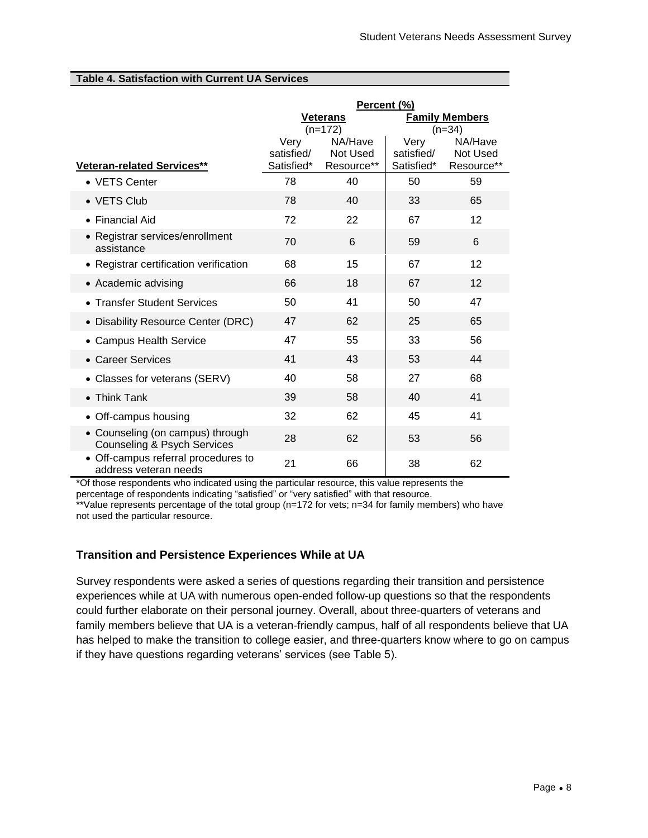### **Table 4. Satisfaction with Current UA Services**

|                                                                            | Percent (%)        |                      |                    |                       |
|----------------------------------------------------------------------------|--------------------|----------------------|--------------------|-----------------------|
|                                                                            | <b>Veterans</b>    |                      |                    | <b>Family Members</b> |
|                                                                            |                    | $(n=172)$<br>NA/Have |                    | $(n=34)$<br>NA/Have   |
|                                                                            | Very<br>satisfied/ | Not Used             | Very<br>satisfied/ | <b>Not Used</b>       |
| Veteran-related Services**                                                 | Satisfied*         | Resource**           | Satisfied*         | Resource**            |
| • VETS Center                                                              | 78                 | 40                   | 50                 | 59                    |
| • VETS Club                                                                | 78                 | 40                   | 33                 | 65                    |
| $\bullet$ Financial Aid                                                    | 72                 | 22                   | 67                 | 12                    |
| • Registrar services/enrollment<br>assistance                              | 70                 | 6                    | 59                 | 6                     |
| • Registrar certification verification                                     | 68                 | 15                   | 67                 | 12                    |
| • Academic advising                                                        | 66                 | 18                   | 67                 | 12                    |
| • Transfer Student Services                                                | 50                 | 41                   | 50                 | 47                    |
| • Disability Resource Center (DRC)                                         | 47                 | 62                   | 25                 | 65                    |
| • Campus Health Service                                                    | 47                 | 55                   | 33                 | 56                    |
| • Career Services                                                          | 41                 | 43                   | 53                 | 44                    |
| • Classes for veterans (SERV)                                              | 40                 | 58                   | 27                 | 68                    |
| $\bullet$ Think Tank                                                       | 39                 | 58                   | 40                 | 41                    |
| • Off-campus housing                                                       | 32                 | 62                   | 45                 | 41                    |
| • Counseling (on campus) through<br><b>Counseling &amp; Psych Services</b> | 28                 | 62                   | 53                 | 56                    |
| • Off-campus referral procedures to<br>address veteran needs               | 21                 | 66                   | 38                 | 62                    |

\*Of those respondents who indicated using the particular resource, this value represents the

percentage of respondents indicating "satisfied" or "very satisfied" with that resource. \*\*Value represents percentage of the total group (n=172 for vets; n=34 for family members) who have

not used the particular resource.

# **Transition and Persistence Experiences While at UA**

Survey respondents were asked a series of questions regarding their transition and persistence experiences while at UA with numerous open-ended follow-up questions so that the respondents could further elaborate on their personal journey. Overall, about three-quarters of veterans and family members believe that UA is a veteran-friendly campus, half of all respondents believe that UA has helped to make the transition to college easier, and three-quarters know where to go on campus if they have questions regarding veterans' services (see Table 5).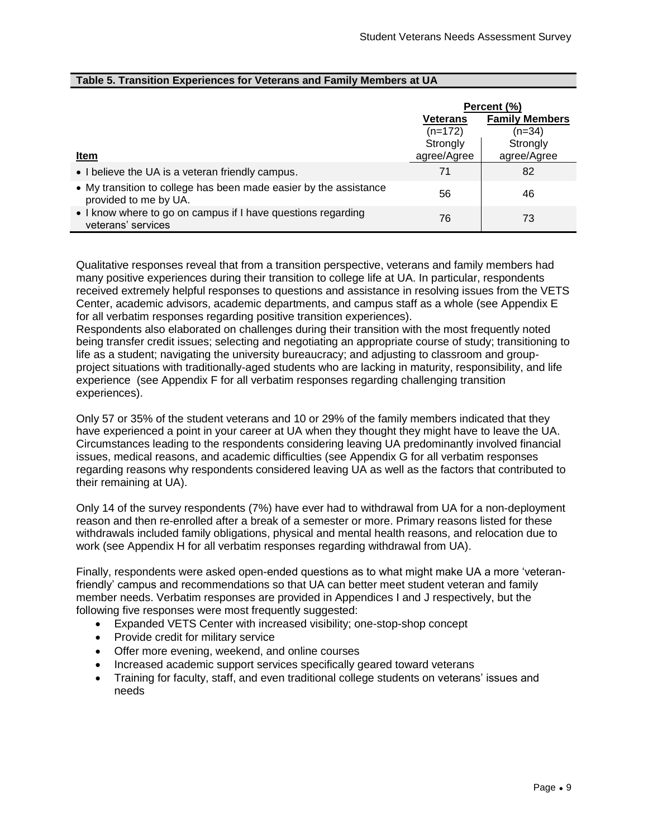| Table 5. Transition Experiences for Veterans and Family Members at UA |  |  |  |
|-----------------------------------------------------------------------|--|--|--|
|-----------------------------------------------------------------------|--|--|--|

|                                                                                            | Percent (%)                              |             |
|--------------------------------------------------------------------------------------------|------------------------------------------|-------------|
|                                                                                            | <b>Family Members</b><br><b>Veterans</b> |             |
|                                                                                            | $(n=172)$                                | $(n=34)$    |
|                                                                                            | Strongly                                 | Strongly    |
| Item                                                                                       | agree/Agree                              | agree/Agree |
| • I believe the UA is a veteran friendly campus.                                           | 71                                       | 82          |
| • My transition to college has been made easier by the assistance<br>provided to me by UA. | 56                                       | 46          |
| • I know where to go on campus if I have questions regarding<br>veterans' services         | 76                                       | 73          |

Qualitative responses reveal that from a transition perspective, veterans and family members had many positive experiences during their transition to college life at UA. In particular, respondents received extremely helpful responses to questions and assistance in resolving issues from the VETS Center, academic advisors, academic departments, and campus staff as a whole (see Appendix E for all verbatim responses regarding positive transition experiences).

Respondents also elaborated on challenges during their transition with the most frequently noted being transfer credit issues; selecting and negotiating an appropriate course of study; transitioning to life as a student; navigating the university bureaucracy; and adjusting to classroom and groupproject situations with traditionally-aged students who are lacking in maturity, responsibility, and life experience (see Appendix F for all verbatim responses regarding challenging transition experiences).

Only 57 or 35% of the student veterans and 10 or 29% of the family members indicated that they have experienced a point in your career at UA when they thought they might have to leave the UA. Circumstances leading to the respondents considering leaving UA predominantly involved financial issues, medical reasons, and academic difficulties (see Appendix G for all verbatim responses regarding reasons why respondents considered leaving UA as well as the factors that contributed to their remaining at UA).

Only 14 of the survey respondents (7%) have ever had to withdrawal from UA for a non-deployment reason and then re-enrolled after a break of a semester or more. Primary reasons listed for these withdrawals included family obligations, physical and mental health reasons, and relocation due to work (see Appendix H for all verbatim responses regarding withdrawal from UA).

Finally, respondents were asked open-ended questions as to what might make UA a more 'veteranfriendly' campus and recommendations so that UA can better meet student veteran and family member needs. Verbatim responses are provided in Appendices I and J respectively, but the following five responses were most frequently suggested:

- Expanded VETS Center with increased visibility; one-stop-shop concept
- Provide credit for military service
- Offer more evening, weekend, and online courses
- Increased academic support services specifically geared toward veterans
- Training for faculty, staff, and even traditional college students on veterans' issues and needs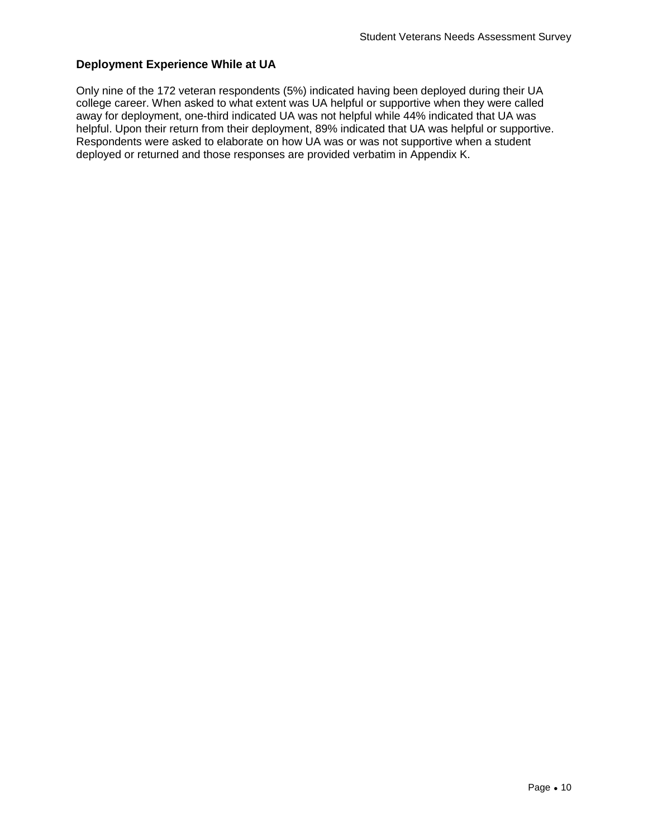# **Deployment Experience While at UA**

Only nine of the 172 veteran respondents (5%) indicated having been deployed during their UA college career. When asked to what extent was UA helpful or supportive when they were called away for deployment, one-third indicated UA was not helpful while 44% indicated that UA was helpful. Upon their return from their deployment, 89% indicated that UA was helpful or supportive. Respondents were asked to elaborate on how UA was or was not supportive when a student deployed or returned and those responses are provided verbatim in Appendix K.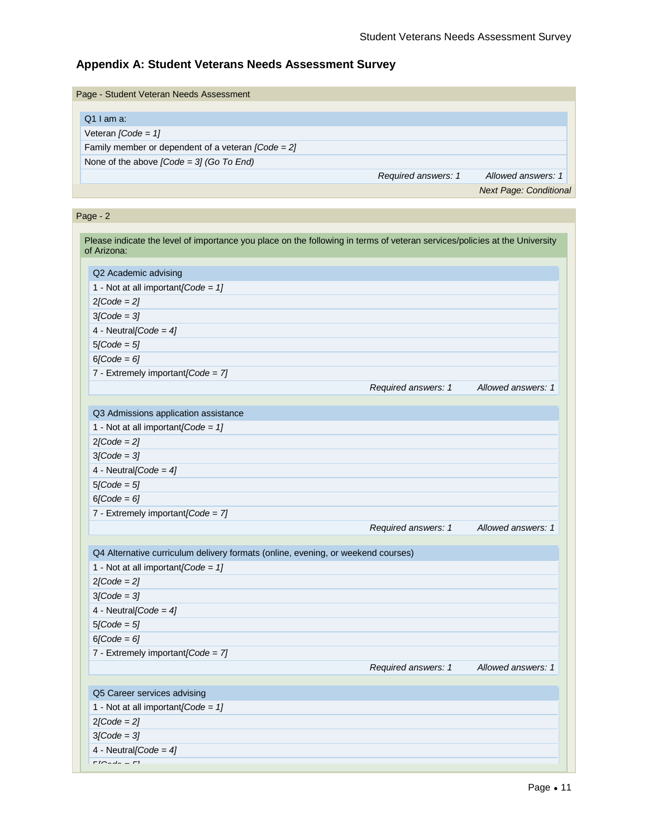# **Appendix A: Student Veterans Needs Assessment Survey**

| Page - Student Veteran Needs Assessment              |                     |                               |
|------------------------------------------------------|---------------------|-------------------------------|
|                                                      |                     |                               |
| $Q1$ am a:                                           |                     |                               |
| Veteran $\textit{Code} = 11$                         |                     |                               |
| Family member or dependent of a veteran $[Code = 2]$ |                     |                               |
| None of the above $[Code = 3]$ (Go To End)           |                     |                               |
|                                                      | Required answers: 1 | Allowed answers: 1            |
|                                                      |                     | <b>Next Page: Conditional</b> |

# Page - 2

| Please indicate the level of importance you place on the following in terms of veteran services/policies at the University<br>of Arizona: |                     |                    |
|-------------------------------------------------------------------------------------------------------------------------------------------|---------------------|--------------------|
|                                                                                                                                           |                     |                    |
| Q2 Academic advising                                                                                                                      |                     |                    |
| 1 - Not at all important $\text{Code} = 1$                                                                                                |                     |                    |
| $2[Code = 2]$                                                                                                                             |                     |                    |
| $3[Code = 3]$                                                                                                                             |                     |                    |
| 4 - Neutral[Code = $4$ ]                                                                                                                  |                     |                    |
| $5[Code = 5]$                                                                                                                             |                     |                    |
| $6[Code = 6]$                                                                                                                             |                     |                    |
| 7 - Extremely important $[Code = 7]$                                                                                                      |                     |                    |
|                                                                                                                                           | Required answers: 1 | Allowed answers: 1 |
|                                                                                                                                           |                     |                    |
| Q3 Admissions application assistance                                                                                                      |                     |                    |
| 1 - Not at all important $[Code = 1]$                                                                                                     |                     |                    |
| $2[Code = 2]$                                                                                                                             |                     |                    |
| $3[Code = 3]$                                                                                                                             |                     |                    |
| 4 - Neutral[Code = $4$ ]                                                                                                                  |                     |                    |
| $5[Code = 5]$                                                                                                                             |                     |                    |
| $6[Code = 6]$                                                                                                                             |                     |                    |
| 7 - Extremely important [Code = 7]                                                                                                        |                     |                    |
|                                                                                                                                           | Required answers: 1 | Allowed answers: 1 |
|                                                                                                                                           |                     |                    |
| Q4 Alternative curriculum delivery formats (online, evening, or weekend courses)                                                          |                     |                    |
| 1 - Not at all important $[Code = 1]$                                                                                                     |                     |                    |
| $2[Code = 2]$                                                                                                                             |                     |                    |
| $3[Code = 3]$                                                                                                                             |                     |                    |
| 4 - Neutral[Code = $4$ ]                                                                                                                  |                     |                    |
| $5[Code = 5]$                                                                                                                             |                     |                    |
| $6/Code = 6$ ]                                                                                                                            |                     |                    |
| 7 - Extremely important $[Code = 7]$                                                                                                      |                     |                    |
|                                                                                                                                           | Required answers: 1 | Allowed answers: 1 |
| Q5 Career services advising                                                                                                               |                     |                    |
| 1 - Not at all important $[Code = 1]$                                                                                                     |                     |                    |
| $2[Code = 2]$                                                                                                                             |                     |                    |
|                                                                                                                                           |                     |                    |
| $3[Code = 3]$                                                                                                                             |                     |                    |
| 4 - Neutral[Code = $4$ ]<br>$m = 10$                                                                                                      |                     |                    |
|                                                                                                                                           |                     |                    |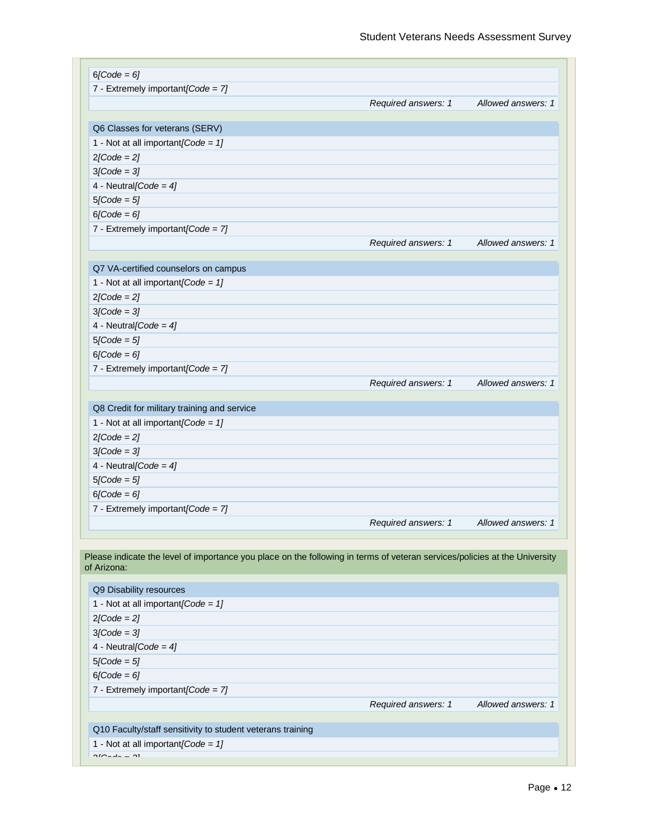| $6[Code = 6]$                                                                                                                             |                     |                    |
|-------------------------------------------------------------------------------------------------------------------------------------------|---------------------|--------------------|
| 7 - Extremely important[Code = 7]                                                                                                         |                     |                    |
|                                                                                                                                           | Required answers: 1 | Allowed answers: 1 |
|                                                                                                                                           |                     |                    |
| Q6 Classes for veterans (SERV)                                                                                                            |                     |                    |
| 1 - Not at all important [Code = $1$ ]                                                                                                    |                     |                    |
| $2[Code = 2]$                                                                                                                             |                     |                    |
| $3[Code = 3]$                                                                                                                             |                     |                    |
| 4 - Neutral[Code = $4$ ]                                                                                                                  |                     |                    |
| $5[Code = 5]$                                                                                                                             |                     |                    |
| $6[Code = 6]$                                                                                                                             |                     |                    |
| 7 - Extremely important [Code = $7$ ]                                                                                                     |                     |                    |
|                                                                                                                                           | Required answers: 1 | Allowed answers: 1 |
|                                                                                                                                           |                     |                    |
| Q7 VA-certified counselors on campus                                                                                                      |                     |                    |
| 1 - Not at all important [Code = $1$ ]                                                                                                    |                     |                    |
| $2[Code = 2]$                                                                                                                             |                     |                    |
| $3[Code = 3]$                                                                                                                             |                     |                    |
| 4 - Neutral [Code = $4$ ]                                                                                                                 |                     |                    |
| $5[Code = 5]$                                                                                                                             |                     |                    |
| $6$ [Code = 6]                                                                                                                            |                     |                    |
| 7 - Extremely important[Code = 7]                                                                                                         |                     |                    |
|                                                                                                                                           | Required answers: 1 | Allowed answers: 1 |
|                                                                                                                                           |                     |                    |
| Q8 Credit for military training and service                                                                                               |                     |                    |
| 1 - Not at all important [Code = $1$ ]                                                                                                    |                     |                    |
| $2[Code = 2]$                                                                                                                             |                     |                    |
| $3[Code = 3]$                                                                                                                             |                     |                    |
| 4 - Neutral [Code = $4$ ]                                                                                                                 |                     |                    |
| $5/Code = 5$ ]                                                                                                                            |                     |                    |
| $6[Code = 6]$                                                                                                                             |                     |                    |
| 7 - Extremely important[Code = 7]                                                                                                         |                     |                    |
|                                                                                                                                           |                     |                    |
|                                                                                                                                           | Required answers: 1 | Allowed answers: 1 |
| Please indicate the level of importance you place on the following in terms of veteran services/policies at the University<br>of Arizona: |                     |                    |
| Q9 Disability resources                                                                                                                   |                     |                    |
| 1 - Not at all important [Code = $1$ ]                                                                                                    |                     |                    |
|                                                                                                                                           |                     |                    |
| $2[Code = 2]$                                                                                                                             |                     |                    |
| $3$ [Code = $3$ ]                                                                                                                         |                     |                    |
| 4 - Neutral [Code = $4$ ]                                                                                                                 |                     |                    |
| $5[Code = 5]$                                                                                                                             |                     |                    |
| $6[Code = 6]$                                                                                                                             |                     |                    |
| 7 - Extremely important[Code = 7]                                                                                                         |                     |                    |
|                                                                                                                                           | Required answers: 1 | Allowed answers: 1 |
|                                                                                                                                           |                     |                    |
| Q10 Faculty/staff sensitivity to student veterans training                                                                                |                     |                    |
| 1 - Not at all important $[Code = 1]$                                                                                                     |                     |                    |
| $\sim$ $\sim$ $\sim$ $\sim$<br>$\sim$                                                                                                     |                     |                    |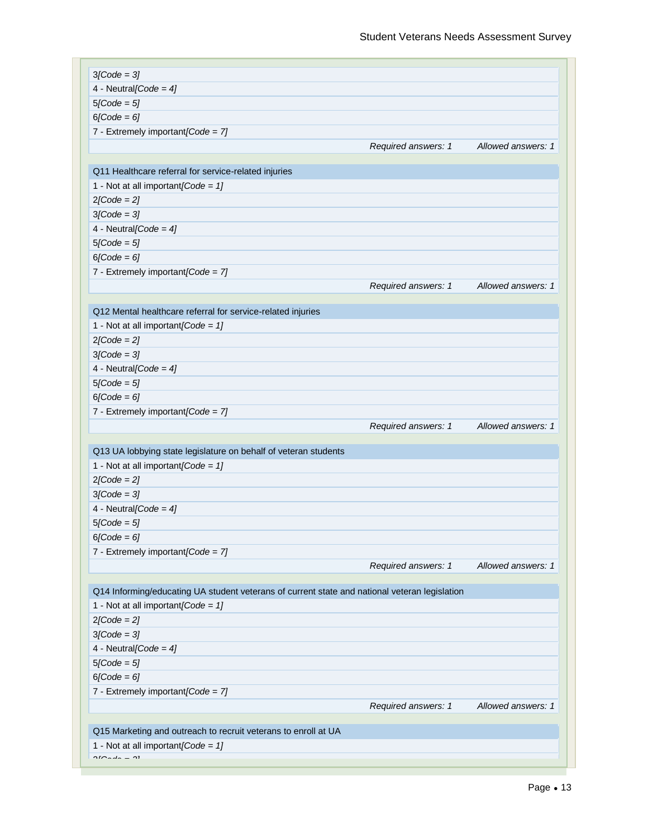| $3[Code = 3]$                                                                                 |                     |                    |
|-----------------------------------------------------------------------------------------------|---------------------|--------------------|
| 4 - Neutral[Code = $4$ ]                                                                      |                     |                    |
| $5[Code = 5]$                                                                                 |                     |                    |
| $6[Code = 6]$                                                                                 |                     |                    |
| 7 - Extremely important $[Code = 7]$                                                          |                     |                    |
|                                                                                               | Required answers: 1 | Allowed answers: 1 |
|                                                                                               |                     |                    |
| Q11 Healthcare referral for service-related injuries                                          |                     |                    |
| 1 - Not at all important $[Code = 1]$                                                         |                     |                    |
| $2[Code = 2]$                                                                                 |                     |                    |
| $3[Code = 3]$                                                                                 |                     |                    |
| 4 - Neutral [Code = $4$ ]                                                                     |                     |                    |
| $5[Code = 5]$                                                                                 |                     |                    |
| $6[Code = 6]$                                                                                 |                     |                    |
| 7 - Extremely important $[Code = 7]$                                                          |                     |                    |
|                                                                                               | Required answers: 1 | Allowed answers: 1 |
|                                                                                               |                     |                    |
| Q12 Mental healthcare referral for service-related injuries                                   |                     |                    |
| 1 - Not at all important $[Code = 1]$                                                         |                     |                    |
| $2[Code = 2]$                                                                                 |                     |                    |
| $3[Code = 3]$                                                                                 |                     |                    |
| 4 - Neutral [Code = $4$ ]                                                                     |                     |                    |
| $5[Code = 5]$                                                                                 |                     |                    |
| $6[Code = 6]$                                                                                 |                     |                    |
| 7 - Extremely important [Code = $7$ ]                                                         |                     |                    |
|                                                                                               | Required answers: 1 | Allowed answers: 1 |
|                                                                                               |                     |                    |
| Q13 UA lobbying state legislature on behalf of veteran students                               |                     |                    |
| 1 - Not at all important $[Code = 1]$                                                         |                     |                    |
| $2[Code = 2]$                                                                                 |                     |                    |
| $3[Code = 3]$                                                                                 |                     |                    |
| 4 - Neutral[Code = $4$ ]                                                                      |                     |                    |
| $5[Code = 5]$                                                                                 |                     |                    |
| $6[Code = 6]$                                                                                 |                     |                    |
| 7 - Extremely important $[Code = 7]$                                                          |                     |                    |
|                                                                                               | Required answers: 1 | Allowed answers: 1 |
|                                                                                               |                     |                    |
| Q14 Informing/educating UA student veterans of current state and national veteran legislation |                     |                    |
| 1 - Not at all important [Code = $1$ ]                                                        |                     |                    |
| $2[Code = 2]$                                                                                 |                     |                    |
| $3[Code = 3]$                                                                                 |                     |                    |
| 4 - Neutral [Code = $4$ ]                                                                     |                     |                    |
| $5[Code = 5]$                                                                                 |                     |                    |
| $6[Code = 6]$                                                                                 |                     |                    |
| 7 - Extremely important[Code = 7]                                                             |                     |                    |
|                                                                                               | Required answers: 1 | Allowed answers: 1 |
|                                                                                               |                     |                    |
| Q15 Marketing and outreach to recruit veterans to enroll at UA                                |                     |                    |
| 1 - Not at all important $[Code = 1]$                                                         |                     |                    |
| $0.50 - 1.4$<br>$\sim$                                                                        |                     |                    |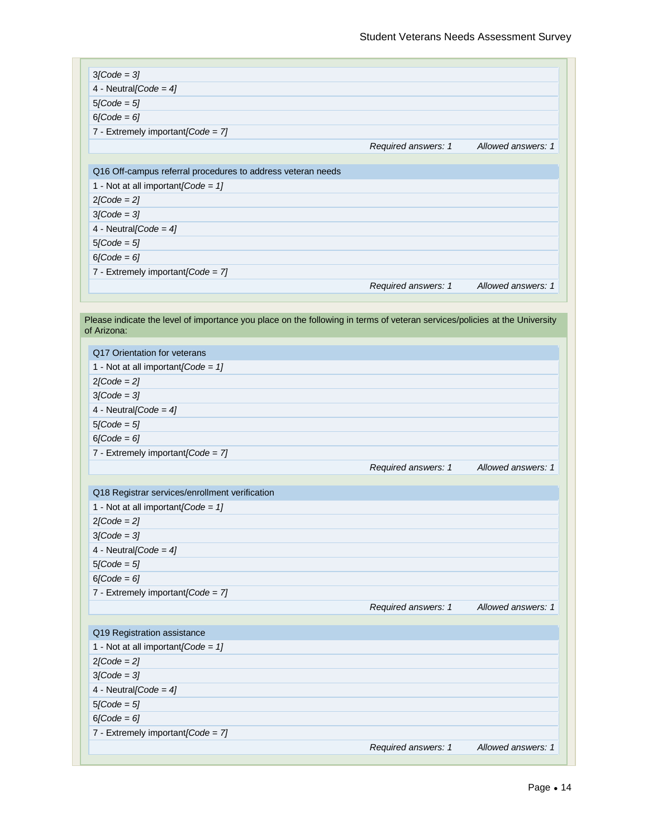| $3[Code = 3]$                                                                                                                             |                     |                    |
|-------------------------------------------------------------------------------------------------------------------------------------------|---------------------|--------------------|
| 4 - Neutral [Code = $4$ ]                                                                                                                 |                     |                    |
| $5[Code = 5]$                                                                                                                             |                     |                    |
| $6[Code = 6]$                                                                                                                             |                     |                    |
| 7 - Extremely important[Code = 7]                                                                                                         |                     |                    |
|                                                                                                                                           | Required answers: 1 | Allowed answers: 1 |
|                                                                                                                                           |                     |                    |
| Q16 Off-campus referral procedures to address veteran needs                                                                               |                     |                    |
| 1 - Not at all important $[Code = 1]$                                                                                                     |                     |                    |
| $2[Code = 2]$                                                                                                                             |                     |                    |
| $3[Code = 3]$                                                                                                                             |                     |                    |
| 4 - Neutral [Code = $4$ ]                                                                                                                 |                     |                    |
| $5[Code = 5]$                                                                                                                             |                     |                    |
| $6[Code = 6]$                                                                                                                             |                     |                    |
| 7 - Extremely important $[Code = 7]$                                                                                                      |                     |                    |
|                                                                                                                                           | Required answers: 1 | Allowed answers: 1 |
|                                                                                                                                           |                     |                    |
| Please indicate the level of importance you place on the following in terms of veteran services/policies at the University<br>of Arizona: |                     |                    |
| Q17 Orientation for veterans                                                                                                              |                     |                    |
| 1 - Not at all important $[Code = 1]$                                                                                                     |                     |                    |
| $2[Code = 2]$                                                                                                                             |                     |                    |
| $3[Code = 3]$                                                                                                                             |                     |                    |
| 4 - Neutral [Code = $4$ ]                                                                                                                 |                     |                    |
| $5[Code = 5]$                                                                                                                             |                     |                    |
| $6[Code = 6]$                                                                                                                             |                     |                    |
| 7 - Extremely important [Code = $7$ ]                                                                                                     |                     |                    |
|                                                                                                                                           | Required answers: 1 | Allowed answers: 1 |
| Q18 Registrar services/enrollment verification                                                                                            |                     |                    |
| 1 - Not at all important $[Code = 1]$                                                                                                     |                     |                    |
| $2 \cdot \text{Code} = 2 \cdot \text{?}$                                                                                                  |                     |                    |
| $3[Code = 3]$                                                                                                                             |                     |                    |
| 4 - Neutral [Code = $4$ ]                                                                                                                 |                     |                    |
| $5[Code = 5]$                                                                                                                             |                     |                    |
| $6[Code = 6]$                                                                                                                             |                     |                    |
|                                                                                                                                           |                     |                    |
|                                                                                                                                           |                     | Allowed answers: 1 |
| 7 - Extremely important $[Code = 7]$                                                                                                      |                     |                    |
|                                                                                                                                           | Required answers: 1 |                    |
| Q19 Registration assistance                                                                                                               |                     |                    |
| 1 - Not at all important $[Code = 1]$                                                                                                     |                     |                    |
| $2[Code = 2]$                                                                                                                             |                     |                    |
| $3[Code = 3]$                                                                                                                             |                     |                    |
| 4 - Neutral [Code = $4$ ]                                                                                                                 |                     |                    |
| $5[Code = 5]$                                                                                                                             |                     |                    |
| $6[Code = 6]$                                                                                                                             |                     |                    |
| 7 - Extremely important[Code = 7]                                                                                                         |                     |                    |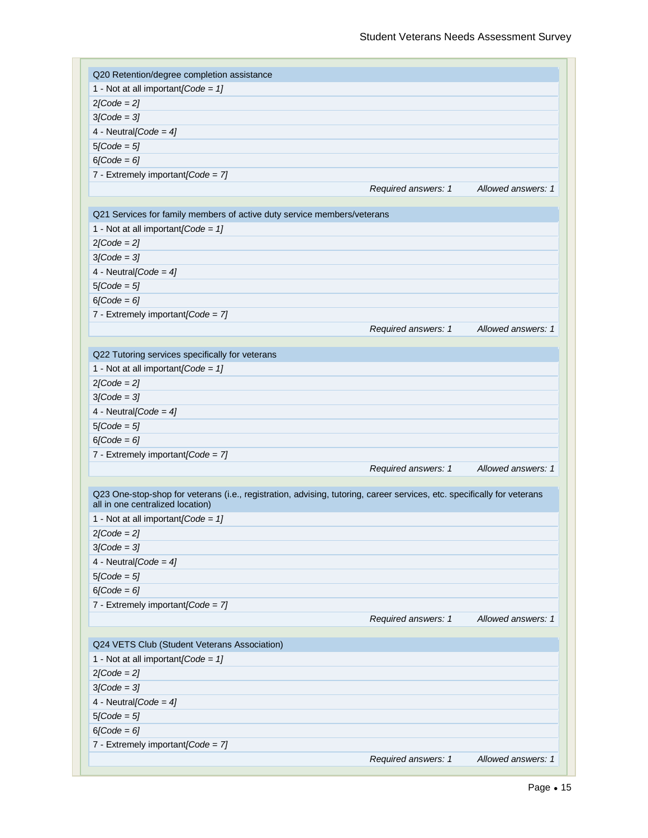| Q20 Retention/degree completion assistance                                                                                                                  |                     |                    |
|-------------------------------------------------------------------------------------------------------------------------------------------------------------|---------------------|--------------------|
| 1 - Not at all important [Code = $1$ ]                                                                                                                      |                     |                    |
| $2[Code = 2]$                                                                                                                                               |                     |                    |
| $3[Code = 3]$                                                                                                                                               |                     |                    |
| 4 - Neutral [Code = $4$ ]                                                                                                                                   |                     |                    |
| $5[Code = 5]$                                                                                                                                               |                     |                    |
| $6[Code = 6]$                                                                                                                                               |                     |                    |
| 7 - Extremely important[Code = 7]                                                                                                                           |                     |                    |
|                                                                                                                                                             | Required answers: 1 | Allowed answers: 1 |
|                                                                                                                                                             |                     |                    |
| Q21 Services for family members of active duty service members/veterans                                                                                     |                     |                    |
| 1 - Not at all important [Code = $1$ ]                                                                                                                      |                     |                    |
| $2[Code = 2]$                                                                                                                                               |                     |                    |
| $3[Code = 3]$                                                                                                                                               |                     |                    |
| 4 - Neutral [Code = $4$ ]                                                                                                                                   |                     |                    |
| $5[Code = 5]$                                                                                                                                               |                     |                    |
| $6[Code = 6]$                                                                                                                                               |                     |                    |
| 7 - Extremely important[Code = 7]                                                                                                                           |                     |                    |
|                                                                                                                                                             | Required answers: 1 | Allowed answers: 1 |
|                                                                                                                                                             |                     |                    |
| Q22 Tutoring services specifically for veterans                                                                                                             |                     |                    |
| 1 - Not at all important $[Code = 1]$                                                                                                                       |                     |                    |
| $2[Code = 2]$                                                                                                                                               |                     |                    |
| $3[Code = 3]$                                                                                                                                               |                     |                    |
| 4 - Neutral [Code = $4$ ]                                                                                                                                   |                     |                    |
| $5[Code = 5]$                                                                                                                                               |                     |                    |
| $6[Code = 6]$                                                                                                                                               |                     |                    |
| 7 - Extremely important [Code = $7$ ]                                                                                                                       |                     |                    |
|                                                                                                                                                             | Required answers: 1 | Allowed answers: 1 |
|                                                                                                                                                             |                     |                    |
| Q23 One-stop-shop for veterans (i.e., registration, advising, tutoring, career services, etc. specifically for veterans<br>all in one centralized location) |                     |                    |
|                                                                                                                                                             |                     |                    |
| 1 - Not at all important [Code = $1$ ]                                                                                                                      |                     |                    |
| $2[Code = 2]$                                                                                                                                               |                     |                    |
| $3[Code = 3]$                                                                                                                                               |                     |                    |
| 4 - Neutral[Code = $4$ ]                                                                                                                                    |                     |                    |
| $5[Code = 5]$                                                                                                                                               |                     |                    |
| $6[Code = 6]$                                                                                                                                               |                     |                    |
| 7 - Extremely important[Code = 7]                                                                                                                           |                     |                    |
|                                                                                                                                                             | Required answers: 1 | Allowed answers: 1 |
| Q24 VETS Club (Student Veterans Association)                                                                                                                |                     |                    |
| 1 - Not at all important [Code = $1$ ]                                                                                                                      |                     |                    |
| $2[Code = 2]$                                                                                                                                               |                     |                    |
| $3[Code = 3]$                                                                                                                                               |                     |                    |
|                                                                                                                                                             |                     |                    |
| 4 - Neutral[Code = $4$ ]                                                                                                                                    |                     |                    |
| $5[Code = 5]$                                                                                                                                               |                     |                    |
| $6[Code = 6]$                                                                                                                                               |                     |                    |
| 7 - Extremely important[Code = 7]                                                                                                                           |                     |                    |
|                                                                                                                                                             | Required answers: 1 | Allowed answers: 1 |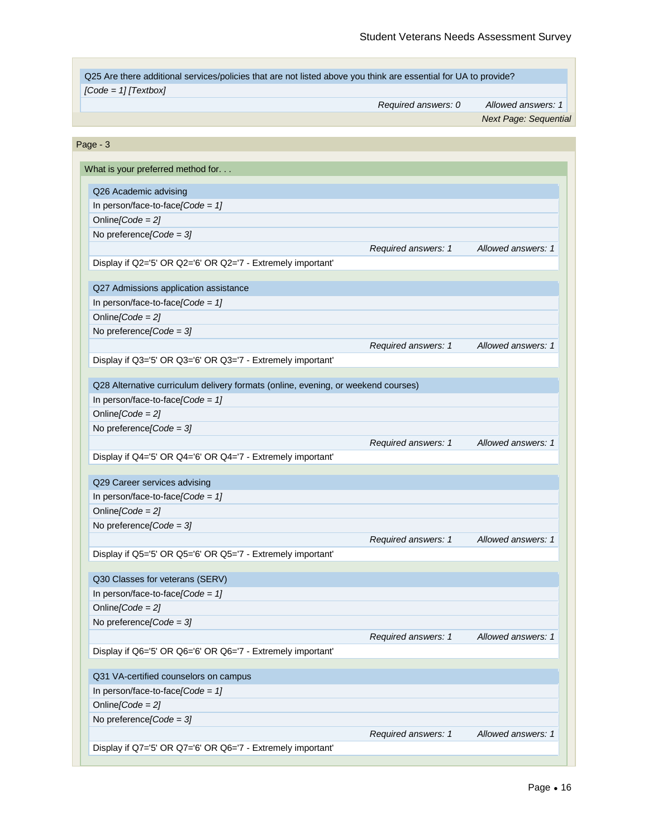| Page - 3                                                                                                                                                                                                                                                                                                     | Required answers: 1<br>Required answers: 1 |                    |
|--------------------------------------------------------------------------------------------------------------------------------------------------------------------------------------------------------------------------------------------------------------------------------------------------------------|--------------------------------------------|--------------------|
| What is your preferred method for.<br>Q26 Academic advising<br>In person/face-to-face[ $Code = 1$ ]<br>Online $[Code = 2]$                                                                                                                                                                                   |                                            |                    |
|                                                                                                                                                                                                                                                                                                              |                                            |                    |
|                                                                                                                                                                                                                                                                                                              |                                            |                    |
|                                                                                                                                                                                                                                                                                                              |                                            |                    |
| No preference [Code = $3$ ]                                                                                                                                                                                                                                                                                  |                                            |                    |
|                                                                                                                                                                                                                                                                                                              |                                            | Allowed answers: 1 |
| Display if Q2='5' OR Q2='6' OR Q2='7 - Extremely important'<br>Q27 Admissions application assistance<br>In person/face-to-face/Code = $1$ ]<br>Online[ $Code = 2$ ]                                                                                                                                          |                                            |                    |
|                                                                                                                                                                                                                                                                                                              |                                            |                    |
|                                                                                                                                                                                                                                                                                                              |                                            |                    |
|                                                                                                                                                                                                                                                                                                              |                                            |                    |
| No preference [Code = $3$ ]                                                                                                                                                                                                                                                                                  |                                            |                    |
|                                                                                                                                                                                                                                                                                                              |                                            | Allowed answers: 1 |
| Display if Q3='5' OR Q3='6' OR Q3='7 - Extremely important'<br>Q28 Alternative curriculum delivery formats (online, evening, or weekend courses)<br>In person/face-to-face[Code = $1$ ]<br>Online[Code = $2$ ]<br>No preference [Code = $3$ ]<br>Display if Q4='5' OR Q4='6' OR Q4='7 - Extremely important' |                                            |                    |
|                                                                                                                                                                                                                                                                                                              |                                            |                    |
|                                                                                                                                                                                                                                                                                                              |                                            |                    |
|                                                                                                                                                                                                                                                                                                              |                                            |                    |
|                                                                                                                                                                                                                                                                                                              |                                            |                    |
|                                                                                                                                                                                                                                                                                                              |                                            |                    |
|                                                                                                                                                                                                                                                                                                              |                                            |                    |
|                                                                                                                                                                                                                                                                                                              | Required answers: 1                        | Allowed answers: 1 |
|                                                                                                                                                                                                                                                                                                              |                                            |                    |
|                                                                                                                                                                                                                                                                                                              |                                            |                    |
| Q29 Career services advising                                                                                                                                                                                                                                                                                 |                                            |                    |
| In person/face-to-face[ $Code = 1$ ]                                                                                                                                                                                                                                                                         |                                            |                    |
| Online[Code = $2$ ]                                                                                                                                                                                                                                                                                          |                                            |                    |
| No preference [Code = $3$ ]                                                                                                                                                                                                                                                                                  |                                            |                    |
|                                                                                                                                                                                                                                                                                                              | Required answers: 1                        | Allowed answers: 1 |
| Display if Q5='5' OR Q5='6' OR Q5='7 - Extremely important'                                                                                                                                                                                                                                                  |                                            |                    |
| Q30 Classes for veterans (SERV)                                                                                                                                                                                                                                                                              |                                            |                    |
| In person/face-to-face[Code = $1$ ]                                                                                                                                                                                                                                                                          |                                            |                    |
| Online[ $Code = 2$ ]                                                                                                                                                                                                                                                                                         |                                            |                    |
| No preference [Code = $3$ ]                                                                                                                                                                                                                                                                                  |                                            |                    |
|                                                                                                                                                                                                                                                                                                              | Required answers: 1                        | Allowed answers: 1 |
| Display if Q6='5' OR Q6='6' OR Q6='7 - Extremely important'                                                                                                                                                                                                                                                  |                                            |                    |
|                                                                                                                                                                                                                                                                                                              |                                            |                    |
| Q31 VA-certified counselors on campus                                                                                                                                                                                                                                                                        |                                            |                    |
| In person/face-to-face[Code = $1$ ]                                                                                                                                                                                                                                                                          |                                            |                    |
| Online[Code = $2$ ]                                                                                                                                                                                                                                                                                          |                                            |                    |
| No preference [Code = $3$ ]                                                                                                                                                                                                                                                                                  |                                            |                    |
| Required answers: 1                                                                                                                                                                                                                                                                                          |                                            | Allowed answers: 1 |

r.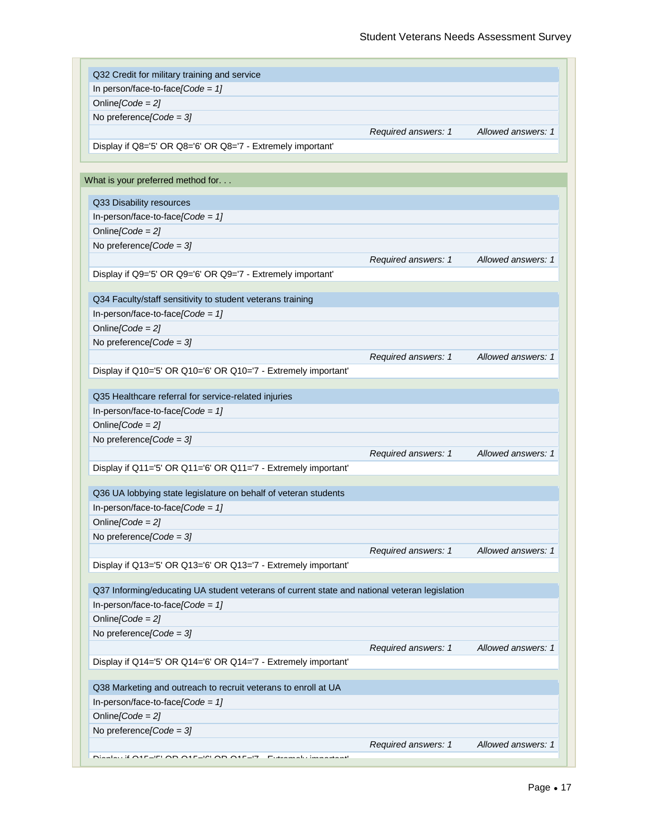| In person/face-to-face[Code = $1$ ]                                                           |                     |                    |
|-----------------------------------------------------------------------------------------------|---------------------|--------------------|
| Online[Code = $2$ ]                                                                           |                     |                    |
| No preference [Code = $3$ ]                                                                   |                     |                    |
|                                                                                               | Required answers: 1 | Allowed answers: 1 |
| Display if Q8='5' OR Q8='6' OR Q8='7 - Extremely important'                                   |                     |                    |
|                                                                                               |                     |                    |
| What is your preferred method for.                                                            |                     |                    |
| Q33 Disability resources                                                                      |                     |                    |
| In-person/face-to-face[ $Code = 1$ ]                                                          |                     |                    |
| Online[ $Code = 2$ ]                                                                          |                     |                    |
| No preference [Code = $3$ ]                                                                   |                     |                    |
|                                                                                               | Required answers: 1 | Allowed answers: 1 |
| Display if Q9='5' OR Q9='6' OR Q9='7 - Extremely important'                                   |                     |                    |
|                                                                                               |                     |                    |
| Q34 Faculty/staff sensitivity to student veterans training                                    |                     |                    |
| In-person/face-to-face/Code = $1$ ]                                                           |                     |                    |
| Online[ $Code = 2$ ]                                                                          |                     |                    |
| No preference [Code = $3$ ]                                                                   |                     |                    |
|                                                                                               | Required answers: 1 | Allowed answers: 1 |
| Display if Q10='5' OR Q10='6' OR Q10='7 - Extremely important'                                |                     |                    |
|                                                                                               |                     |                    |
| Q35 Healthcare referral for service-related injuries                                          |                     |                    |
| In-person/face-to-face[Code = $1$ ]                                                           |                     |                    |
| Online[ $Code = 2$ ]                                                                          |                     |                    |
| No preference [Code = $3$ ]                                                                   |                     |                    |
|                                                                                               | Required answers: 1 | Allowed answers: 1 |
| Display if Q11='5' OR Q11='6' OR Q11='7 - Extremely important'                                |                     |                    |
| Q36 UA lobbying state legislature on behalf of veteran students                               |                     |                    |
| In-person/face-to-face[Code = $1$ ]                                                           |                     |                    |
|                                                                                               |                     |                    |
| Online[ $Code = 2$ ]                                                                          |                     |                    |
| No preference [Code = $3$ ]                                                                   |                     |                    |
|                                                                                               | Required answers: 1 | Allowed answers: 1 |
| Display if Q13='5' OR Q13='6' OR Q13='7 - Extremely important'                                |                     |                    |
| Q37 Informing/educating UA student veterans of current state and national veteran legislation |                     |                    |
| In-person/face-to-face[Code = $1$ ]                                                           |                     |                    |
| Online[ $Code = 2$ ]                                                                          |                     |                    |
| No preference [Code = $3$ ]                                                                   |                     |                    |
|                                                                                               | Required answers: 1 | Allowed answers: 1 |
| Display if Q14='5' OR Q14='6' OR Q14='7 - Extremely important'                                |                     |                    |
|                                                                                               |                     |                    |
| Q38 Marketing and outreach to recruit veterans to enroll at UA                                |                     |                    |
| In-person/face-to-face[Code = $1$ ]                                                           |                     |                    |
| Online[ $Code = 2$ ]                                                                          |                     |                    |
| No preference [Code = $3$ ]                                                                   |                     |                    |
|                                                                                               |                     |                    |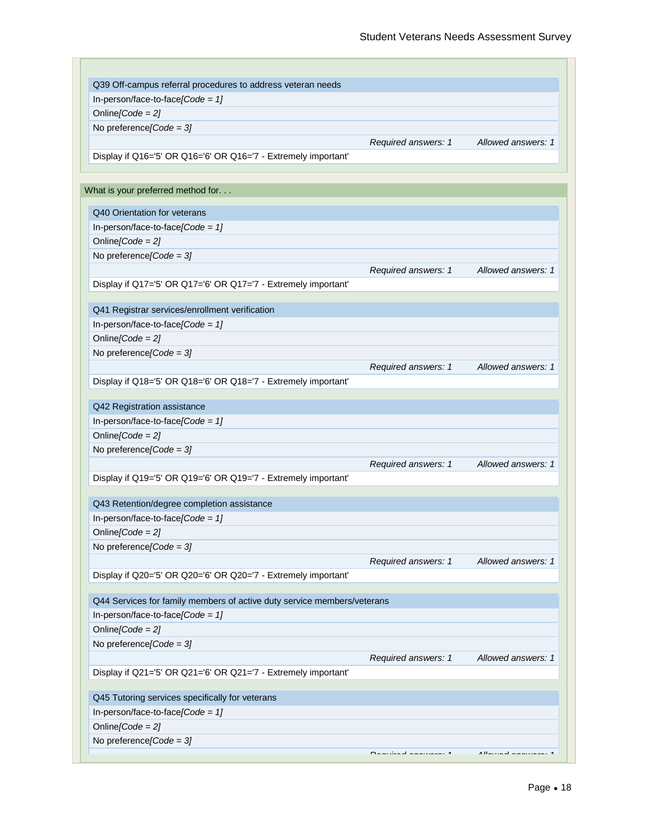| In-person/face-to-face/Code = $1$ ]                                     |                     |                    |
|-------------------------------------------------------------------------|---------------------|--------------------|
| Online[Code = $2$ ]                                                     |                     |                    |
| No preference [Code = $3$ ]                                             |                     |                    |
|                                                                         | Required answers: 1 | Allowed answers: 1 |
| Display if Q16='5' OR Q16='6' OR Q16='7 - Extremely important'          |                     |                    |
|                                                                         |                     |                    |
| What is your preferred method for.                                      |                     |                    |
| Q40 Orientation for veterans                                            |                     |                    |
| In-person/face-to-face[Code = $1$ ]                                     |                     |                    |
| Online[ $Code = 2$ ]                                                    |                     |                    |
| No preference [Code = $3$ ]                                             |                     |                    |
|                                                                         | Required answers: 1 | Allowed answers: 1 |
| Display if Q17='5' OR Q17='6' OR Q17='7 - Extremely important'          |                     |                    |
|                                                                         |                     |                    |
| Q41 Registrar services/enrollment verification                          |                     |                    |
| In-person/face-to-face[Code = $1$ ]                                     |                     |                    |
| Online[ $Code = 2$ ]                                                    |                     |                    |
| No preference [Code = $3$ ]                                             |                     |                    |
|                                                                         | Required answers: 1 | Allowed answers: 1 |
| Display if Q18='5' OR Q18='6' OR Q18='7 - Extremely important'          |                     |                    |
|                                                                         |                     |                    |
| Q42 Registration assistance                                             |                     |                    |
| In-person/face-to-face[Code = $1$ ]                                     |                     |                    |
| Online[ $Code = 2$ ]                                                    |                     |                    |
| No preference [Code = $3$ ]                                             |                     |                    |
|                                                                         | Required answers: 1 | Allowed answers: 1 |
| Display if Q19='5' OR Q19='6' OR Q19='7 - Extremely important'          |                     |                    |
|                                                                         |                     |                    |
| Q43 Retention/degree completion assistance                              |                     |                    |
| In-person/face-to-face/Code = $1$ ]                                     |                     |                    |
| Online/Code = $21$                                                      |                     |                    |
| No preference [Code = $3$ ]                                             |                     |                    |
|                                                                         | Required answers: 1 | Allowed answers: 1 |
| Display if Q20='5' OR Q20='6' OR Q20='7 - Extremely important'          |                     |                    |
|                                                                         |                     |                    |
| Q44 Services for family members of active duty service members/veterans |                     |                    |
| In-person/face-to-face[Code = $1$ ]                                     |                     |                    |
| Online[Code = $2$ ]                                                     |                     |                    |
| No preference [Code = $3$ ]                                             |                     |                    |
|                                                                         | Required answers: 1 | Allowed answers: 1 |
| Display if Q21='5' OR Q21='6' OR Q21='7 - Extremely important'          |                     |                    |
| Q45 Tutoring services specifically for veterans                         |                     |                    |
| In-person/face-to-face[Code = $1$ ]                                     |                     |                    |
| Online[Code = $2$ ]                                                     |                     |                    |
| No preference [Code = $3$ ]                                             |                     |                    |
|                                                                         |                     |                    |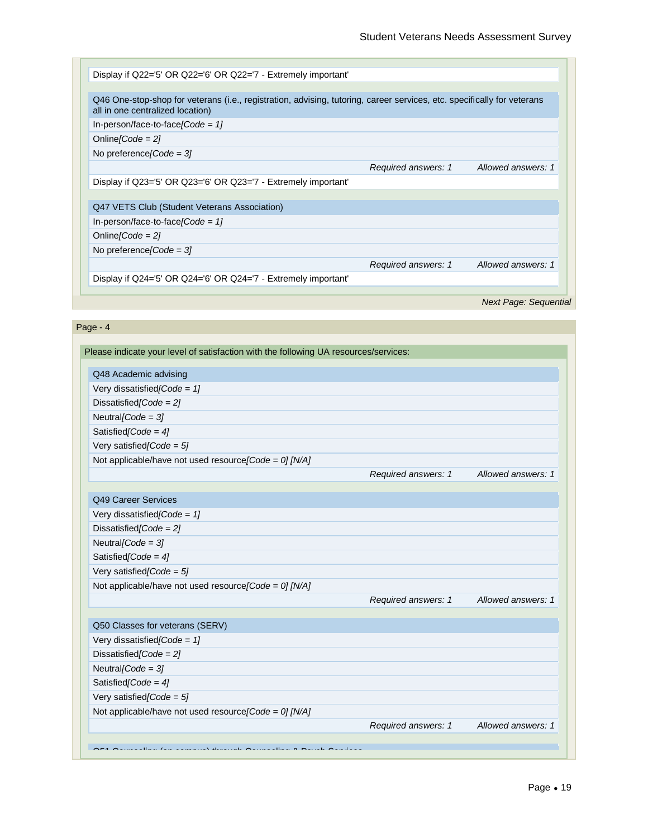

#### Page - 4

| Please indicate your level of satisfaction with the following UA resources/services: |                     |                    |
|--------------------------------------------------------------------------------------|---------------------|--------------------|
|                                                                                      |                     |                    |
| Q48 Academic advising                                                                |                     |                    |
| Very dissatisfied $\text{Code} = 1$                                                  |                     |                    |
| Dissatisfied [Code = $2$ ]                                                           |                     |                    |
| Neutral/Code = $3$ ]                                                                 |                     |                    |
| Satisfied $\text{Code} = 4$                                                          |                     |                    |
| Very satisfied $\text{Code} = 5$                                                     |                     |                    |
| Not applicable/have not used resource [Code = 0] [N/A]                               |                     |                    |
|                                                                                      | Required answers: 1 | Allowed answers: 1 |
|                                                                                      |                     |                    |
| Q49 Career Services                                                                  |                     |                    |
| Very dissatisfied [Code = $1$ ]                                                      |                     |                    |
| Dissatisfied [Code = $2$ ]                                                           |                     |                    |
| Neutral [Code = $3$ ]                                                                |                     |                    |
| Satisfied [Code = $4$ ]                                                              |                     |                    |
| Very satisfied [Code = $5$ ]                                                         |                     |                    |
| Not applicable/have not used resource [Code = 0] [N/A]                               |                     |                    |
|                                                                                      | Required answers: 1 | Allowed answers: 1 |
|                                                                                      |                     |                    |
| Q50 Classes for veterans (SERV)<br>Very dissatisfied [Code = $1$ ]                   |                     |                    |
| Dissatisfied/Code = $21$                                                             |                     |                    |
| Neutral [Code = $3$ ]                                                                |                     |                    |
| Satisfied/Code = $4$ ]                                                               |                     |                    |
| Very satisfied $\text{Code} = 5$                                                     |                     |                    |
| Not applicable/have not used resource [Code = 0] [N/A]                               |                     |                    |
|                                                                                      | Required answers: 1 | Allowed answers: 1 |
|                                                                                      |                     |                    |
| OFA Oscarsibes (se sensore) thereigh Oscarsibes 0 Decek Oscars                       |                     |                    |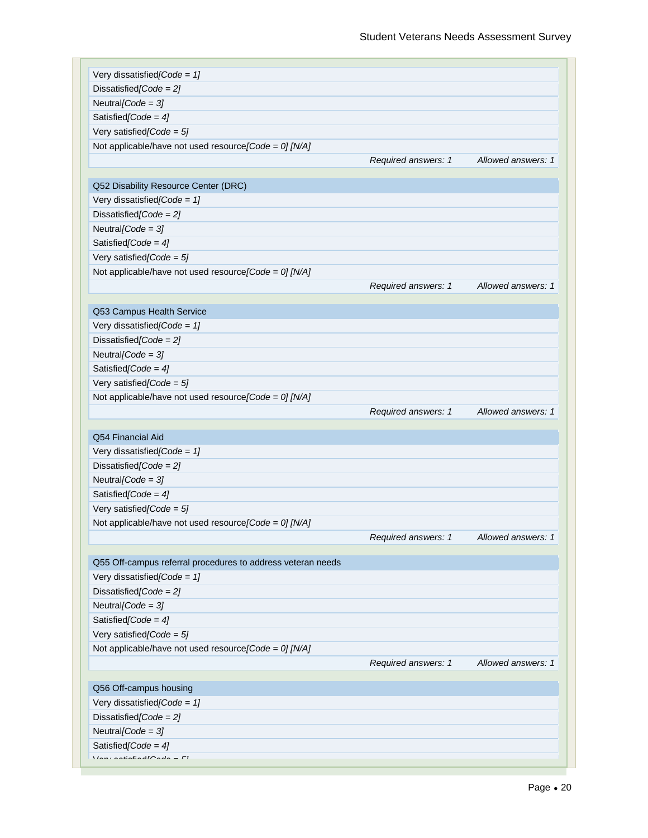| Very dissatisfied [Code = $1$ ]                                                                                                                                                                                                                                                                                                                                                                                                            |                     |                    |
|--------------------------------------------------------------------------------------------------------------------------------------------------------------------------------------------------------------------------------------------------------------------------------------------------------------------------------------------------------------------------------------------------------------------------------------------|---------------------|--------------------|
| Dissatisfied [Code = $2$ ]                                                                                                                                                                                                                                                                                                                                                                                                                 |                     |                    |
| Neutral [Code = $3$ ]                                                                                                                                                                                                                                                                                                                                                                                                                      |                     |                    |
| Satisfied $\text{Code} = 4$                                                                                                                                                                                                                                                                                                                                                                                                                |                     |                    |
| Very satisfied [Code = $5$ ]                                                                                                                                                                                                                                                                                                                                                                                                               |                     |                    |
| Not applicable/have not used resource [Code = 0] [N/A]                                                                                                                                                                                                                                                                                                                                                                                     |                     |                    |
|                                                                                                                                                                                                                                                                                                                                                                                                                                            | Required answers: 1 | Allowed answers: 1 |
|                                                                                                                                                                                                                                                                                                                                                                                                                                            |                     |                    |
| Q52 Disability Resource Center (DRC)                                                                                                                                                                                                                                                                                                                                                                                                       |                     |                    |
| Very dissatisfied [Code = $1$ ]                                                                                                                                                                                                                                                                                                                                                                                                            |                     |                    |
| Dissatisfied [Code = $2$ ]                                                                                                                                                                                                                                                                                                                                                                                                                 |                     |                    |
| Neutral [Code = $3$ ]                                                                                                                                                                                                                                                                                                                                                                                                                      |                     |                    |
| Satisfied [Code = $4$ ]                                                                                                                                                                                                                                                                                                                                                                                                                    |                     |                    |
| Very satisfied [Code = $5$ ]                                                                                                                                                                                                                                                                                                                                                                                                               |                     |                    |
| Not applicable/have not used resource [Code = 0] [N/A]                                                                                                                                                                                                                                                                                                                                                                                     |                     |                    |
|                                                                                                                                                                                                                                                                                                                                                                                                                                            | Required answers: 1 | Allowed answers: 1 |
|                                                                                                                                                                                                                                                                                                                                                                                                                                            |                     |                    |
| Q53 Campus Health Service                                                                                                                                                                                                                                                                                                                                                                                                                  |                     |                    |
| Very dissatisfied [Code = $1$ ]                                                                                                                                                                                                                                                                                                                                                                                                            |                     |                    |
| Dissatisfied [Code = $2$ ]                                                                                                                                                                                                                                                                                                                                                                                                                 |                     |                    |
| Neutral [Code = $3$ ]                                                                                                                                                                                                                                                                                                                                                                                                                      |                     |                    |
| Satisfied [Code = $4$ ]                                                                                                                                                                                                                                                                                                                                                                                                                    |                     |                    |
| Very satisfied [Code = $5$ ]                                                                                                                                                                                                                                                                                                                                                                                                               |                     |                    |
| Not applicable/have not used resource [Code = 0] [N/A]                                                                                                                                                                                                                                                                                                                                                                                     |                     |                    |
|                                                                                                                                                                                                                                                                                                                                                                                                                                            | Required answers: 1 | Allowed answers: 1 |
|                                                                                                                                                                                                                                                                                                                                                                                                                                            |                     |                    |
| Q54 Financial Aid                                                                                                                                                                                                                                                                                                                                                                                                                          |                     |                    |
| Very dissatisfied [Code = $1$ ]                                                                                                                                                                                                                                                                                                                                                                                                            |                     |                    |
| Dissatisfied [Code = $2$ ]                                                                                                                                                                                                                                                                                                                                                                                                                 |                     |                    |
| Neutral [Code = $3$ ]                                                                                                                                                                                                                                                                                                                                                                                                                      |                     |                    |
| Satisfied [Code = $4$ ]                                                                                                                                                                                                                                                                                                                                                                                                                    |                     |                    |
| Very satisfied [Code = $5$ ]                                                                                                                                                                                                                                                                                                                                                                                                               |                     |                    |
| Not applicable/have not used resource [Code = 0] [N/A]                                                                                                                                                                                                                                                                                                                                                                                     |                     |                    |
|                                                                                                                                                                                                                                                                                                                                                                                                                                            | Required answers: 1 | Allowed answers: 1 |
|                                                                                                                                                                                                                                                                                                                                                                                                                                            |                     |                    |
| Q55 Off-campus referral procedures to address veteran needs                                                                                                                                                                                                                                                                                                                                                                                |                     |                    |
| Very dissatisfied [Code = $1$ ]                                                                                                                                                                                                                                                                                                                                                                                                            |                     |                    |
| Dissatisfied/Code = $2$ ]                                                                                                                                                                                                                                                                                                                                                                                                                  |                     |                    |
| Neutral [Code = $3$ ]                                                                                                                                                                                                                                                                                                                                                                                                                      |                     |                    |
| Satisfied [Code = $4$ ]                                                                                                                                                                                                                                                                                                                                                                                                                    |                     |                    |
| Very satisfied [Code = $5$ ]                                                                                                                                                                                                                                                                                                                                                                                                               |                     |                    |
| Not applicable/have not used resource [Code = 0] [N/A]                                                                                                                                                                                                                                                                                                                                                                                     |                     |                    |
|                                                                                                                                                                                                                                                                                                                                                                                                                                            | Required answers: 1 | Allowed answers: 1 |
|                                                                                                                                                                                                                                                                                                                                                                                                                                            |                     |                    |
| Q56 Off-campus housing                                                                                                                                                                                                                                                                                                                                                                                                                     |                     |                    |
| Very dissatisfied [Code = $1$ ]                                                                                                                                                                                                                                                                                                                                                                                                            |                     |                    |
| Dissatisfied [Code = $2$ ]                                                                                                                                                                                                                                                                                                                                                                                                                 |                     |                    |
| Neutral [Code = $3$ ]                                                                                                                                                                                                                                                                                                                                                                                                                      |                     |                    |
| Satisfied [Code = $4$ ]                                                                                                                                                                                                                                                                                                                                                                                                                    |                     |                    |
| $\frac{1}{2} \int_{-\infty}^{\infty} \frac{1}{2} \int_{-\infty}^{\infty} \frac{1}{2} \int_{-\infty}^{\infty} \frac{1}{2} \int_{-\infty}^{\infty} \frac{1}{2} \int_{-\infty}^{\infty} \frac{1}{2} \int_{-\infty}^{\infty} \frac{1}{2} \int_{-\infty}^{\infty} \frac{1}{2} \int_{-\infty}^{\infty} \frac{1}{2} \int_{-\infty}^{\infty} \frac{1}{2} \int_{-\infty}^{\infty} \frac{1}{2} \int_{-\infty}^{\infty} \frac{1}{2} \int_{-\$<br>$-1$ |                     |                    |
|                                                                                                                                                                                                                                                                                                                                                                                                                                            |                     |                    |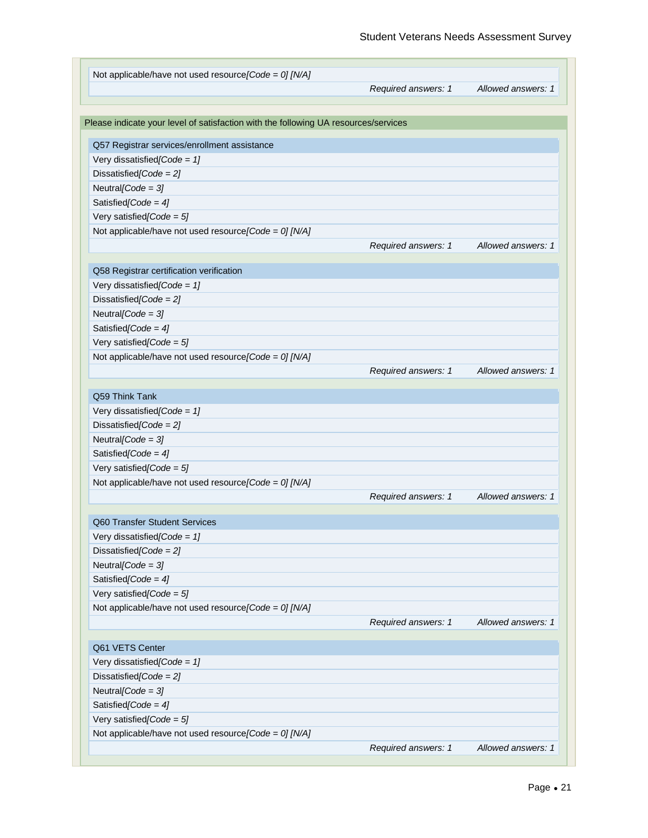| Not applicable/have not used resource [Code = 0] [N/A]                              |                     |                    |
|-------------------------------------------------------------------------------------|---------------------|--------------------|
|                                                                                     | Required answers: 1 | Allowed answers: 1 |
| Please indicate your level of satisfaction with the following UA resources/services |                     |                    |
|                                                                                     |                     |                    |
| Q57 Registrar services/enrollment assistance                                        |                     |                    |
| Very dissatisfied [Code = $1$ ]                                                     |                     |                    |
| Dissatisfied [Code = $2$ ]                                                          |                     |                    |
| Neutral [Code = $3$ ]                                                               |                     |                    |
| Satisfied [Code = $4$ ]                                                             |                     |                    |
| Very satisfied [Code = $5$ ]                                                        |                     |                    |
| Not applicable/have not used resource [Code = 0] [N/A]                              |                     |                    |
|                                                                                     | Required answers: 1 | Allowed answers: 1 |
| Q58 Registrar certification verification                                            |                     |                    |
| Very dissatisfied [Code = $1$ ]                                                     |                     |                    |
| Dissatisfied [Code = $2$ ]                                                          |                     |                    |
| Neutral [Code = $3$ ]                                                               |                     |                    |
| Satisfied/Code = $4$ ]                                                              |                     |                    |
| Very satisfied [Code = $5$ ]                                                        |                     |                    |
| Not applicable/have not used resource [Code = 0] [N/A]                              |                     |                    |
|                                                                                     | Required answers: 1 | Allowed answers: 1 |
|                                                                                     |                     |                    |
| Q59 Think Tank                                                                      |                     |                    |
| Very dissatisfied [Code = $1$ ]                                                     |                     |                    |
| Dissatisfied [Code = $2$ ]                                                          |                     |                    |
| Neutral [Code = $3$ ]                                                               |                     |                    |
| Satisfied [Code = $4$ ]                                                             |                     |                    |
| Very satisfied [Code = $5$ ]                                                        |                     |                    |
| Not applicable/have not used resource [Code = 0] [N/A]                              |                     |                    |
|                                                                                     | Required answers: 1 | Allowed answers: 1 |
|                                                                                     |                     |                    |
| Q60 Transfer Student Services                                                       |                     |                    |
| Very dissatisfied [Code = $1$ ]                                                     |                     |                    |
| Dissatisfied [Code = $2$ ]                                                          |                     |                    |
| Neutral [Code = $3$ ]                                                               |                     |                    |
| Satisfied [Code = $4$ ]                                                             |                     |                    |
| Very satisfied $\text{Code} = 5$                                                    |                     |                    |
| Not applicable/have not used resource [Code = 0] [N/A]                              |                     |                    |
|                                                                                     | Required answers: 1 | Allowed answers: 1 |
|                                                                                     |                     |                    |
| Q61 VETS Center                                                                     |                     |                    |
| Very dissatisfied [Code = $1$ ]                                                     |                     |                    |
| Dissatisfied [Code = $2$ ]                                                          |                     |                    |
| Neutral [Code = $3$ ]                                                               |                     |                    |
| Satisfied [Code = $4$ ]                                                             |                     |                    |
| Very satisfied [Code = $5$ ]                                                        |                     |                    |
| Not applicable/have not used resource [Code = 0] [N/A]                              |                     |                    |
|                                                                                     | Required answers: 1 | Allowed answers: 1 |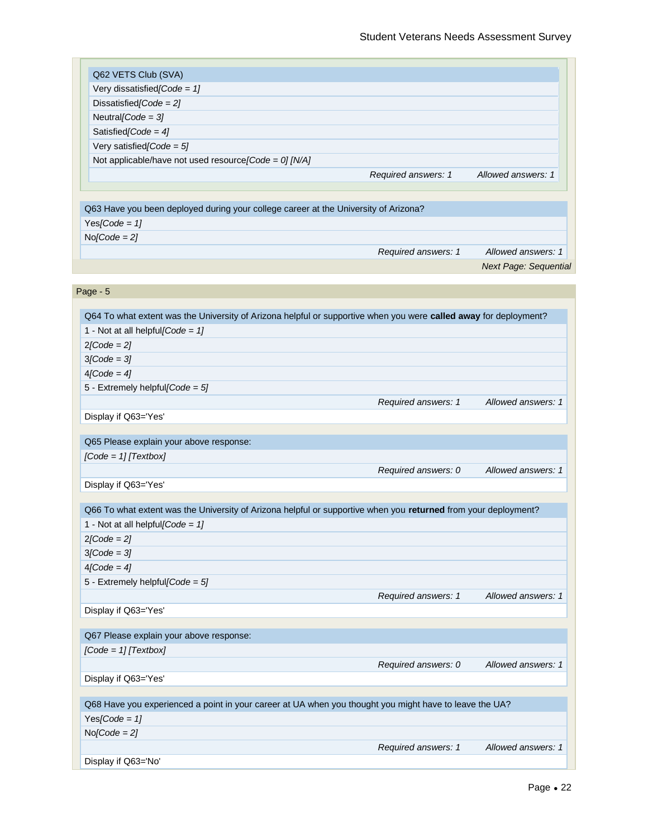| Q62 VETS Club (SVA)                                                                                              |                     |                              |
|------------------------------------------------------------------------------------------------------------------|---------------------|------------------------------|
| Very dissatisfied [Code = $1$ ]                                                                                  |                     |                              |
| Dissatisfied [Code = $2$ ]                                                                                       |                     |                              |
| Neutral [Code = $3$ ]                                                                                            |                     |                              |
| Satisfied [Code = $4$ ]                                                                                          |                     |                              |
| Very satisfied [Code = $5$ ]                                                                                     |                     |                              |
| Not applicable/have not used resource [Code = 0] [N/A]                                                           |                     |                              |
|                                                                                                                  | Required answers: 1 | Allowed answers: 1           |
|                                                                                                                  |                     |                              |
|                                                                                                                  |                     |                              |
| Q63 Have you been deployed during your college career at the University of Arizona?                              |                     |                              |
| Yes[Code = $1$ ]                                                                                                 |                     |                              |
| $No[Code = 2]$                                                                                                   |                     |                              |
|                                                                                                                  | Required answers: 1 | Allowed answers: 1           |
|                                                                                                                  |                     | <b>Next Page: Sequential</b> |
|                                                                                                                  |                     |                              |
| Page - 5                                                                                                         |                     |                              |
|                                                                                                                  |                     |                              |
| Q64 To what extent was the University of Arizona helpful or supportive when you were called away for deployment? |                     |                              |
| 1 - Not at all helpful [Code = $1$ ]                                                                             |                     |                              |
| $2[Code = 2]$                                                                                                    |                     |                              |
| $3$ [Code = $3$ ]                                                                                                |                     |                              |
| $4[Code = 4]$                                                                                                    |                     |                              |
| 5 - Extremely helpful $[Code = 5]$                                                                               |                     |                              |
|                                                                                                                  | Required answers: 1 | Allowed answers: 1           |
| Display if Q63='Yes'                                                                                             |                     |                              |
|                                                                                                                  |                     |                              |
| Q65 Please explain your above response:                                                                          |                     |                              |
| $[Code = 1]$ [Textbox]                                                                                           |                     |                              |
|                                                                                                                  | Required answers: 0 | Allowed answers: 1           |
| Display if Q63='Yes'                                                                                             |                     |                              |
|                                                                                                                  |                     |                              |
| Q66 To what extent was the University of Arizona helpful or supportive when you returned from your deployment?   |                     |                              |
| 1 - Not at all helpful $[Code = 1]$                                                                              |                     |                              |
| $2[Code = 2]$                                                                                                    |                     |                              |
| $3[Code = 3]$                                                                                                    |                     |                              |
| $4[Code = 4]$                                                                                                    |                     |                              |
| 5 - Extremely helpful[Code = $5$ ]                                                                               |                     |                              |
|                                                                                                                  | Required answers: 1 | Allowed answers: 1           |
| Display if Q63='Yes'                                                                                             |                     |                              |
|                                                                                                                  |                     |                              |
| Q67 Please explain your above response:                                                                          |                     |                              |
| $[Code = 1]$ $[Textbox]$                                                                                         |                     |                              |
|                                                                                                                  | Required answers: 0 | Allowed answers: 1           |
| Display if Q63='Yes'                                                                                             |                     |                              |
|                                                                                                                  |                     |                              |
| Q68 Have you experienced a point in your career at UA when you thought you might have to leave the UA?           |                     |                              |
| Yes[Code = $1$ ]                                                                                                 |                     |                              |
| $No[Code = 2]$                                                                                                   |                     |                              |
|                                                                                                                  |                     |                              |
|                                                                                                                  | Required answers: 1 | Allowed answers: 1           |
| Display if Q63='No'                                                                                              |                     |                              |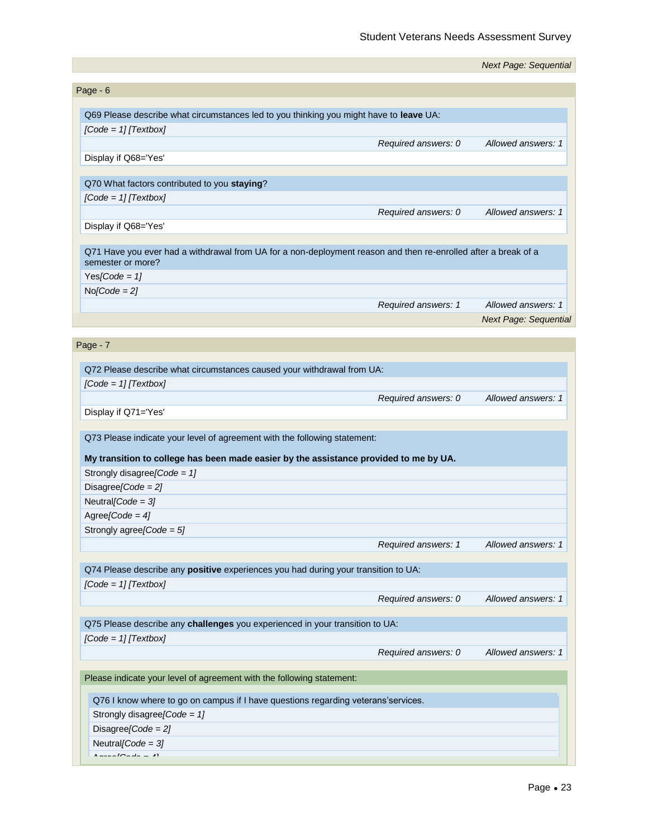|                                                                                                                                     |                     | <b>Next Page: Sequential</b> |
|-------------------------------------------------------------------------------------------------------------------------------------|---------------------|------------------------------|
| Page - 6                                                                                                                            |                     |                              |
| Q69 Please describe what circumstances led to you thinking you might have to leave UA:                                              |                     |                              |
| $[Code = 1]$ [Textbox]                                                                                                              |                     |                              |
|                                                                                                                                     |                     | Allowed answers: 1           |
| Display if Q68='Yes'                                                                                                                | Required answers: 0 |                              |
|                                                                                                                                     |                     |                              |
| Q70 What factors contributed to you staying?                                                                                        |                     |                              |
| $[Code = 1]$ $[Textbox]$                                                                                                            |                     |                              |
|                                                                                                                                     | Required answers: 0 | Allowed answers: 1           |
| Display if Q68='Yes'                                                                                                                |                     |                              |
|                                                                                                                                     |                     |                              |
| Q71 Have you ever had a withdrawal from UA for a non-deployment reason and then re-enrolled after a break of a<br>semester or more? |                     |                              |
| Yes[Code = $1$ ]                                                                                                                    |                     |                              |
| $No[Code = 2]$                                                                                                                      |                     |                              |
|                                                                                                                                     | Required answers: 1 | Allowed answers: 1           |
|                                                                                                                                     |                     | <b>Next Page: Sequential</b> |
|                                                                                                                                     |                     |                              |
| Page - 7                                                                                                                            |                     |                              |
| Q72 Please describe what circumstances caused your withdrawal from UA:                                                              |                     |                              |
| $[Code = 1]$ [Textbox]                                                                                                              |                     |                              |
|                                                                                                                                     | Required answers: 0 | Allowed answers: 1           |
| Display if Q71='Yes'                                                                                                                |                     |                              |
|                                                                                                                                     |                     |                              |
| Q73 Please indicate your level of agreement with the following statement:                                                           |                     |                              |
|                                                                                                                                     |                     |                              |
| My transition to college has been made easier by the assistance provided to me by UA.<br>Strongly disagree [Code = $1$ ]            |                     |                              |
| Disagree [Code = $2$ ]                                                                                                              |                     |                              |
| Neutral [Code = $3$ ]                                                                                                               |                     |                              |
| Agree[Code = $4$ ]                                                                                                                  |                     |                              |
| Strongly agree[Code = 5]                                                                                                            |                     |                              |
|                                                                                                                                     | Required answers: 1 | Allowed answers: 1           |
|                                                                                                                                     |                     |                              |
| Q74 Please describe any positive experiences you had during your transition to UA:                                                  |                     |                              |
| $[Code = 1]$ $[Textbox]$                                                                                                            |                     |                              |
|                                                                                                                                     | Required answers: 0 | Allowed answers: 1           |
|                                                                                                                                     |                     |                              |
| Q75 Please describe any challenges you experienced in your transition to UA:                                                        |                     |                              |
| $[Code = 1]$ [Textbox]                                                                                                              |                     |                              |
|                                                                                                                                     | Required answers: 0 | Allowed answers: 1           |
| Please indicate your level of agreement with the following statement:                                                               |                     |                              |
|                                                                                                                                     |                     |                              |
| Q76 I know where to go on campus if I have questions regarding veterans'services.                                                   |                     |                              |
| Strongly disagree [Code = $1$ ]                                                                                                     |                     |                              |
| Disagree [Code = $2$ ]                                                                                                              |                     |                              |
| Neutral [Code = $3$ ]                                                                                                               |                     |                              |
| $A = -1$<br>$\overline{1}$                                                                                                          |                     |                              |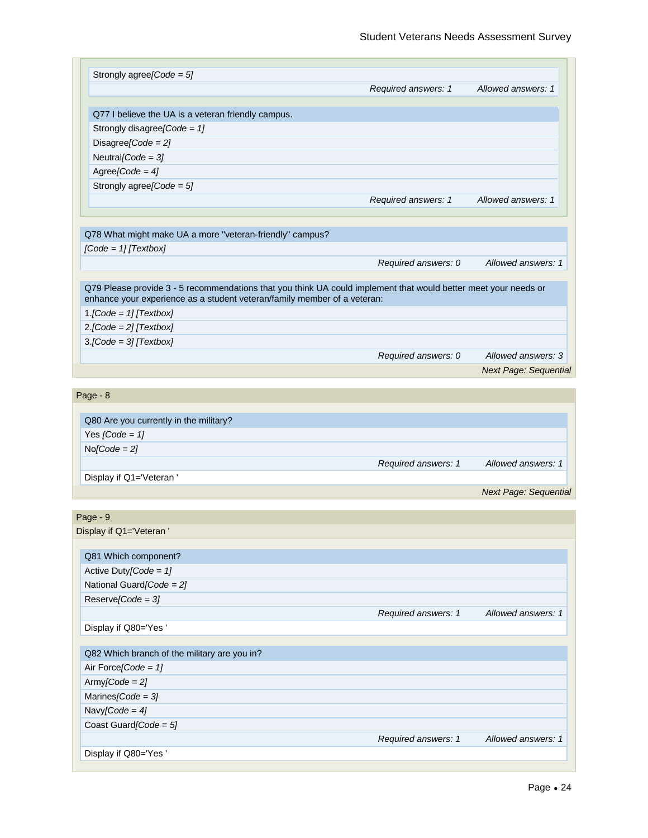| Required answers: 1                                                      | Allowed answers: 1                                                                                                                                                                                          |
|--------------------------------------------------------------------------|-------------------------------------------------------------------------------------------------------------------------------------------------------------------------------------------------------------|
|                                                                          |                                                                                                                                                                                                             |
|                                                                          |                                                                                                                                                                                                             |
|                                                                          |                                                                                                                                                                                                             |
|                                                                          |                                                                                                                                                                                                             |
|                                                                          |                                                                                                                                                                                                             |
|                                                                          |                                                                                                                                                                                                             |
|                                                                          |                                                                                                                                                                                                             |
|                                                                          |                                                                                                                                                                                                             |
| Required answers: 1                                                      | Allowed answers: 1                                                                                                                                                                                          |
|                                                                          |                                                                                                                                                                                                             |
|                                                                          |                                                                                                                                                                                                             |
|                                                                          |                                                                                                                                                                                                             |
|                                                                          |                                                                                                                                                                                                             |
|                                                                          | Allowed answers: 1                                                                                                                                                                                          |
|                                                                          |                                                                                                                                                                                                             |
| enhance your experience as a student veteran/family member of a veteran: |                                                                                                                                                                                                             |
|                                                                          |                                                                                                                                                                                                             |
|                                                                          |                                                                                                                                                                                                             |
|                                                                          |                                                                                                                                                                                                             |
|                                                                          | Allowed answers: 3                                                                                                                                                                                          |
|                                                                          | <b>Next Page: Sequential</b>                                                                                                                                                                                |
|                                                                          |                                                                                                                                                                                                             |
|                                                                          |                                                                                                                                                                                                             |
|                                                                          |                                                                                                                                                                                                             |
|                                                                          |                                                                                                                                                                                                             |
|                                                                          |                                                                                                                                                                                                             |
|                                                                          |                                                                                                                                                                                                             |
|                                                                          | Allowed answers: 1                                                                                                                                                                                          |
|                                                                          |                                                                                                                                                                                                             |
|                                                                          | <b>Next Page: Sequential</b>                                                                                                                                                                                |
|                                                                          |                                                                                                                                                                                                             |
|                                                                          |                                                                                                                                                                                                             |
|                                                                          |                                                                                                                                                                                                             |
|                                                                          |                                                                                                                                                                                                             |
|                                                                          |                                                                                                                                                                                                             |
|                                                                          |                                                                                                                                                                                                             |
|                                                                          |                                                                                                                                                                                                             |
|                                                                          | Allowed answers: 1                                                                                                                                                                                          |
|                                                                          |                                                                                                                                                                                                             |
|                                                                          |                                                                                                                                                                                                             |
|                                                                          |                                                                                                                                                                                                             |
|                                                                          |                                                                                                                                                                                                             |
|                                                                          |                                                                                                                                                                                                             |
|                                                                          |                                                                                                                                                                                                             |
|                                                                          |                                                                                                                                                                                                             |
|                                                                          |                                                                                                                                                                                                             |
|                                                                          |                                                                                                                                                                                                             |
| Required answers: 1                                                      | Allowed answers: 1                                                                                                                                                                                          |
|                                                                          | Required answers: 0<br>Q79 Please provide 3 - 5 recommendations that you think UA could implement that would better meet your needs or<br>Required answers: 0<br>Required answers: 1<br>Required answers: 1 |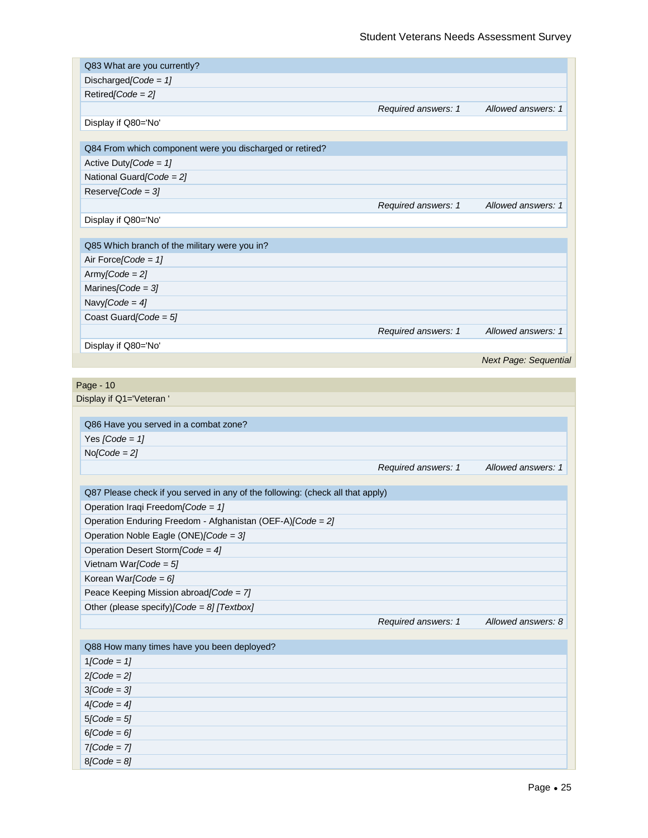| Q83 What are you currently?                                                    |                     |                                          |
|--------------------------------------------------------------------------------|---------------------|------------------------------------------|
| Discharged [Code = $1$ ]                                                       |                     |                                          |
| $Retired[Code = 2]$                                                            |                     |                                          |
|                                                                                | Required answers: 1 | Allowed answers: 1                       |
| Display if Q80='No'                                                            |                     |                                          |
|                                                                                |                     |                                          |
| Q84 From which component were you discharged or retired?                       |                     |                                          |
| Active Duty[Code = $1$ ]                                                       |                     |                                          |
| National Guard[Code = 2]                                                       |                     |                                          |
| $Reserve[Code = 3]$                                                            |                     |                                          |
|                                                                                | Required answers: 1 | Allowed answers: 1                       |
| Display if Q80='No'                                                            |                     |                                          |
| Q85 Which branch of the military were you in?                                  |                     |                                          |
| Air Force [Code = $1$ ]                                                        |                     |                                          |
| $Army[Code = 2]$                                                               |                     |                                          |
| Marines [Code = $3$ ]                                                          |                     |                                          |
| Navy[Code = $4$ ]                                                              |                     |                                          |
| Coast Guard [Code = $5$ ]                                                      |                     |                                          |
|                                                                                | Required answers: 1 | Allowed answers: 1                       |
| Display if Q80='No'                                                            |                     |                                          |
|                                                                                |                     | Next Page: Sequential                    |
|                                                                                |                     |                                          |
| Page - 10                                                                      |                     |                                          |
| Display if Q1='Veteran'                                                        |                     |                                          |
|                                                                                |                     |                                          |
|                                                                                |                     |                                          |
| Q86 Have you served in a combat zone?                                          |                     |                                          |
| Yes $[Code = 1]$                                                               |                     |                                          |
| $No[Code = 2]$                                                                 |                     |                                          |
|                                                                                | Required answers: 1 |                                          |
|                                                                                |                     |                                          |
| Q87 Please check if you served in any of the following: (check all that apply) |                     |                                          |
| Operation Iraqi Freedom [Code = 1]                                             |                     |                                          |
| Operation Enduring Freedom - Afghanistan (OEF-A)[Code = 2]                     |                     |                                          |
| Operation Noble Eagle (ONE)[Code = 3]                                          |                     |                                          |
| Operation Desert Storm [Code = 4]                                              |                     |                                          |
| Vietnam War[Code = $5$ ]                                                       |                     |                                          |
| Korean War[Code = $6$ ]                                                        |                     |                                          |
| Peace Keeping Mission abroad [Code = 7]                                        |                     |                                          |
| Other (please specify)[Code = 8] [Textbox]                                     |                     |                                          |
|                                                                                | Required answers: 1 |                                          |
|                                                                                |                     |                                          |
|                                                                                |                     |                                          |
| Q88 How many times have you been deployed?<br>$1[Code = 1]$                    |                     |                                          |
| $2[Code = 2]$                                                                  |                     |                                          |
| $3[Code = 3]$                                                                  |                     |                                          |
| $4[Code = 4]$                                                                  |                     |                                          |
| $5[Code = 5]$                                                                  |                     |                                          |
| $6[Code = 6]$<br>$7[Code = 7]$                                                 |                     | Allowed answers: 1<br>Allowed answers: 8 |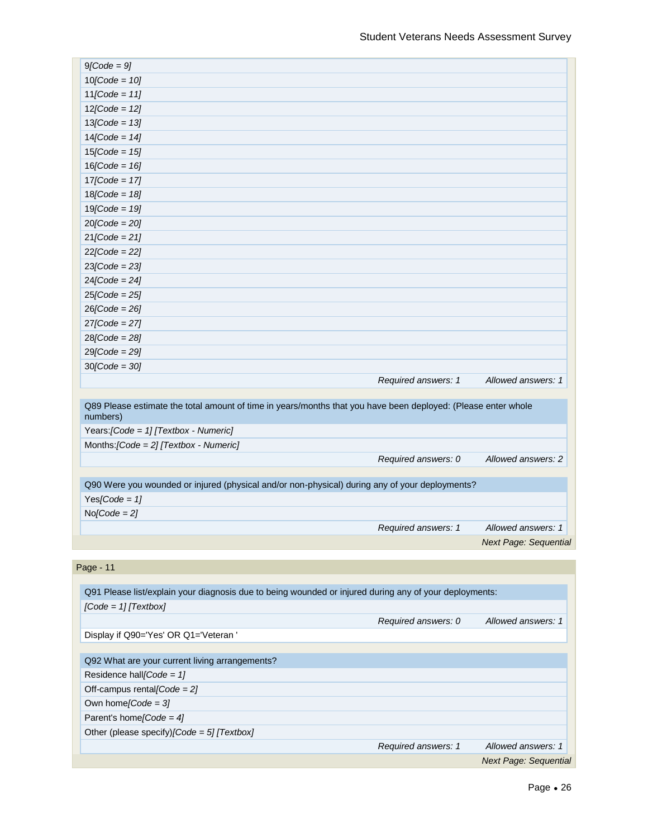| $9[Code = 9]$                                                                                                             |                     |                              |
|---------------------------------------------------------------------------------------------------------------------------|---------------------|------------------------------|
| $10[Code = 10]$                                                                                                           |                     |                              |
| $11[Code = 11]$                                                                                                           |                     |                              |
| $12[Code = 12]$                                                                                                           |                     |                              |
| $13[Code = 13]$                                                                                                           |                     |                              |
| $14[Code = 14]$                                                                                                           |                     |                              |
| $15[Code = 15]$                                                                                                           |                     |                              |
| $16[Code = 16]$                                                                                                           |                     |                              |
| $17[Code = 17]$                                                                                                           |                     |                              |
| $18[Code = 18]$                                                                                                           |                     |                              |
| $19[Code = 19]$                                                                                                           |                     |                              |
| $20[Code = 20]$                                                                                                           |                     |                              |
| $21[Code = 21]$                                                                                                           |                     |                              |
| $22[Code = 22]$                                                                                                           |                     |                              |
| $23[Code = 23]$                                                                                                           |                     |                              |
| $24[Code = 24]$                                                                                                           |                     |                              |
| $25[Code = 25]$                                                                                                           |                     |                              |
| $26[Code = 26]$                                                                                                           |                     |                              |
| $27$ [Code = 27]                                                                                                          |                     |                              |
| $28[Code = 28]$                                                                                                           |                     |                              |
| $29[Code = 29]$                                                                                                           |                     |                              |
| $30[Code = 30]$                                                                                                           |                     |                              |
|                                                                                                                           | Required answers: 1 | Allowed answers: 1           |
| Q89 Please estimate the total amount of time in years/months that you have been deployed: (Please enter whole<br>numbers) |                     |                              |
| Years: [Code = 1] [Textbox - Numeric]                                                                                     |                     |                              |
| Months: $[Code = 2]$ [Textbox - Numeric]                                                                                  |                     |                              |
|                                                                                                                           | Required answers: 0 | Allowed answers: 2           |
|                                                                                                                           |                     |                              |
| Q90 Were you wounded or injured (physical and/or non-physical) during any of your deployments?                            |                     |                              |
| Yes[Code = $1$ ]                                                                                                          |                     |                              |
| $No/Code = 2$                                                                                                             |                     |                              |
|                                                                                                                           | Required answers: 1 | Allowed answers: 1           |
|                                                                                                                           |                     | <b>Next Page: Sequential</b> |
| Page - 11                                                                                                                 |                     |                              |
|                                                                                                                           |                     |                              |
| Q91 Please list/explain your diagnosis due to being wounded or injured during any of your deployments:                    |                     |                              |
| $[Code = 1]$ $[Textbox]$                                                                                                  |                     |                              |
|                                                                                                                           | Required answers: 0 | Allowed answers: 1           |
| Display if Q90='Yes' OR Q1='Veteran'                                                                                      |                     |                              |
|                                                                                                                           |                     |                              |

Q92 What are your current living arrangements?

Residence hall*[Code = 1]*  Off-campus rental*[Code = 2]* 

Own home*[Code = 3]* 

Parent's home*[Code = 4]* 

Other (please specify)*[Code = 5] [Textbox]*

*Required answers: 1 Allowed answers: 1*

*Next Page: Sequential*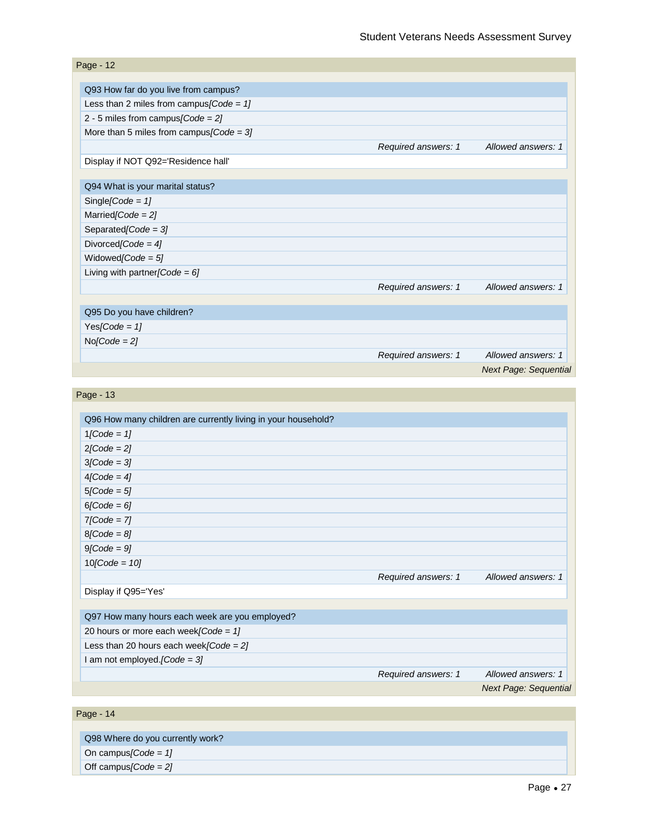| Page - 12                                   |                     |                              |
|---------------------------------------------|---------------------|------------------------------|
|                                             |                     |                              |
| Q93 How far do you live from campus?        |                     |                              |
| Less than 2 miles from campus [Code = $1$ ] |                     |                              |
| 2 - 5 miles from campus [Code = $2$ ]       |                     |                              |
| More than 5 miles from campus $[Code = 3]$  |                     |                              |
|                                             | Required answers: 1 | Allowed answers: 1           |
| Display if NOT Q92='Residence hall'         |                     |                              |
|                                             |                     |                              |
| Q94 What is your marital status?            |                     |                              |
| Single [Code = $1$ ]                        |                     |                              |
| Married $[Code = 2]$                        |                     |                              |
| Separated [Code = $3$ ]                     |                     |                              |
| Divorced [Code = $4$ ]                      |                     |                              |
| Widowed/Code = $5$ ]                        |                     |                              |
| Living with partner [Code = $6$ ]           |                     |                              |
|                                             | Required answers: 1 | Allowed answers: 1           |
|                                             |                     |                              |
| Q95 Do you have children?                   |                     |                              |
| Yes[Code = $1$ ]                            |                     |                              |
| $No[Code = 2]$                              |                     |                              |
|                                             | Required answers: 1 | Allowed answers: 1           |
|                                             |                     | <b>Next Page: Sequential</b> |

| Page - 13                                                     |                     |                              |
|---------------------------------------------------------------|---------------------|------------------------------|
|                                                               |                     |                              |
| Q96 How many children are currently living in your household? |                     |                              |
| $1[Code = 1]$                                                 |                     |                              |
| $2[Code = 2]$                                                 |                     |                              |
| $3[Code = 3]$                                                 |                     |                              |
| $4[Code = 4]$                                                 |                     |                              |
| $5[Code = 5]$                                                 |                     |                              |
| $6[Code = 6]$                                                 |                     |                              |
| $7[Code = 7]$                                                 |                     |                              |
| $8[Code = 8]$                                                 |                     |                              |
| $9[Code = 9]$                                                 |                     |                              |
| $10[Code = 10]$                                               |                     |                              |
|                                                               | Required answers: 1 | Allowed answers: 1           |
| Display if Q95='Yes'                                          |                     |                              |
|                                                               |                     |                              |
| Q97 How many hours each week are you employed?                |                     |                              |
| 20 hours or more each week [Code = $1$ ]                      |                     |                              |
| Less than 20 hours each week [Code = $2$ ]                    |                     |                              |
| I am not employed. [Code = $3$ ]                              |                     |                              |
|                                                               | Required answers: 1 | Allowed answers: 1           |
|                                                               |                     | <b>Next Page: Sequential</b> |
|                                                               |                     |                              |
| Page - 14                                                     |                     |                              |

Q98 Where do you currently work? On campus*[Code = 1]*  Off campus*[Code = 2]*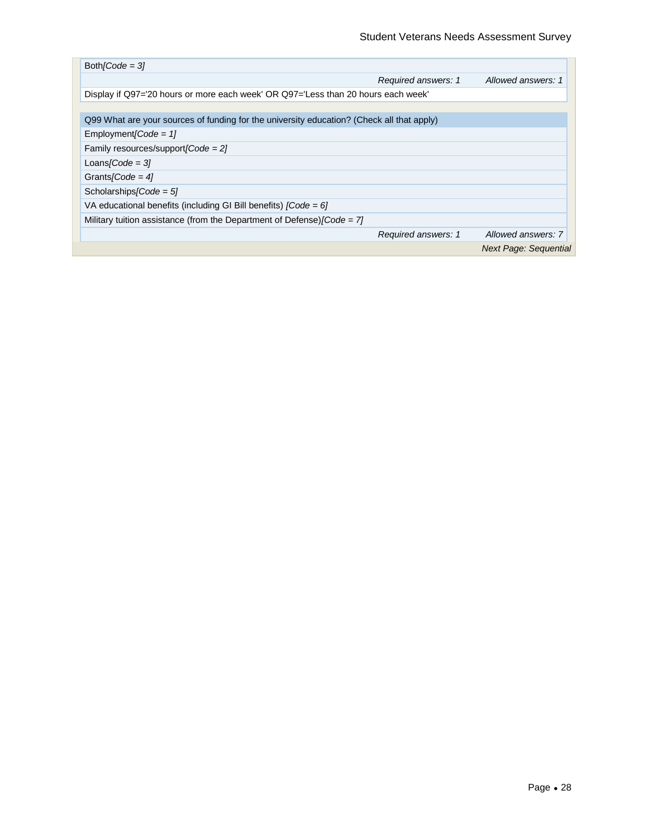| $Both/Code = 31$                                                                          |                     |                              |
|-------------------------------------------------------------------------------------------|---------------------|------------------------------|
|                                                                                           | Required answers: 1 | Allowed answers: 1           |
| Display if Q97='20 hours or more each week' OR Q97='Less than 20 hours each week'         |                     |                              |
|                                                                                           |                     |                              |
| Q99 What are your sources of funding for the university education? (Check all that apply) |                     |                              |
| Employment [Code = $1$ ]                                                                  |                     |                              |
| Family resources/support/ $Code = 21$                                                     |                     |                              |
| Loans/Code = $31$                                                                         |                     |                              |
| Grants/Code = $41$                                                                        |                     |                              |
| Scholarships/Code = $5$ ]                                                                 |                     |                              |
| VA educational benefits (including GI Bill benefits) $[Code = 6]$                         |                     |                              |
| Military tuition assistance (from the Department of Defense) $\text{Code} = 71$           |                     |                              |
|                                                                                           | Required answers: 1 | Allowed answers: 7           |
|                                                                                           |                     | <b>Next Page: Sequential</b> |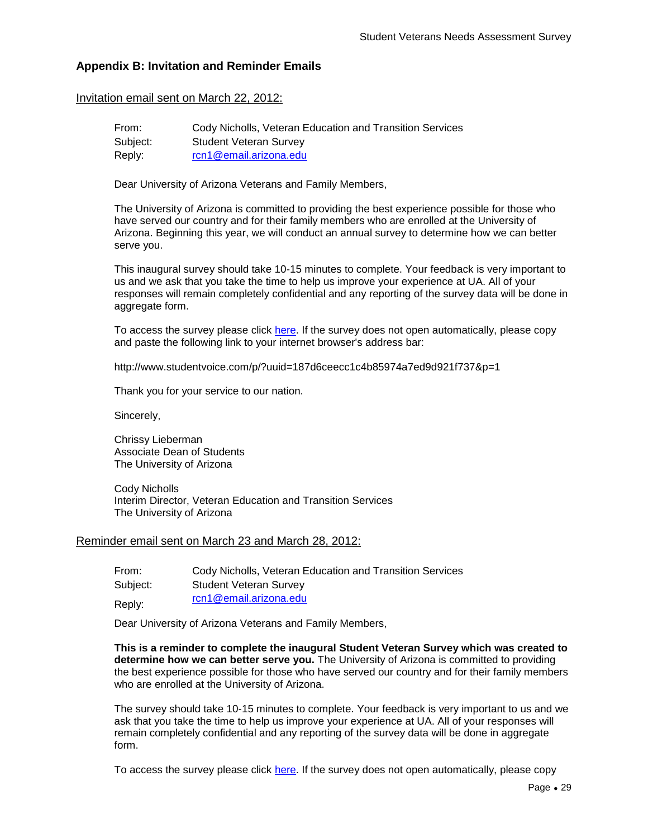# **Appendix B: Invitation and Reminder Emails**

#### Invitation email sent on March 22, 2012:

| From:    | Cody Nicholls, Veteran Education and Transition Services |
|----------|----------------------------------------------------------|
| Subject: | <b>Student Veteran Survey</b>                            |
| Reply:   | rcn1@email.arizona.edu                                   |

Dear University of Arizona Veterans and Family Members,

The University of Arizona is committed to providing the best experience possible for those who have served our country and for their family members who are enrolled at the University of Arizona. Beginning this year, we will conduct an annual survey to determine how we can better serve you.

This inaugural survey should take 10-15 minutes to complete. Your feedback is very important to us and we ask that you take the time to help us improve your experience at UA. All of your responses will remain completely confidential and any reporting of the survey data will be done in aggregate form.

To access the survey please click [here.](http://www.studentvoice.com/p/?uuid=187d6ceecc1c4b85974a7ed9d921f737&p=1) If the survey does not open automatically, please copy and paste the following link to your internet browser's address bar:

http://www.studentvoice.com/p/?uuid=187d6ceecc1c4b85974a7ed9d921f737&p=1

Thank you for your service to our nation.

Sincerely,

Chrissy Lieberman Associate Dean of Students The University of Arizona

Cody Nicholls Interim Director, Veteran Education and Transition Services The University of Arizona

#### Reminder email sent on March 23 and March 28, 2012:

| From:    | Cody Nicholls, Veteran Education and Transition Services |
|----------|----------------------------------------------------------|
| Subject: | <b>Student Veteran Survey</b>                            |
| Reply:   | rcn1@email.arizona.edu                                   |

Dear University of Arizona Veterans and Family Members,

**This is a reminder to complete the inaugural Student Veteran Survey which was created to determine how we can better serve you.** The University of Arizona is committed to providing the best experience possible for those who have served our country and for their family members who are enrolled at the University of Arizona.

The survey should take 10-15 minutes to complete. Your feedback is very important to us and we ask that you take the time to help us improve your experience at UA. All of your responses will remain completely confidential and any reporting of the survey data will be done in aggregate form.

To access the survey please click [here.](http://www.studentvoice.com/p/?uuid=187d6ceecc1c4b85974a7ed9d921f737&p=1) If the survey does not open automatically, please copy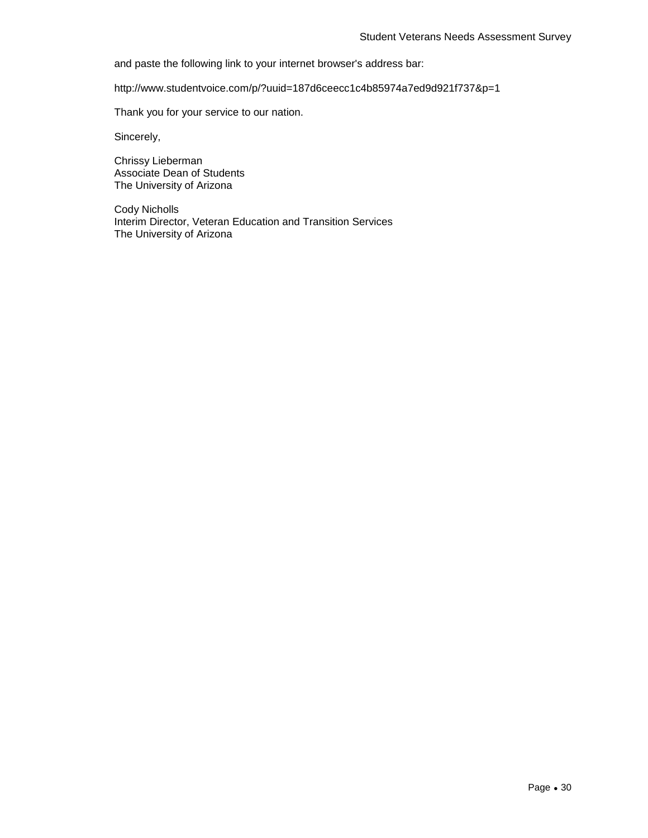and paste the following link to your internet browser's address bar:

http://www.studentvoice.com/p/?uuid=187d6ceecc1c4b85974a7ed9d921f737&p=1

Thank you for your service to our nation.

Sincerely,

Chrissy Lieberman Associate Dean of Students The University of Arizona

Cody Nicholls Interim Director, Veteran Education and Transition Services The University of Arizona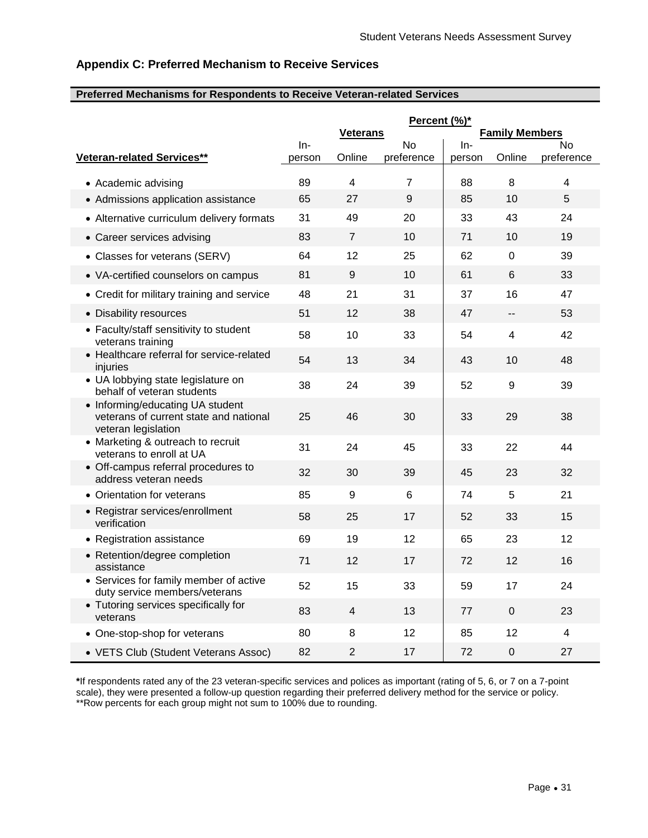# **Appendix C: Preferred Mechanism to Receive Services**

#### **Preferred Mechanisms for Respondents to Receive Veteran-related Services**

|                                                                                                   | Percent (%)*    |                         |                  |                 |                         |                  |
|---------------------------------------------------------------------------------------------------|-----------------|-------------------------|------------------|-----------------|-------------------------|------------------|
|                                                                                                   |                 | <b>Veterans</b>         |                  |                 | <b>Family Members</b>   |                  |
| <b>Veteran-related Services**</b>                                                                 | $In-$<br>person | Online                  | No<br>preference | $In-$<br>person | Online                  | No<br>preference |
|                                                                                                   |                 |                         |                  |                 |                         |                  |
| • Academic advising                                                                               | 89              | $\overline{\mathbf{4}}$ | 7                | 88              | 8                       | 4                |
| • Admissions application assistance                                                               | 65              | 27                      | 9                | 85              | 10                      | 5                |
| • Alternative curriculum delivery formats                                                         | 31              | 49                      | 20               | 33              | 43                      | 24               |
| • Career services advising                                                                        | 83              | $\overline{7}$          | 10               | 71              | 10                      | 19               |
| • Classes for veterans (SERV)                                                                     | 64              | 12                      | 25               | 62              | 0                       | 39               |
| • VA-certified counselors on campus                                                               | 81              | 9                       | 10               | 61              | $6\phantom{1}$          | 33               |
| • Credit for military training and service                                                        | 48              | 21                      | 31               | 37              | 16                      | 47               |
| • Disability resources                                                                            | 51              | 12                      | 38               | 47              | --                      | 53               |
| • Faculty/staff sensitivity to student<br>veterans training                                       | 58              | 10                      | 33               | 54              | $\overline{\mathbf{4}}$ | 42               |
| • Healthcare referral for service-related<br>injuries                                             | 54              | 13                      | 34               | 43              | 10                      | 48               |
| • UA lobbying state legislature on<br>behalf of veteran students                                  | 38              | 24                      | 39               | 52              | $\boldsymbol{9}$        | 39               |
| • Informing/educating UA student<br>veterans of current state and national<br>veteran legislation | 25              | 46                      | 30               | 33              | 29                      | 38               |
| • Marketing & outreach to recruit<br>veterans to enroll at UA                                     | 31              | 24                      | 45               | 33              | 22                      | 44               |
| • Off-campus referral procedures to<br>address veteran needs                                      | 32              | 30                      | 39               | 45              | 23                      | 32               |
| • Orientation for veterans                                                                        | 85              | 9                       | $6\phantom{1}$   | 74              | 5                       | 21               |
| • Registrar services/enrollment<br>verification                                                   | 58              | 25                      | 17               | 52              | 33                      | 15               |
| • Registration assistance                                                                         | 69              | 19                      | 12               | 65              | 23                      | 12               |
| • Retention/degree completion<br>assistance                                                       | 71              | 12                      | 17               | 72              | 12                      | 16               |
| • Services for family member of active<br>duty service members/veterans                           | 52              | 15                      | 33               | 59              | 17                      | 24               |
| • Tutoring services specifically for<br>veterans                                                  | 83              | $\overline{4}$          | 13               | 77              | 0                       | 23               |
| • One-stop-shop for veterans                                                                      | 80              | 8                       | 12               | 85              | 12                      | 4                |
| • VETS Club (Student Veterans Assoc)                                                              | 82              | $\overline{2}$          | 17               | 72              | $\mathbf 0$             | 27               |

**\***If respondents rated any of the 23 veteran-specific services and polices as important (rating of 5, 6, or 7 on a 7-point scale), they were presented a follow-up question regarding their preferred delivery method for the service or policy. \*\*Row percents for each group might not sum to 100% due to rounding.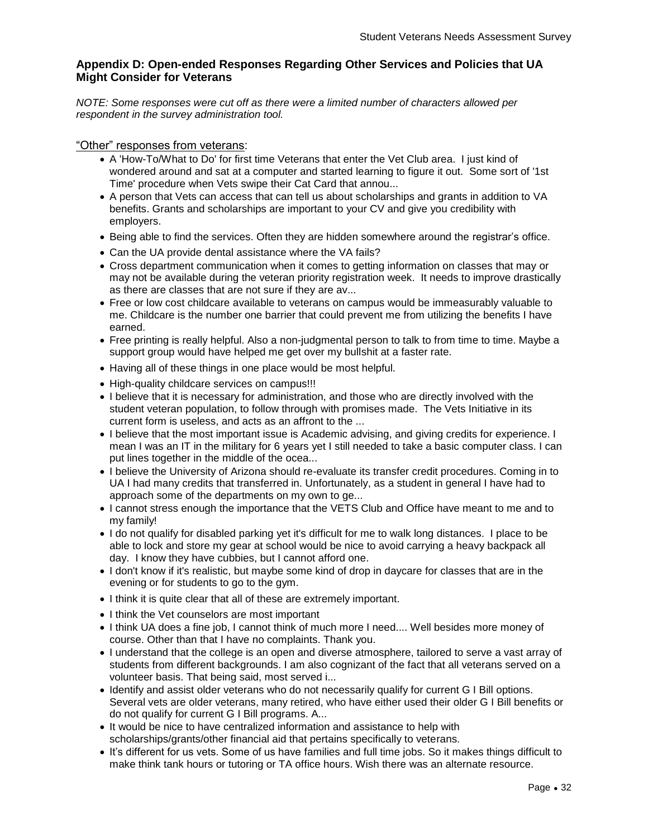# **Appendix D: Open-ended Responses Regarding Other Services and Policies that UA Might Consider for Veterans**

*NOTE: Some responses were cut off as there were a limited number of characters allowed per respondent in the survey administration tool.*

#### "Other" responses from veterans:

- A 'How-To/What to Do' for first time Veterans that enter the Vet Club area. I just kind of wondered around and sat at a computer and started learning to figure it out. Some sort of '1st Time' procedure when Vets swipe their Cat Card that annou...
- A person that Vets can access that can tell us about scholarships and grants in addition to VA benefits. Grants and scholarships are important to your CV and give you credibility with employers.
- Being able to find the services. Often they are hidden somewhere around the registrar's office.
- Can the UA provide dental assistance where the VA fails?
- Cross department communication when it comes to getting information on classes that may or may not be available during the veteran priority registration week. It needs to improve drastically as there are classes that are not sure if they are av...
- Free or low cost childcare available to veterans on campus would be immeasurably valuable to me. Childcare is the number one barrier that could prevent me from utilizing the benefits I have earned.
- Free printing is really helpful. Also a non-judgmental person to talk to from time to time. Maybe a support group would have helped me get over my bullshit at a faster rate.
- Having all of these things in one place would be most helpful.
- High-quality childcare services on campus!!!
- I believe that it is necessary for administration, and those who are directly involved with the student veteran population, to follow through with promises made. The Vets Initiative in its current form is useless, and acts as an affront to the ...
- I believe that the most important issue is Academic advising, and giving credits for experience. I mean I was an IT in the military for 6 years yet I still needed to take a basic computer class. I can put lines together in the middle of the ocea...
- I believe the University of Arizona should re-evaluate its transfer credit procedures. Coming in to UA I had many credits that transferred in. Unfortunately, as a student in general I have had to approach some of the departments on my own to ge...
- I cannot stress enough the importance that the VETS Club and Office have meant to me and to my family!
- I do not qualify for disabled parking yet it's difficult for me to walk long distances. I place to be able to lock and store my gear at school would be nice to avoid carrying a heavy backpack all day. I know they have cubbies, but I cannot afford one.
- I don't know if it's realistic, but maybe some kind of drop in daycare for classes that are in the evening or for students to go to the gym.
- I think it is quite clear that all of these are extremely important.
- I think the Vet counselors are most important
- I think UA does a fine job, I cannot think of much more I need.... Well besides more money of course. Other than that I have no complaints. Thank you.
- I understand that the college is an open and diverse atmosphere, tailored to serve a vast array of students from different backgrounds. I am also cognizant of the fact that all veterans served on a volunteer basis. That being said, most served i...
- Identify and assist older veterans who do not necessarily qualify for current G I Bill options. Several vets are older veterans, many retired, who have either used their older G I Bill benefits or do not qualify for current G I Bill programs. A...
- It would be nice to have centralized information and assistance to help with scholarships/grants/other financial aid that pertains specifically to veterans.
- It's different for us vets. Some of us have families and full time jobs. So it makes things difficult to make think tank hours or tutoring or TA office hours. Wish there was an alternate resource.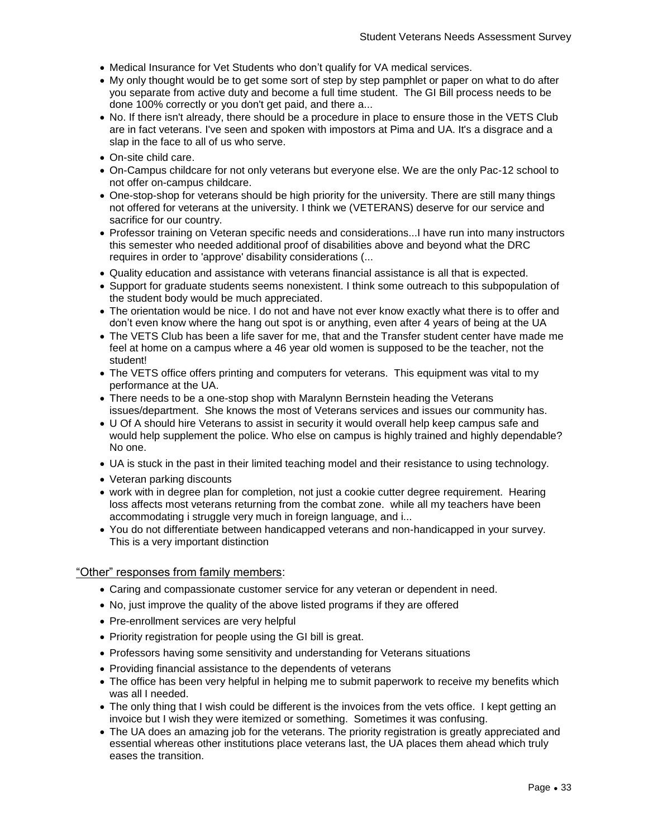- Medical Insurance for Vet Students who don't qualify for VA medical services.
- My only thought would be to get some sort of step by step pamphlet or paper on what to do after you separate from active duty and become a full time student. The GI Bill process needs to be done 100% correctly or you don't get paid, and there a...
- No. If there isn't already, there should be a procedure in place to ensure those in the VETS Club are in fact veterans. I've seen and spoken with impostors at Pima and UA. It's a disgrace and a slap in the face to all of us who serve.
- On-site child care.
- On-Campus childcare for not only veterans but everyone else. We are the only Pac-12 school to not offer on-campus childcare.
- One-stop-shop for veterans should be high priority for the university. There are still many things not offered for veterans at the university. I think we (VETERANS) deserve for our service and sacrifice for our country.
- Professor training on Veteran specific needs and considerations...I have run into many instructors this semester who needed additional proof of disabilities above and beyond what the DRC requires in order to 'approve' disability considerations (...
- Quality education and assistance with veterans financial assistance is all that is expected.
- Support for graduate students seems nonexistent. I think some outreach to this subpopulation of the student body would be much appreciated.
- The orientation would be nice. I do not and have not ever know exactly what there is to offer and don't even know where the hang out spot is or anything, even after 4 years of being at the UA
- The VETS Club has been a life saver for me, that and the Transfer student center have made me feel at home on a campus where a 46 year old women is supposed to be the teacher, not the student!
- The VETS office offers printing and computers for veterans. This equipment was vital to my performance at the UA.
- There needs to be a one-stop shop with Maralynn Bernstein heading the Veterans issues/department. She knows the most of Veterans services and issues our community has.
- U Of A should hire Veterans to assist in security it would overall help keep campus safe and would help supplement the police. Who else on campus is highly trained and highly dependable? No one.
- UA is stuck in the past in their limited teaching model and their resistance to using technology.
- Veteran parking discounts
- work with in degree plan for completion, not just a cookie cutter degree requirement. Hearing loss affects most veterans returning from the combat zone. while all my teachers have been accommodating i struggle very much in foreign language, and i...
- You do not differentiate between handicapped veterans and non-handicapped in your survey. This is a very important distinction

#### "Other" responses from family members:

- Caring and compassionate customer service for any veteran or dependent in need.
- No, just improve the quality of the above listed programs if they are offered
- Pre-enrollment services are very helpful
- Priority registration for people using the GI bill is great.
- Professors having some sensitivity and understanding for Veterans situations
- Providing financial assistance to the dependents of veterans
- The office has been very helpful in helping me to submit paperwork to receive my benefits which was all I needed.
- The only thing that I wish could be different is the invoices from the vets office. I kept getting an invoice but I wish they were itemized or something. Sometimes it was confusing.
- The UA does an amazing job for the veterans. The priority registration is greatly appreciated and essential whereas other institutions place veterans last, the UA places them ahead which truly eases the transition.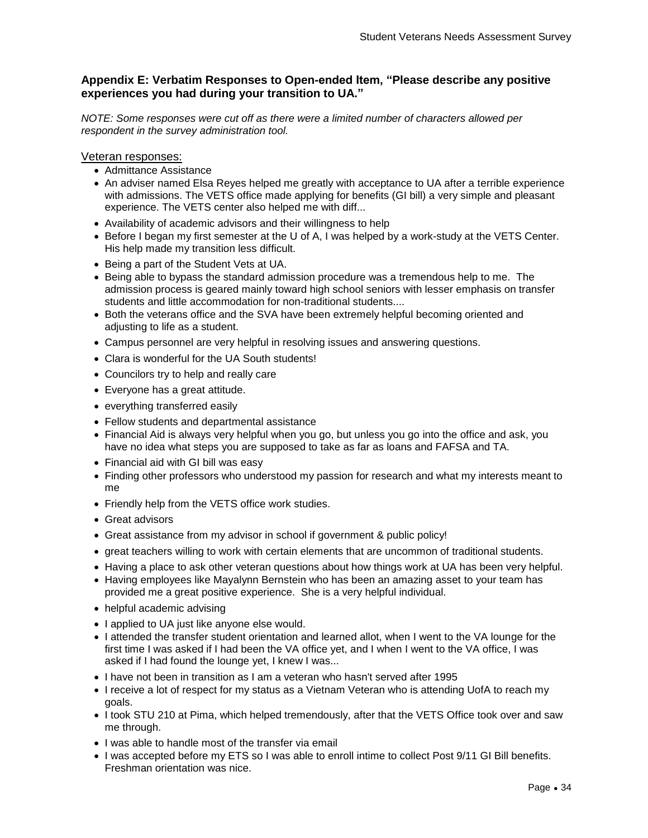# **Appendix E: Verbatim Responses to Open-ended Item, "Please describe any positive experiences you had during your transition to UA."**

*NOTE: Some responses were cut off as there were a limited number of characters allowed per respondent in the survey administration tool.*

Veteran responses:

- Admittance Assistance
- An adviser named Elsa Reyes helped me greatly with acceptance to UA after a terrible experience with admissions. The VETS office made applying for benefits (GI bill) a very simple and pleasant experience. The VETS center also helped me with diff...
- Availability of academic advisors and their willingness to help
- Before I began my first semester at the U of A, I was helped by a work-study at the VETS Center. His help made my transition less difficult.
- Being a part of the Student Vets at UA.
- Being able to bypass the standard admission procedure was a tremendous help to me. The admission process is geared mainly toward high school seniors with lesser emphasis on transfer students and little accommodation for non-traditional students....
- Both the veterans office and the SVA have been extremely helpful becoming oriented and adjusting to life as a student.
- Campus personnel are very helpful in resolving issues and answering questions.
- Clara is wonderful for the UA South students!
- Councilors try to help and really care
- Everyone has a great attitude.
- everything transferred easily
- Fellow students and departmental assistance
- Financial Aid is always very helpful when you go, but unless you go into the office and ask, you have no idea what steps you are supposed to take as far as loans and FAFSA and TA.
- Financial aid with GI bill was easy
- Finding other professors who understood my passion for research and what my interests meant to me
- Friendly help from the VETS office work studies.
- Great advisors
- Great assistance from my advisor in school if government & public policy!
- great teachers willing to work with certain elements that are uncommon of traditional students.
- Having a place to ask other veteran questions about how things work at UA has been very helpful.
- Having employees like Mayalynn Bernstein who has been an amazing asset to your team has provided me a great positive experience. She is a very helpful individual.
- helpful academic advising
- I applied to UA just like anyone else would.
- I attended the transfer student orientation and learned allot, when I went to the VA lounge for the first time I was asked if I had been the VA office yet, and I when I went to the VA office, I was asked if I had found the lounge yet, I knew I was...
- I have not been in transition as I am a veteran who hasn't served after 1995
- I receive a lot of respect for my status as a Vietnam Veteran who is attending UofA to reach my goals.
- I took STU 210 at Pima, which helped tremendously, after that the VETS Office took over and saw me through.
- I was able to handle most of the transfer via email
- I was accepted before my ETS so I was able to enroll intime to collect Post 9/11 GI Bill benefits. Freshman orientation was nice.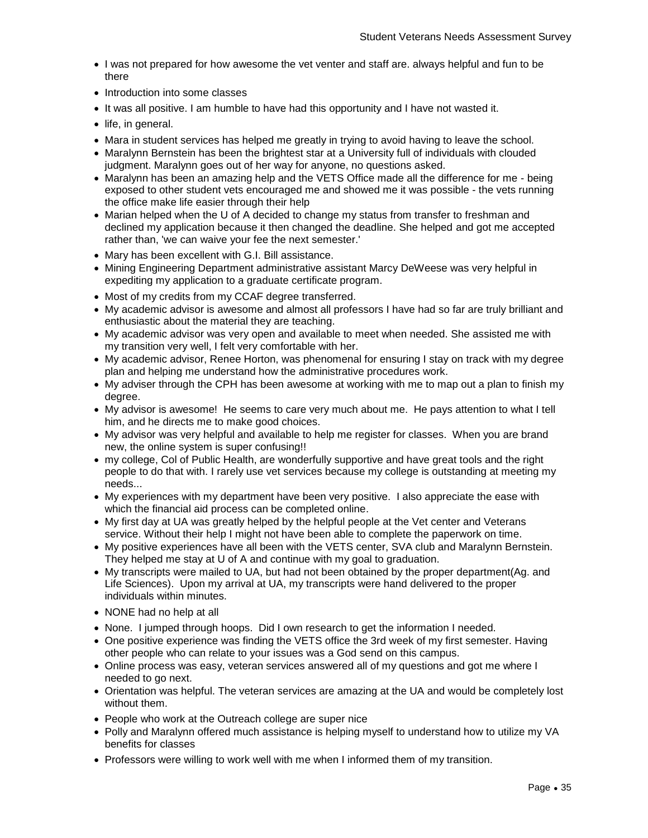- I was not prepared for how awesome the vet venter and staff are. always helpful and fun to be there
- Introduction into some classes
- It was all positive. I am humble to have had this opportunity and I have not wasted it.
- life, in general.
- Mara in student services has helped me greatly in trying to avoid having to leave the school.
- Maralynn Bernstein has been the brightest star at a University full of individuals with clouded judgment. Maralynn goes out of her way for anyone, no questions asked.
- Maralynn has been an amazing help and the VETS Office made all the difference for me being exposed to other student vets encouraged me and showed me it was possible - the vets running the office make life easier through their help
- Marian helped when the U of A decided to change my status from transfer to freshman and declined my application because it then changed the deadline. She helped and got me accepted rather than, 'we can waive your fee the next semester.'
- Mary has been excellent with G.I. Bill assistance.
- Mining Engineering Department administrative assistant Marcy DeWeese was very helpful in expediting my application to a graduate certificate program.
- Most of my credits from my CCAF degree transferred.
- My academic advisor is awesome and almost all professors I have had so far are truly brilliant and enthusiastic about the material they are teaching.
- My academic advisor was very open and available to meet when needed. She assisted me with my transition very well, I felt very comfortable with her.
- My academic advisor, Renee Horton, was phenomenal for ensuring I stay on track with my degree plan and helping me understand how the administrative procedures work.
- My adviser through the CPH has been awesome at working with me to map out a plan to finish my degree.
- My advisor is awesome! He seems to care very much about me. He pays attention to what I tell him, and he directs me to make good choices.
- My advisor was very helpful and available to help me register for classes. When you are brand new, the online system is super confusing!!
- my college, Col of Public Health, are wonderfully supportive and have great tools and the right people to do that with. I rarely use vet services because my college is outstanding at meeting my needs...
- My experiences with my department have been very positive. I also appreciate the ease with which the financial aid process can be completed online.
- My first day at UA was greatly helped by the helpful people at the Vet center and Veterans service. Without their help I might not have been able to complete the paperwork on time.
- My positive experiences have all been with the VETS center, SVA club and Maralynn Bernstein. They helped me stay at U of A and continue with my goal to graduation.
- My transcripts were mailed to UA, but had not been obtained by the proper department(Ag. and Life Sciences). Upon my arrival at UA, my transcripts were hand delivered to the proper individuals within minutes.
- NONE had no help at all
- None. I jumped through hoops. Did I own research to get the information I needed.
- One positive experience was finding the VETS office the 3rd week of my first semester. Having other people who can relate to your issues was a God send on this campus.
- Online process was easy, veteran services answered all of my questions and got me where I needed to go next.
- Orientation was helpful. The veteran services are amazing at the UA and would be completely lost without them.
- People who work at the Outreach college are super nice
- Polly and Maralynn offered much assistance is helping myself to understand how to utilize my VA benefits for classes
- Professors were willing to work well with me when I informed them of my transition.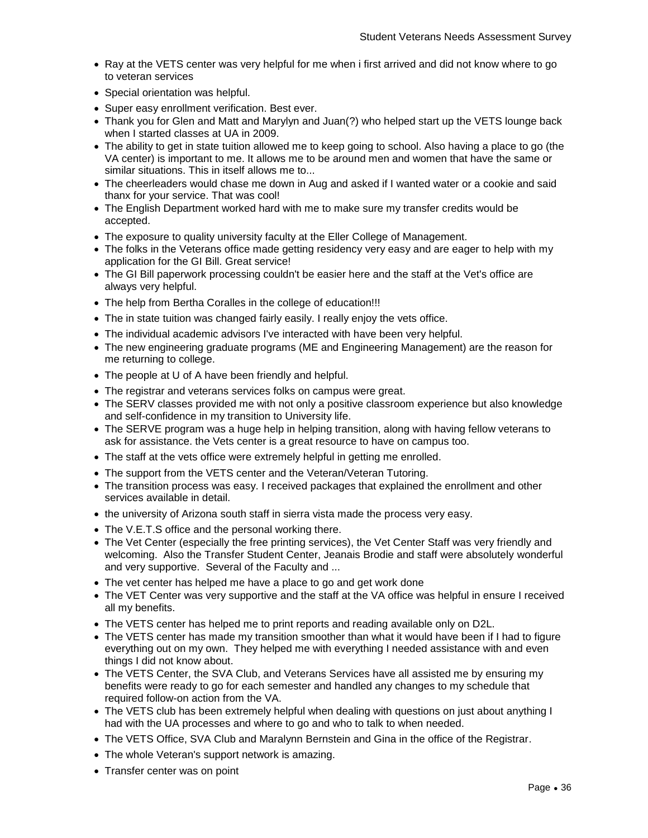- Ray at the VETS center was very helpful for me when i first arrived and did not know where to go to veteran services
- Special orientation was helpful.
- Super easy enrollment verification. Best ever.
- Thank you for Glen and Matt and Marylyn and Juan(?) who helped start up the VETS lounge back when I started classes at UA in 2009.
- The ability to get in state tuition allowed me to keep going to school. Also having a place to go (the VA center) is important to me. It allows me to be around men and women that have the same or similar situations. This in itself allows me to...
- The cheerleaders would chase me down in Aug and asked if I wanted water or a cookie and said thanx for your service. That was cool!
- The English Department worked hard with me to make sure my transfer credits would be accepted.
- The exposure to quality university faculty at the Eller College of Management.
- The folks in the Veterans office made getting residency very easy and are eager to help with my application for the GI Bill. Great service!
- The GI Bill paperwork processing couldn't be easier here and the staff at the Vet's office are always very helpful.
- The help from Bertha Coralles in the college of education!!!
- The in state tuition was changed fairly easily. I really enjoy the vets office.
- The individual academic advisors I've interacted with have been very helpful.
- The new engineering graduate programs (ME and Engineering Management) are the reason for me returning to college.
- The people at U of A have been friendly and helpful.
- The registrar and veterans services folks on campus were great.
- The SERV classes provided me with not only a positive classroom experience but also knowledge and self-confidence in my transition to University life.
- The SERVE program was a huge help in helping transition, along with having fellow veterans to ask for assistance. the Vets center is a great resource to have on campus too.
- The staff at the vets office were extremely helpful in getting me enrolled.
- The support from the VETS center and the Veteran/Veteran Tutoring.
- The transition process was easy. I received packages that explained the enrollment and other services available in detail.
- the university of Arizona south staff in sierra vista made the process very easy.
- The V.E.T.S office and the personal working there.
- The Vet Center (especially the free printing services), the Vet Center Staff was very friendly and welcoming. Also the Transfer Student Center, Jeanais Brodie and staff were absolutely wonderful and very supportive. Several of the Faculty and ...
- The vet center has helped me have a place to go and get work done
- The VET Center was very supportive and the staff at the VA office was helpful in ensure I received all my benefits.
- The VETS center has helped me to print reports and reading available only on D2L.
- The VETS center has made my transition smoother than what it would have been if I had to figure everything out on my own. They helped me with everything I needed assistance with and even things I did not know about.
- The VETS Center, the SVA Club, and Veterans Services have all assisted me by ensuring my benefits were ready to go for each semester and handled any changes to my schedule that required follow-on action from the VA.
- The VETS club has been extremely helpful when dealing with questions on just about anything I had with the UA processes and where to go and who to talk to when needed.
- The VETS Office, SVA Club and Maralynn Bernstein and Gina in the office of the Registrar.
- The whole Veteran's support network is amazing.
- Transfer center was on point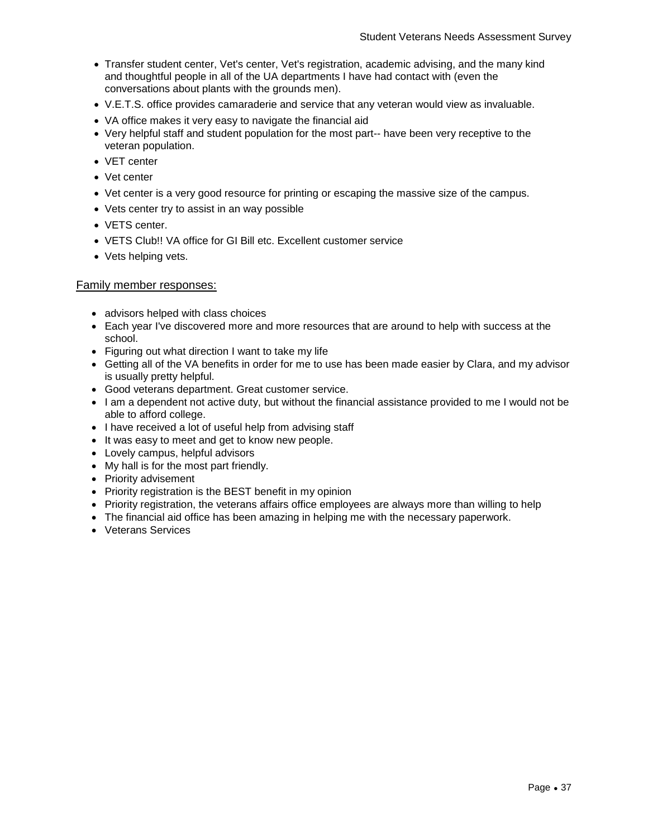- Transfer student center, Vet's center, Vet's registration, academic advising, and the many kind and thoughtful people in all of the UA departments I have had contact with (even the conversations about plants with the grounds men).
- V.E.T.S. office provides camaraderie and service that any veteran would view as invaluable.
- VA office makes it very easy to navigate the financial aid
- Very helpful staff and student population for the most part-- have been very receptive to the veteran population.
- VET center
- Vet center
- Vet center is a very good resource for printing or escaping the massive size of the campus.
- Vets center try to assist in an way possible
- VETS center.
- VETS Club!! VA office for GI Bill etc. Excellent customer service
- Vets helping vets.

#### Family member responses:

- advisors helped with class choices
- Each year I've discovered more and more resources that are around to help with success at the school.
- Figuring out what direction I want to take my life
- Getting all of the VA benefits in order for me to use has been made easier by Clara, and my advisor is usually pretty helpful.
- Good veterans department. Great customer service.
- I am a dependent not active duty, but without the financial assistance provided to me I would not be able to afford college.
- I have received a lot of useful help from advising staff
- It was easy to meet and get to know new people.
- Lovely campus, helpful advisors
- My hall is for the most part friendly.
- Priority advisement
- Priority registration is the BEST benefit in my opinion
- Priority registration, the veterans affairs office employees are always more than willing to help
- The financial aid office has been amazing in helping me with the necessary paperwork.
- Veterans Services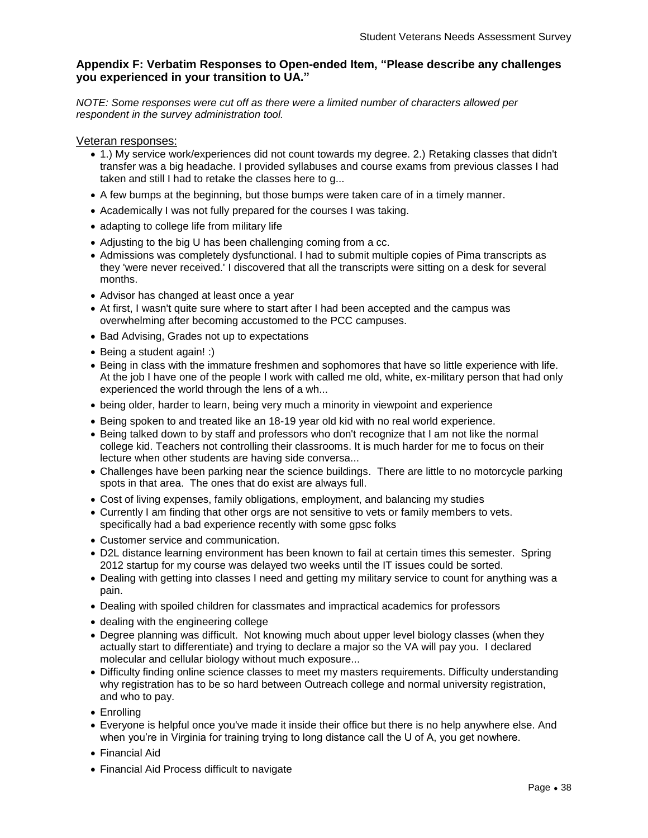# **Appendix F: Verbatim Responses to Open-ended Item, "Please describe any challenges you experienced in your transition to UA."**

*NOTE: Some responses were cut off as there were a limited number of characters allowed per respondent in the survey administration tool.*

#### Veteran responses:

- 1.) My service work/experiences did not count towards my degree. 2.) Retaking classes that didn't transfer was a big headache. I provided syllabuses and course exams from previous classes I had taken and still I had to retake the classes here to g...
- A few bumps at the beginning, but those bumps were taken care of in a timely manner.
- Academically I was not fully prepared for the courses I was taking.
- adapting to college life from military life
- Adjusting to the big U has been challenging coming from a cc.
- Admissions was completely dysfunctional. I had to submit multiple copies of Pima transcripts as they 'were never received.' I discovered that all the transcripts were sitting on a desk for several months.
- Advisor has changed at least once a year
- At first, I wasn't quite sure where to start after I had been accepted and the campus was overwhelming after becoming accustomed to the PCC campuses.
- Bad Advising, Grades not up to expectations
- Being a student again! :)
- Being in class with the immature freshmen and sophomores that have so little experience with life. At the job I have one of the people I work with called me old, white, ex-military person that had only experienced the world through the lens of a wh...
- being older, harder to learn, being very much a minority in viewpoint and experience
- Being spoken to and treated like an 18-19 year old kid with no real world experience.
- Being talked down to by staff and professors who don't recognize that I am not like the normal college kid. Teachers not controlling their classrooms. It is much harder for me to focus on their lecture when other students are having side conversa...
- Challenges have been parking near the science buildings. There are little to no motorcycle parking spots in that area. The ones that do exist are always full.
- Cost of living expenses, family obligations, employment, and balancing my studies
- Currently I am finding that other orgs are not sensitive to vets or family members to vets. specifically had a bad experience recently with some gpsc folks
- Customer service and communication.
- D2L distance learning environment has been known to fail at certain times this semester. Spring 2012 startup for my course was delayed two weeks until the IT issues could be sorted.
- Dealing with getting into classes I need and getting my military service to count for anything was a pain.
- Dealing with spoiled children for classmates and impractical academics for professors
- dealing with the engineering college
- Degree planning was difficult. Not knowing much about upper level biology classes (when they actually start to differentiate) and trying to declare a major so the VA will pay you. I declared molecular and cellular biology without much exposure...
- Difficulty finding online science classes to meet my masters requirements. Difficulty understanding why registration has to be so hard between Outreach college and normal university registration, and who to pay.
- Enrolling
- Everyone is helpful once you've made it inside their office but there is no help anywhere else. And when you're in Virginia for training trying to long distance call the U of A, you get nowhere.
- Financial Aid
- Financial Aid Process difficult to navigate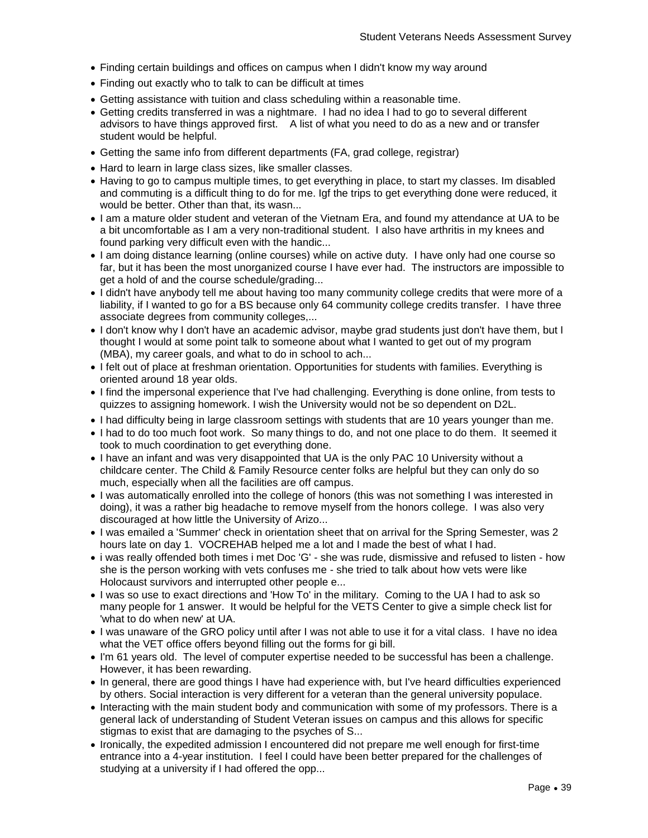- Finding certain buildings and offices on campus when I didn't know my way around
- Finding out exactly who to talk to can be difficult at times
- Getting assistance with tuition and class scheduling within a reasonable time.
- Getting credits transferred in was a nightmare. I had no idea I had to go to several different advisors to have things approved first. A list of what you need to do as a new and or transfer student would be helpful.
- Getting the same info from different departments (FA, grad college, registrar)
- Hard to learn in large class sizes, like smaller classes.
- Having to go to campus multiple times, to get everything in place, to start my classes. Im disabled and commuting is a difficult thing to do for me. Igf the trips to get everything done were reduced, it would be better. Other than that, its wasn...
- I am a mature older student and veteran of the Vietnam Era, and found my attendance at UA to be a bit uncomfortable as I am a very non-traditional student. I also have arthritis in my knees and found parking very difficult even with the handic...
- I am doing distance learning (online courses) while on active duty. I have only had one course so far, but it has been the most unorganized course I have ever had. The instructors are impossible to get a hold of and the course schedule/grading...
- I didn't have anybody tell me about having too many community college credits that were more of a liability, if I wanted to go for a BS because only 64 community college credits transfer. I have three associate degrees from community colleges,...
- I don't know why I don't have an academic advisor, maybe grad students just don't have them, but I thought I would at some point talk to someone about what I wanted to get out of my program (MBA), my career goals, and what to do in school to ach...
- I felt out of place at freshman orientation. Opportunities for students with families. Everything is oriented around 18 year olds.
- I find the impersonal experience that I've had challenging. Everything is done online, from tests to quizzes to assigning homework. I wish the University would not be so dependent on D2L.
- I had difficulty being in large classroom settings with students that are 10 years younger than me.
- I had to do too much foot work. So many things to do, and not one place to do them. It seemed it took to much coordination to get everything done.
- I have an infant and was very disappointed that UA is the only PAC 10 University without a childcare center. The Child & Family Resource center folks are helpful but they can only do so much, especially when all the facilities are off campus.
- I was automatically enrolled into the college of honors (this was not something I was interested in doing), it was a rather big headache to remove myself from the honors college. I was also very discouraged at how little the University of Arizo...
- I was emailed a 'Summer' check in orientation sheet that on arrival for the Spring Semester, was 2 hours late on day 1. VOCREHAB helped me a lot and I made the best of what I had.
- i was really offended both times i met Doc 'G' she was rude, dismissive and refused to listen how she is the person working with vets confuses me - she tried to talk about how vets were like Holocaust survivors and interrupted other people e...
- I was so use to exact directions and 'How To' in the military. Coming to the UA I had to ask so many people for 1 answer. It would be helpful for the VETS Center to give a simple check list for 'what to do when new' at UA.
- I was unaware of the GRO policy until after I was not able to use it for a vital class. I have no idea what the VET office offers beyond filling out the forms for gi bill.
- I'm 61 years old. The level of computer expertise needed to be successful has been a challenge. However, it has been rewarding.
- In general, there are good things I have had experience with, but I've heard difficulties experienced by others. Social interaction is very different for a veteran than the general university populace.
- Interacting with the main student body and communication with some of my professors. There is a general lack of understanding of Student Veteran issues on campus and this allows for specific stigmas to exist that are damaging to the psyches of S...
- Ironically, the expedited admission I encountered did not prepare me well enough for first-time entrance into a 4-year institution. I feel I could have been better prepared for the challenges of studying at a university if I had offered the opp...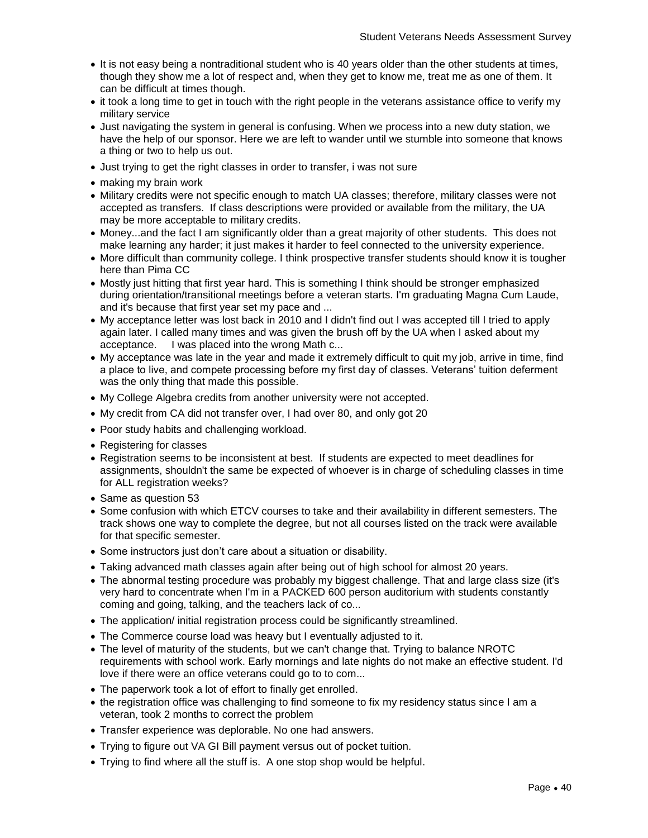- It is not easy being a nontraditional student who is 40 years older than the other students at times, though they show me a lot of respect and, when they get to know me, treat me as one of them. It can be difficult at times though.
- it took a long time to get in touch with the right people in the veterans assistance office to verify my military service
- Just navigating the system in general is confusing. When we process into a new duty station, we have the help of our sponsor. Here we are left to wander until we stumble into someone that knows a thing or two to help us out.
- Just trying to get the right classes in order to transfer, i was not sure
- making my brain work
- Military credits were not specific enough to match UA classes; therefore, military classes were not accepted as transfers. If class descriptions were provided or available from the military, the UA may be more acceptable to military credits.
- Money...and the fact I am significantly older than a great majority of other students. This does not make learning any harder; it just makes it harder to feel connected to the university experience.
- More difficult than community college. I think prospective transfer students should know it is tougher here than Pima CC
- Mostly just hitting that first year hard. This is something I think should be stronger emphasized during orientation/transitional meetings before a veteran starts. I'm graduating Magna Cum Laude, and it's because that first year set my pace and ...
- My acceptance letter was lost back in 2010 and I didn't find out I was accepted till I tried to apply again later. I called many times and was given the brush off by the UA when I asked about my acceptance. I was placed into the wrong Math c...
- My acceptance was late in the year and made it extremely difficult to quit my job, arrive in time, find a place to live, and compete processing before my first day of classes. Veterans' tuition deferment was the only thing that made this possible.
- My College Algebra credits from another university were not accepted.
- My credit from CA did not transfer over, I had over 80, and only got 20
- Poor study habits and challenging workload.
- Registering for classes
- Registration seems to be inconsistent at best. If students are expected to meet deadlines for assignments, shouldn't the same be expected of whoever is in charge of scheduling classes in time for ALL registration weeks?
- Same as question 53
- Some confusion with which ETCV courses to take and their availability in different semesters. The track shows one way to complete the degree, but not all courses listed on the track were available for that specific semester.
- Some instructors just don't care about a situation or disability.
- Taking advanced math classes again after being out of high school for almost 20 years.
- The abnormal testing procedure was probably my biggest challenge. That and large class size (it's very hard to concentrate when I'm in a PACKED 600 person auditorium with students constantly coming and going, talking, and the teachers lack of co...
- The application/ initial registration process could be significantly streamlined.
- The Commerce course load was heavy but I eventually adjusted to it.
- The level of maturity of the students, but we can't change that. Trying to balance NROTC requirements with school work. Early mornings and late nights do not make an effective student. I'd love if there were an office veterans could go to to com...
- The paperwork took a lot of effort to finally get enrolled.
- the registration office was challenging to find someone to fix my residency status since I am a veteran, took 2 months to correct the problem
- Transfer experience was deplorable. No one had answers.
- Trying to figure out VA GI Bill payment versus out of pocket tuition.
- Trying to find where all the stuff is. A one stop shop would be helpful.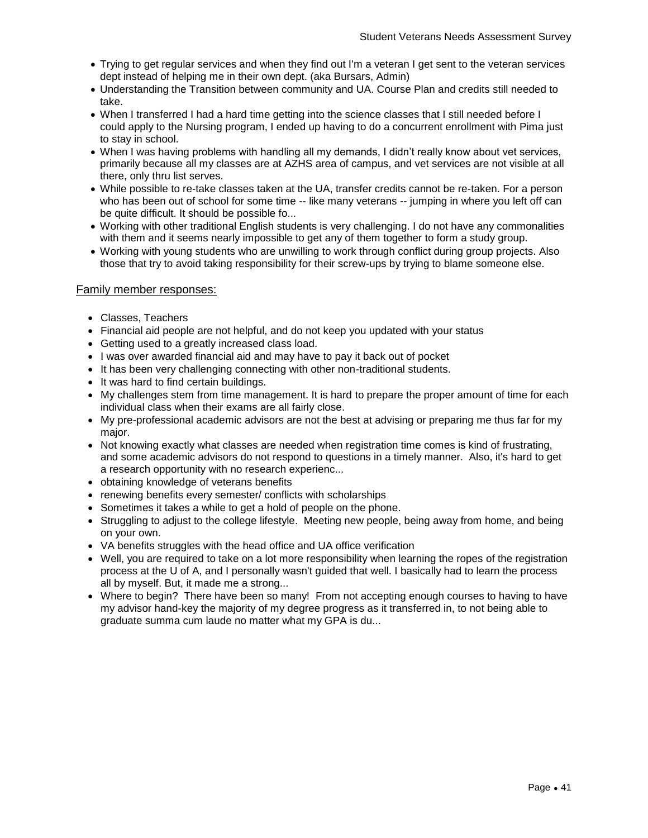- Trying to get regular services and when they find out I'm a veteran I get sent to the veteran services dept instead of helping me in their own dept. (aka Bursars, Admin)
- Understanding the Transition between community and UA. Course Plan and credits still needed to take.
- When I transferred I had a hard time getting into the science classes that I still needed before I could apply to the Nursing program, I ended up having to do a concurrent enrollment with Pima just to stay in school.
- When I was having problems with handling all my demands, I didn't really know about vet services, primarily because all my classes are at AZHS area of campus, and vet services are not visible at all there, only thru list serves.
- While possible to re-take classes taken at the UA, transfer credits cannot be re-taken. For a person who has been out of school for some time -- like many veterans -- jumping in where you left off can be quite difficult. It should be possible fo...
- Working with other traditional English students is very challenging. I do not have any commonalities with them and it seems nearly impossible to get any of them together to form a study group.
- Working with young students who are unwilling to work through conflict during group projects. Also those that try to avoid taking responsibility for their screw-ups by trying to blame someone else.

#### Family member responses:

- Classes, Teachers
- Financial aid people are not helpful, and do not keep you updated with your status
- Getting used to a greatly increased class load.
- I was over awarded financial aid and may have to pay it back out of pocket
- It has been very challenging connecting with other non-traditional students.
- It was hard to find certain buildings.
- My challenges stem from time management. It is hard to prepare the proper amount of time for each individual class when their exams are all fairly close.
- My pre-professional academic advisors are not the best at advising or preparing me thus far for my major.
- Not knowing exactly what classes are needed when registration time comes is kind of frustrating, and some academic advisors do not respond to questions in a timely manner. Also, it's hard to get a research opportunity with no research experienc...
- obtaining knowledge of veterans benefits
- renewing benefits every semester/ conflicts with scholarships
- Sometimes it takes a while to get a hold of people on the phone.
- Struggling to adjust to the college lifestyle. Meeting new people, being away from home, and being on your own.
- VA benefits struggles with the head office and UA office verification
- Well, you are required to take on a lot more responsibility when learning the ropes of the registration process at the U of A, and I personally wasn't guided that well. I basically had to learn the process all by myself. But, it made me a strong...
- Where to begin? There have been so many! From not accepting enough courses to having to have my advisor hand-key the majority of my degree progress as it transferred in, to not being able to graduate summa cum laude no matter what my GPA is du...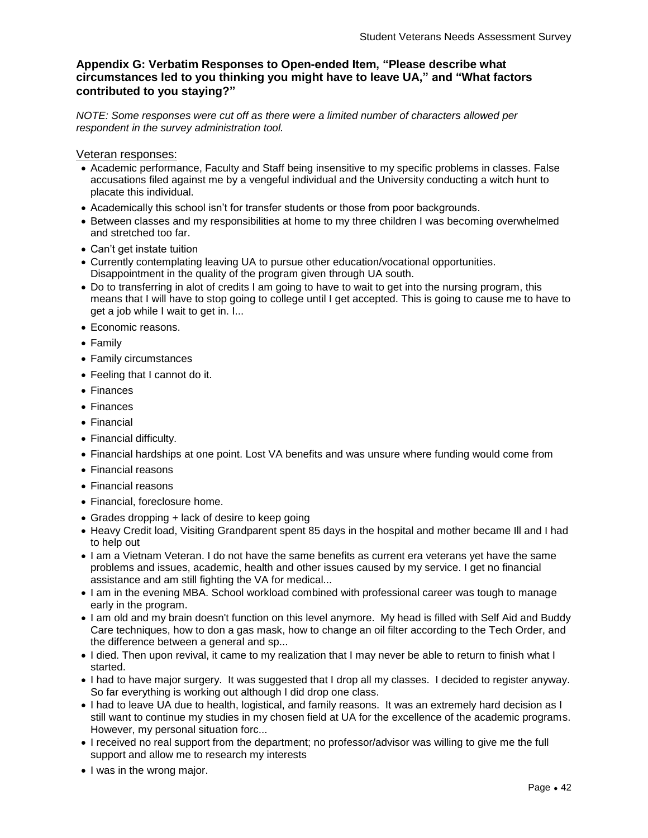# **Appendix G: Verbatim Responses to Open-ended Item, "Please describe what circumstances led to you thinking you might have to leave UA," and "What factors contributed to you staying?"**

*NOTE: Some responses were cut off as there were a limited number of characters allowed per respondent in the survey administration tool.*

Veteran responses:

- Academic performance, Faculty and Staff being insensitive to my specific problems in classes. False accusations filed against me by a vengeful individual and the University conducting a witch hunt to placate this individual.
- Academically this school isn't for transfer students or those from poor backgrounds.
- Between classes and my responsibilities at home to my three children I was becoming overwhelmed and stretched too far.
- Can't get instate tuition
- Currently contemplating leaving UA to pursue other education/vocational opportunities. Disappointment in the quality of the program given through UA south.
- Do to transferring in alot of credits I am going to have to wait to get into the nursing program, this means that I will have to stop going to college until I get accepted. This is going to cause me to have to get a job while I wait to get in. I...
- Economic reasons.
- Family
- Family circumstances
- Feeling that I cannot do it.
- Finances
- Finances
- Financial
- Financial difficulty.
- Financial hardships at one point. Lost VA benefits and was unsure where funding would come from
- Financial reasons
- Financial reasons
- Financial, foreclosure home.
- Grades dropping + lack of desire to keep going
- Heavy Credit load, Visiting Grandparent spent 85 days in the hospital and mother became III and I had to help out
- I am a Vietnam Veteran. I do not have the same benefits as current era veterans yet have the same problems and issues, academic, health and other issues caused by my service. I get no financial assistance and am still fighting the VA for medical...
- I am in the evening MBA. School workload combined with professional career was tough to manage early in the program.
- I am old and my brain doesn't function on this level anymore. My head is filled with Self Aid and Buddy Care techniques, how to don a gas mask, how to change an oil filter according to the Tech Order, and the difference between a general and sp...
- I died. Then upon revival, it came to my realization that I may never be able to return to finish what I started.
- I had to have major surgery. It was suggested that I drop all my classes. I decided to register anyway. So far everything is working out although I did drop one class.
- I had to leave UA due to health, logistical, and family reasons. It was an extremely hard decision as I still want to continue my studies in my chosen field at UA for the excellence of the academic programs. However, my personal situation forc...
- I received no real support from the department; no professor/advisor was willing to give me the full support and allow me to research my interests
- I was in the wrong major.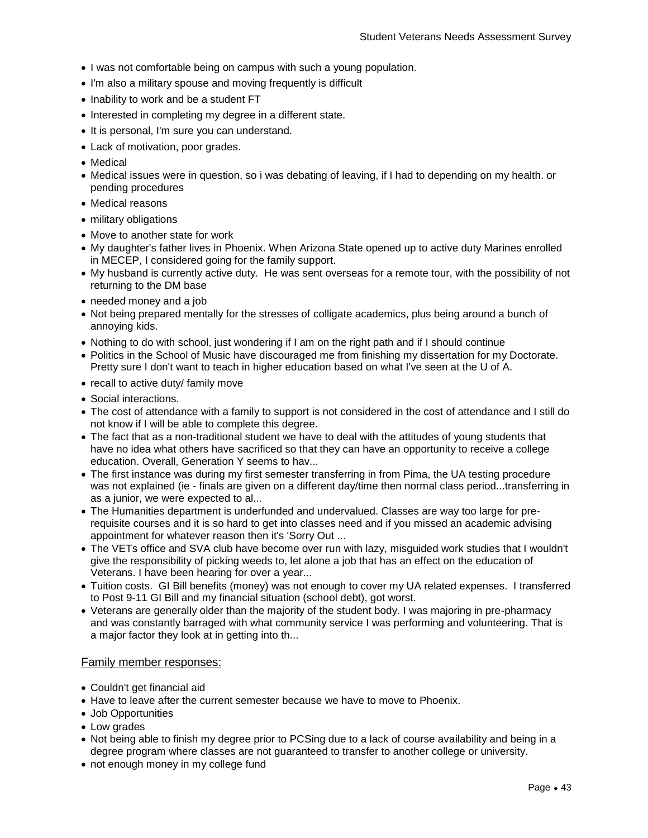- I was not comfortable being on campus with such a young population.
- I'm also a military spouse and moving frequently is difficult
- Inability to work and be a student FT
- Interested in completing my degree in a different state.
- It is personal, I'm sure you can understand.
- Lack of motivation, poor grades.
- Medical
- Medical issues were in question, so i was debating of leaving, if I had to depending on my health. or pending procedures
- Medical reasons
- military obligations
- Move to another state for work
- My daughter's father lives in Phoenix. When Arizona State opened up to active duty Marines enrolled in MECEP, I considered going for the family support.
- My husband is currently active duty. He was sent overseas for a remote tour, with the possibility of not returning to the DM base
- needed money and a job
- Not being prepared mentally for the stresses of colligate academics, plus being around a bunch of annoying kids.
- Nothing to do with school, just wondering if I am on the right path and if I should continue
- Politics in the School of Music have discouraged me from finishing my dissertation for my Doctorate. Pretty sure I don't want to teach in higher education based on what I've seen at the U of A.
- recall to active duty/ family move
- Social interactions.
- The cost of attendance with a family to support is not considered in the cost of attendance and I still do not know if I will be able to complete this degree.
- The fact that as a non-traditional student we have to deal with the attitudes of young students that have no idea what others have sacrificed so that they can have an opportunity to receive a college education. Overall, Generation Y seems to hav...
- The first instance was during my first semester transferring in from Pima, the UA testing procedure was not explained (ie - finals are given on a different day/time then normal class period...transferring in as a junior, we were expected to al...
- The Humanities department is underfunded and undervalued. Classes are way too large for prerequisite courses and it is so hard to get into classes need and if you missed an academic advising appointment for whatever reason then it's 'Sorry Out ...
- The VETs office and SVA club have become over run with lazy, misguided work studies that I wouldn't give the responsibility of picking weeds to, let alone a job that has an effect on the education of Veterans. I have been hearing for over a year...
- Tuition costs. GI Bill benefits (money) was not enough to cover my UA related expenses. I transferred to Post 9-11 GI Bill and my financial situation (school debt), got worst.
- Veterans are generally older than the majority of the student body. I was majoring in pre-pharmacy and was constantly barraged with what community service I was performing and volunteering. That is a major factor they look at in getting into th...

## Family member responses:

- Couldn't get financial aid
- Have to leave after the current semester because we have to move to Phoenix.
- Job Opportunities
- Low grades
- Not being able to finish my degree prior to PCSing due to a lack of course availability and being in a degree program where classes are not guaranteed to transfer to another college or university.
- not enough money in my college fund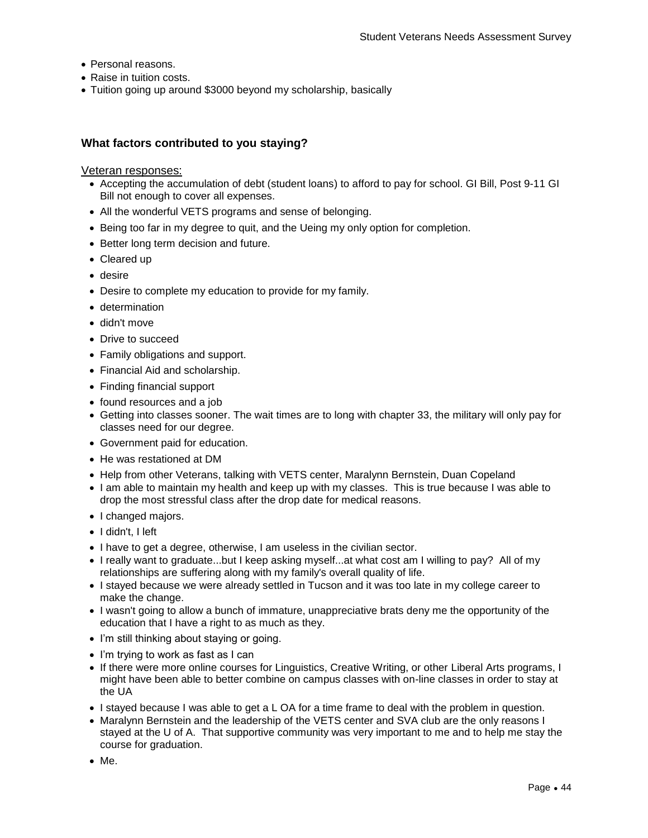- Personal reasons.
- Raise in tuition costs.
- Tuition going up around \$3000 beyond my scholarship, basically

# **What factors contributed to you staying?**

#### Veteran responses:

- Accepting the accumulation of debt (student loans) to afford to pay for school. GI Bill, Post 9-11 GI Bill not enough to cover all expenses.
- All the wonderful VETS programs and sense of belonging.
- Being too far in my degree to quit, and the Ueing my only option for completion.
- Better long term decision and future.
- Cleared up
- desire
- Desire to complete my education to provide for my family.
- determination
- didn't move
- Drive to succeed
- Family obligations and support.
- Financial Aid and scholarship.
- Finding financial support
- found resources and a job
- Getting into classes sooner. The wait times are to long with chapter 33, the military will only pay for classes need for our degree.
- Government paid for education.
- He was restationed at DM
- Help from other Veterans, talking with VETS center, Maralynn Bernstein, Duan Copeland
- I am able to maintain my health and keep up with my classes. This is true because I was able to drop the most stressful class after the drop date for medical reasons.
- I changed majors.
- I didn't. I left
- I have to get a degree, otherwise, I am useless in the civilian sector.
- I really want to graduate...but I keep asking myself...at what cost am I willing to pay? All of my relationships are suffering along with my family's overall quality of life.
- I stayed because we were already settled in Tucson and it was too late in my college career to make the change.
- I wasn't going to allow a bunch of immature, unappreciative brats deny me the opportunity of the education that I have a right to as much as they.
- I'm still thinking about staying or going.
- I'm trying to work as fast as I can
- If there were more online courses for Linguistics, Creative Writing, or other Liberal Arts programs, I might have been able to better combine on campus classes with on-line classes in order to stay at the UA
- I stayed because I was able to get a L OA for a time frame to deal with the problem in question.
- Maralynn Bernstein and the leadership of the VETS center and SVA club are the only reasons I stayed at the U of A. That supportive community was very important to me and to help me stay the course for graduation.
- Me.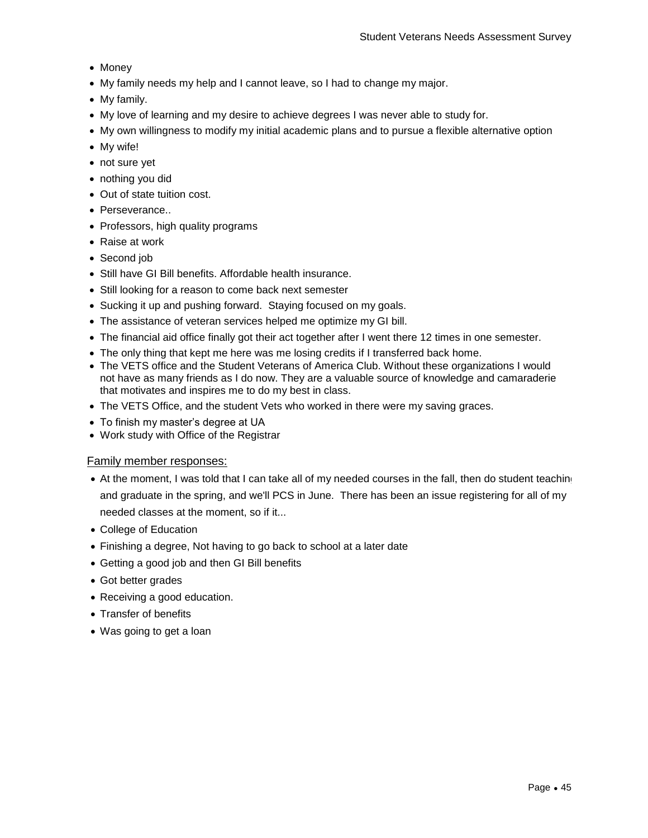- Money
- My family needs my help and I cannot leave, so I had to change my major.
- My family.
- My love of learning and my desire to achieve degrees I was never able to study for.
- My own willingness to modify my initial academic plans and to pursue a flexible alternative option
- My wife!
- not sure yet
- nothing you did
- Out of state tuition cost.
- Perseverance..
- Professors, high quality programs
- Raise at work
- Second job
- Still have GI Bill benefits. Affordable health insurance.
- Still looking for a reason to come back next semester
- Sucking it up and pushing forward. Staying focused on my goals.
- The assistance of veteran services helped me optimize my GI bill.
- The financial aid office finally got their act together after I went there 12 times in one semester.
- The only thing that kept me here was me losing credits if I transferred back home.
- The VETS office and the Student Veterans of America Club. Without these organizations I would not have as many friends as I do now. They are a valuable source of knowledge and camaraderie that motivates and inspires me to do my best in class.
- The VETS Office, and the student Vets who worked in there were my saving graces.
- To finish my master's degree at UA
- Work study with Office of the Registrar

#### Family member responses:

- At the moment, I was told that I can take all of my needed courses in the fall, then do student teaching and graduate in the spring, and we'll PCS in June. There has been an issue registering for all of my needed classes at the moment, so if it...
- College of Education
- Finishing a degree, Not having to go back to school at a later date
- Getting a good job and then GI Bill benefits
- Got better grades
- Receiving a good education.
- Transfer of benefits
- Was going to get a loan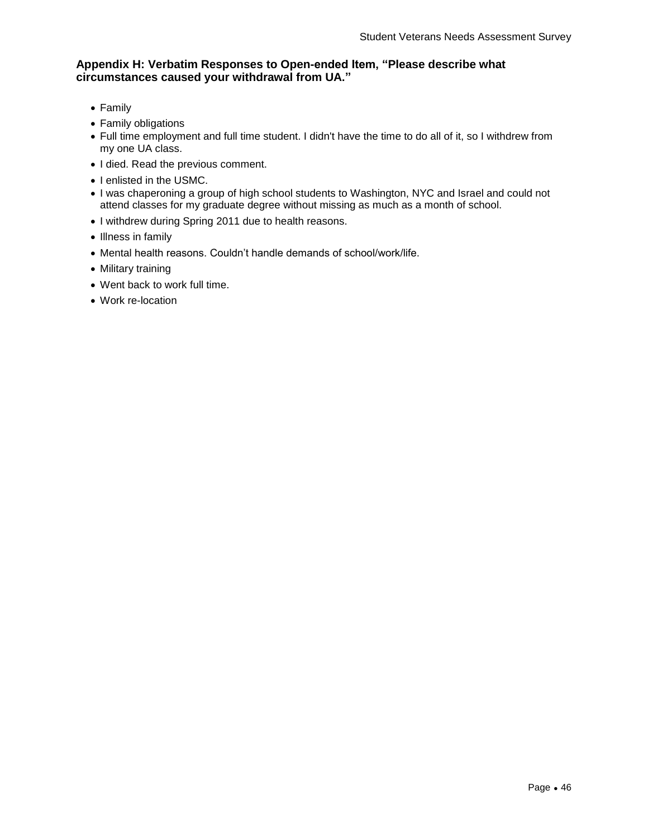# **Appendix H: Verbatim Responses to Open-ended Item, "Please describe what circumstances caused your withdrawal from UA."**

- Family
- Family obligations
- Full time employment and full time student. I didn't have the time to do all of it, so I withdrew from my one UA class.
- I died. Read the previous comment.
- I enlisted in the USMC.
- I was chaperoning a group of high school students to Washington, NYC and Israel and could not attend classes for my graduate degree without missing as much as a month of school.
- I withdrew during Spring 2011 due to health reasons.
- Illness in family
- Mental health reasons. Couldn't handle demands of school/work/life.
- Military training
- Went back to work full time.
- Work re-location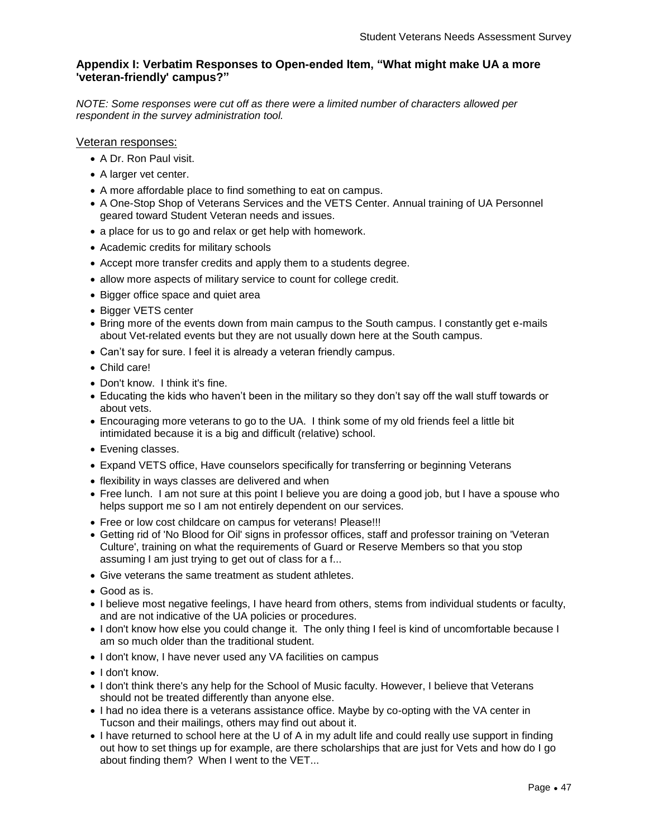# **Appendix I: Verbatim Responses to Open-ended Item, "What might make UA a more 'veteran-friendly' campus?"**

*NOTE: Some responses were cut off as there were a limited number of characters allowed per respondent in the survey administration tool.*

#### Veteran responses:

- A Dr. Ron Paul visit.
- A larger vet center.
- A more affordable place to find something to eat on campus.
- A One-Stop Shop of Veterans Services and the VETS Center. Annual training of UA Personnel geared toward Student Veteran needs and issues.
- a place for us to go and relax or get help with homework.
- Academic credits for military schools
- Accept more transfer credits and apply them to a students degree.
- allow more aspects of military service to count for college credit.
- Bigger office space and quiet area
- Bigger VETS center
- Bring more of the events down from main campus to the South campus. I constantly get e-mails about Vet-related events but they are not usually down here at the South campus.
- Can't say for sure. I feel it is already a veteran friendly campus.
- Child care!
- Don't know. I think it's fine.
- Educating the kids who haven't been in the military so they don't say off the wall stuff towards or about vets.
- Encouraging more veterans to go to the UA. I think some of my old friends feel a little bit intimidated because it is a big and difficult (relative) school.
- Evening classes.
- Expand VETS office, Have counselors specifically for transferring or beginning Veterans
- flexibility in ways classes are delivered and when
- Free lunch. I am not sure at this point I believe you are doing a good job, but I have a spouse who helps support me so I am not entirely dependent on our services.
- Free or low cost childcare on campus for veterans! Please!!!
- Getting rid of 'No Blood for Oil' signs in professor offices, staff and professor training on 'Veteran Culture', training on what the requirements of Guard or Reserve Members so that you stop assuming I am just trying to get out of class for a f...
- Give veterans the same treatment as student athletes.
- Good as is.
- I believe most negative feelings, I have heard from others, stems from individual students or faculty, and are not indicative of the UA policies or procedures.
- I don't know how else you could change it. The only thing I feel is kind of uncomfortable because I am so much older than the traditional student.
- I don't know, I have never used any VA facilities on campus
- I don't know.
- I don't think there's any help for the School of Music faculty. However, I believe that Veterans should not be treated differently than anyone else.
- I had no idea there is a veterans assistance office. Maybe by co-opting with the VA center in Tucson and their mailings, others may find out about it.
- I have returned to school here at the U of A in my adult life and could really use support in finding out how to set things up for example, are there scholarships that are just for Vets and how do I go about finding them? When I went to the VET...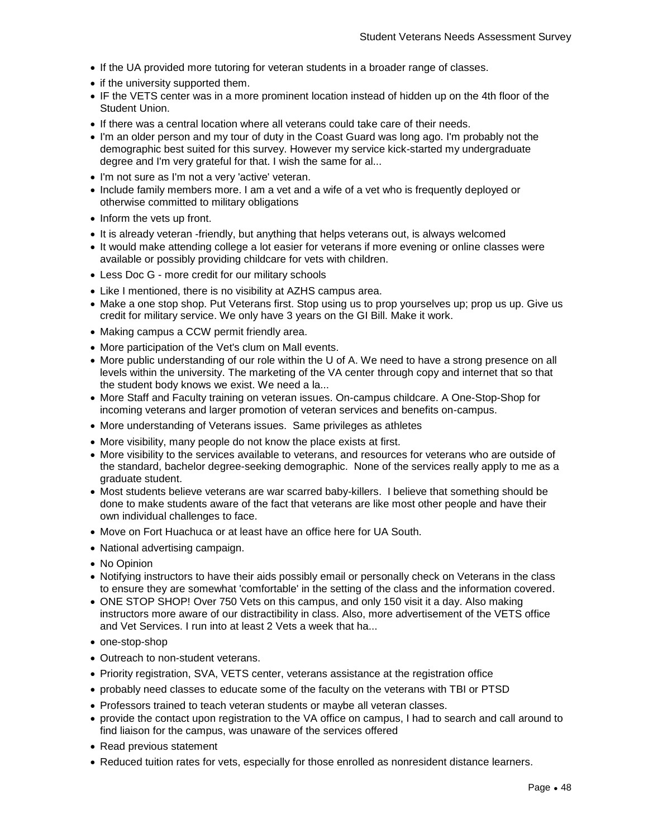- If the UA provided more tutoring for veteran students in a broader range of classes.
- if the university supported them.
- IF the VETS center was in a more prominent location instead of hidden up on the 4th floor of the Student Union.
- If there was a central location where all veterans could take care of their needs.
- I'm an older person and my tour of duty in the Coast Guard was long ago. I'm probably not the demographic best suited for this survey. However my service kick-started my undergraduate degree and I'm very grateful for that. I wish the same for al...
- I'm not sure as I'm not a very 'active' veteran.
- Include family members more. I am a vet and a wife of a vet who is frequently deployed or otherwise committed to military obligations
- Inform the vets up front.
- It is already veteran -friendly, but anything that helps veterans out, is always welcomed
- It would make attending college a lot easier for veterans if more evening or online classes were available or possibly providing childcare for vets with children.
- Less Doc G more credit for our military schools
- Like I mentioned, there is no visibility at AZHS campus area.
- Make a one stop shop. Put Veterans first. Stop using us to prop yourselves up; prop us up. Give us credit for military service. We only have 3 years on the GI Bill. Make it work.
- Making campus a CCW permit friendly area.
- More participation of the Vet's clum on Mall events.
- More public understanding of our role within the U of A. We need to have a strong presence on all levels within the university. The marketing of the VA center through copy and internet that so that the student body knows we exist. We need a la...
- More Staff and Faculty training on veteran issues. On-campus childcare. A One-Stop-Shop for incoming veterans and larger promotion of veteran services and benefits on-campus.
- More understanding of Veterans issues. Same privileges as athletes
- More visibility, many people do not know the place exists at first.
- More visibility to the services available to veterans, and resources for veterans who are outside of the standard, bachelor degree-seeking demographic. None of the services really apply to me as a graduate student.
- Most students believe veterans are war scarred baby-killers. I believe that something should be done to make students aware of the fact that veterans are like most other people and have their own individual challenges to face.
- Move on Fort Huachuca or at least have an office here for UA South.
- National advertising campaign.
- No Opinion
- Notifying instructors to have their aids possibly email or personally check on Veterans in the class to ensure they are somewhat 'comfortable' in the setting of the class and the information covered.
- ONE STOP SHOP! Over 750 Vets on this campus, and only 150 visit it a day. Also making instructors more aware of our distractibility in class. Also, more advertisement of the VETS office and Vet Services. I run into at least 2 Vets a week that ha...
- one-stop-shop
- Outreach to non-student veterans.
- Priority registration, SVA, VETS center, veterans assistance at the registration office
- probably need classes to educate some of the faculty on the veterans with TBI or PTSD
- Professors trained to teach veteran students or maybe all veteran classes.
- provide the contact upon registration to the VA office on campus, I had to search and call around to find liaison for the campus, was unaware of the services offered
- Read previous statement
- Reduced tuition rates for vets, especially for those enrolled as nonresident distance learners.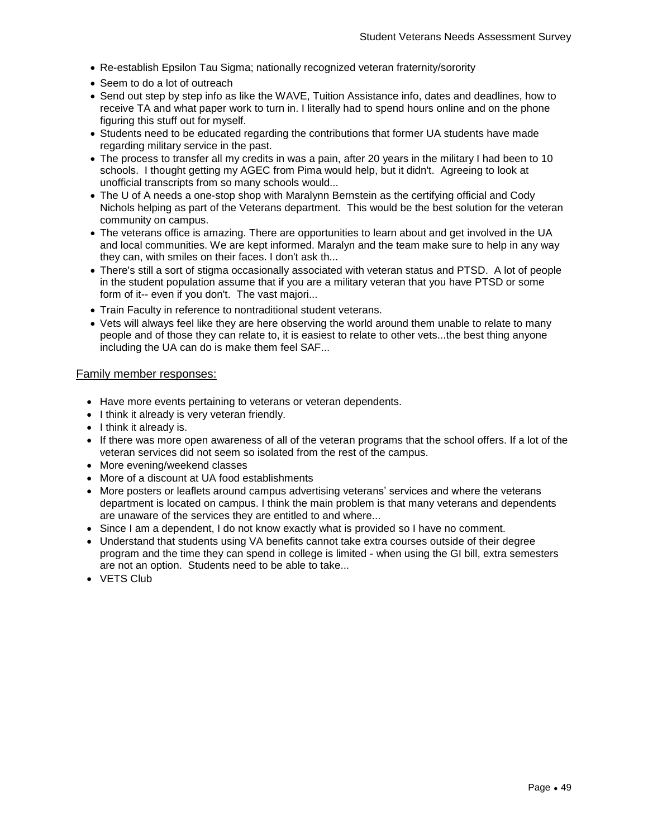- Re-establish Epsilon Tau Sigma; nationally recognized veteran fraternity/sorority
- Seem to do a lot of outreach
- Send out step by step info as like the WAVE, Tuition Assistance info, dates and deadlines, how to receive TA and what paper work to turn in. I literally had to spend hours online and on the phone figuring this stuff out for myself.
- Students need to be educated regarding the contributions that former UA students have made regarding military service in the past.
- The process to transfer all my credits in was a pain, after 20 years in the military I had been to 10 schools. I thought getting my AGEC from Pima would help, but it didn't. Agreeing to look at unofficial transcripts from so many schools would...
- The U of A needs a one-stop shop with Maralynn Bernstein as the certifying official and Cody Nichols helping as part of the Veterans department. This would be the best solution for the veteran community on campus.
- The veterans office is amazing. There are opportunities to learn about and get involved in the UA and local communities. We are kept informed. Maralyn and the team make sure to help in any way they can, with smiles on their faces. I don't ask th...
- There's still a sort of stigma occasionally associated with veteran status and PTSD. A lot of people in the student population assume that if you are a military veteran that you have PTSD or some form of it-- even if you don't. The vast majori...
- Train Faculty in reference to nontraditional student veterans.
- Vets will always feel like they are here observing the world around them unable to relate to many people and of those they can relate to, it is easiest to relate to other vets...the best thing anyone including the UA can do is make them feel SAF...

#### Family member responses:

- Have more events pertaining to veterans or veteran dependents.
- I think it already is very veteran friendly.
- I think it already is.
- If there was more open awareness of all of the veteran programs that the school offers. If a lot of the veteran services did not seem so isolated from the rest of the campus.
- More evening/weekend classes
- More of a discount at UA food establishments
- More posters or leaflets around campus advertising veterans' services and where the veterans department is located on campus. I think the main problem is that many veterans and dependents are unaware of the services they are entitled to and where...
- Since I am a dependent, I do not know exactly what is provided so I have no comment.
- Understand that students using VA benefits cannot take extra courses outside of their degree program and the time they can spend in college is limited - when using the GI bill, extra semesters are not an option. Students need to be able to take...
- VETS Club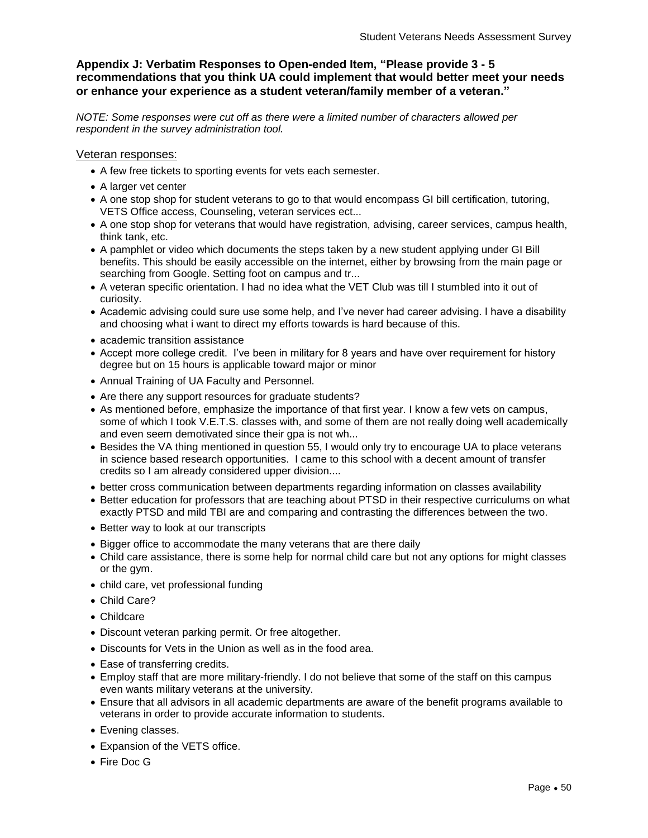# **Appendix J: Verbatim Responses to Open-ended Item, "Please provide 3 - 5 recommendations that you think UA could implement that would better meet your needs or enhance your experience as a student veteran/family member of a veteran."**

*NOTE: Some responses were cut off as there were a limited number of characters allowed per respondent in the survey administration tool.*

#### Veteran responses:

- A few free tickets to sporting events for vets each semester.
- A larger vet center
- A one stop shop for student veterans to go to that would encompass GI bill certification, tutoring, VETS Office access, Counseling, veteran services ect...
- A one stop shop for veterans that would have registration, advising, career services, campus health, think tank, etc.
- A pamphlet or video which documents the steps taken by a new student applying under GI Bill benefits. This should be easily accessible on the internet, either by browsing from the main page or searching from Google. Setting foot on campus and tr...
- A veteran specific orientation. I had no idea what the VET Club was till I stumbled into it out of curiosity.
- Academic advising could sure use some help, and I've never had career advising. I have a disability and choosing what i want to direct my efforts towards is hard because of this.
- academic transition assistance
- Accept more college credit. I've been in military for 8 years and have over requirement for history degree but on 15 hours is applicable toward major or minor
- Annual Training of UA Faculty and Personnel.
- Are there any support resources for graduate students?
- As mentioned before, emphasize the importance of that first year. I know a few vets on campus, some of which I took V.E.T.S. classes with, and some of them are not really doing well academically and even seem demotivated since their gpa is not wh...
- Besides the VA thing mentioned in question 55, I would only try to encourage UA to place veterans in science based research opportunities. I came to this school with a decent amount of transfer credits so I am already considered upper division....
- better cross communication between departments regarding information on classes availability
- Better education for professors that are teaching about PTSD in their respective curriculums on what exactly PTSD and mild TBI are and comparing and contrasting the differences between the two.
- Better way to look at our transcripts
- Bigger office to accommodate the many veterans that are there daily
- Child care assistance, there is some help for normal child care but not any options for might classes or the gym.
- child care, vet professional funding
- Child Care?
- Childcare
- Discount veteran parking permit. Or free altogether.
- Discounts for Vets in the Union as well as in the food area.
- Ease of transferring credits.
- Employ staff that are more military-friendly. I do not believe that some of the staff on this campus even wants military veterans at the university.
- Ensure that all advisors in all academic departments are aware of the benefit programs available to veterans in order to provide accurate information to students.
- Evening classes.
- Expansion of the VETS office.
- Fire Doc G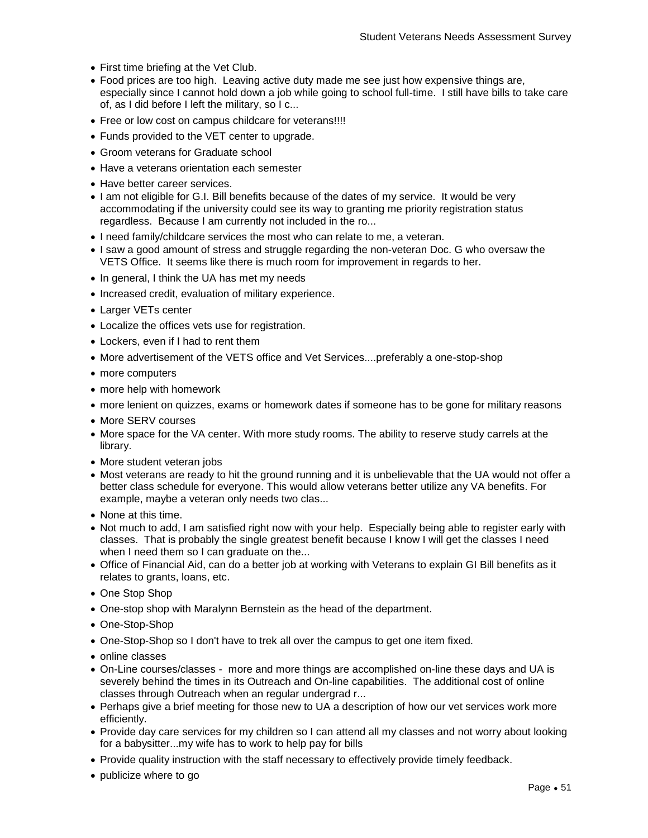- First time briefing at the Vet Club.
- Food prices are too high. Leaving active duty made me see just how expensive things are, especially since I cannot hold down a job while going to school full-time. I still have bills to take care of, as I did before I left the military, so I c...
- Free or low cost on campus childcare for veterans!!!!
- Funds provided to the VET center to upgrade.
- Groom veterans for Graduate school
- Have a veterans orientation each semester
- Have better career services.
- I am not eligible for G.I. Bill benefits because of the dates of my service. It would be very accommodating if the university could see its way to granting me priority registration status regardless. Because I am currently not included in the ro...
- I need family/childcare services the most who can relate to me, a veteran.
- I saw a good amount of stress and struggle regarding the non-veteran Doc. G who oversaw the VETS Office. It seems like there is much room for improvement in regards to her.
- In general, I think the UA has met my needs
- Increased credit, evaluation of military experience.
- Larger VETs center
- Localize the offices vets use for registration.
- Lockers, even if I had to rent them
- More advertisement of the VETS office and Vet Services....preferably a one-stop-shop
- more computers
- more help with homework
- more lenient on quizzes, exams or homework dates if someone has to be gone for military reasons
- More SERV courses
- More space for the VA center. With more study rooms. The ability to reserve study carrels at the library.
- More student veteran jobs
- Most veterans are ready to hit the ground running and it is unbelievable that the UA would not offer a better class schedule for everyone. This would allow veterans better utilize any VA benefits. For example, maybe a veteran only needs two clas...
- None at this time.
- Not much to add, I am satisfied right now with your help. Especially being able to register early with classes. That is probably the single greatest benefit because I know I will get the classes I need when I need them so I can graduate on the...
- Office of Financial Aid, can do a better job at working with Veterans to explain GI Bill benefits as it relates to grants, loans, etc.
- One Stop Shop
- One-stop shop with Maralynn Bernstein as the head of the department.
- One-Stop-Shop
- One-Stop-Shop so I don't have to trek all over the campus to get one item fixed.
- online classes
- On-Line courses/classes more and more things are accomplished on-line these days and UA is severely behind the times in its Outreach and On-line capabilities. The additional cost of online classes through Outreach when an regular undergrad r...
- Perhaps give a brief meeting for those new to UA a description of how our vet services work more efficiently.
- Provide day care services for my children so I can attend all my classes and not worry about looking for a babysitter...my wife has to work to help pay for bills
- Provide quality instruction with the staff necessary to effectively provide timely feedback.
- publicize where to go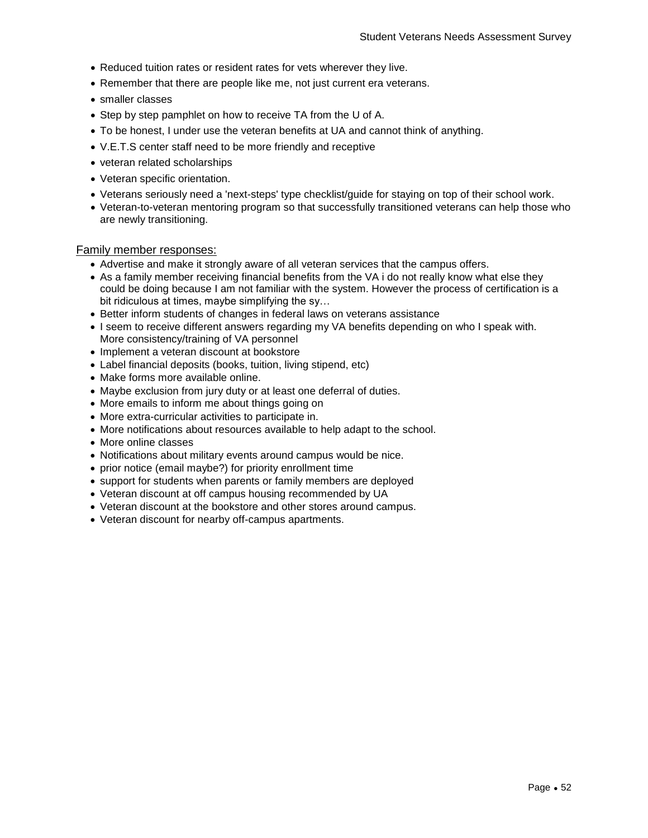- Reduced tuition rates or resident rates for vets wherever they live.
- Remember that there are people like me, not just current era veterans.
- smaller classes
- Step by step pamphlet on how to receive TA from the U of A.
- To be honest, I under use the veteran benefits at UA and cannot think of anything.
- V.E.T.S center staff need to be more friendly and receptive
- veteran related scholarships
- Veteran specific orientation.
- Veterans seriously need a 'next-steps' type checklist/guide for staying on top of their school work.
- Veteran-to-veteran mentoring program so that successfully transitioned veterans can help those who are newly transitioning.

#### Family member responses:

- Advertise and make it strongly aware of all veteran services that the campus offers.
- As a family member receiving financial benefits from the VA i do not really know what else they could be doing because I am not familiar with the system. However the process of certification is a bit ridiculous at times, maybe simplifying the sy…
- Better inform students of changes in federal laws on veterans assistance
- I seem to receive different answers regarding my VA benefits depending on who I speak with. More consistency/training of VA personnel
- Implement a veteran discount at bookstore
- Label financial deposits (books, tuition, living stipend, etc)
- Make forms more available online.
- Maybe exclusion from jury duty or at least one deferral of duties.
- More emails to inform me about things going on
- More extra-curricular activities to participate in.
- More notifications about resources available to help adapt to the school.
- More online classes
- Notifications about military events around campus would be nice.
- prior notice (email maybe?) for priority enrollment time
- support for students when parents or family members are deployed
- Veteran discount at off campus housing recommended by UA
- Veteran discount at the bookstore and other stores around campus.
- Veteran discount for nearby off-campus apartments.